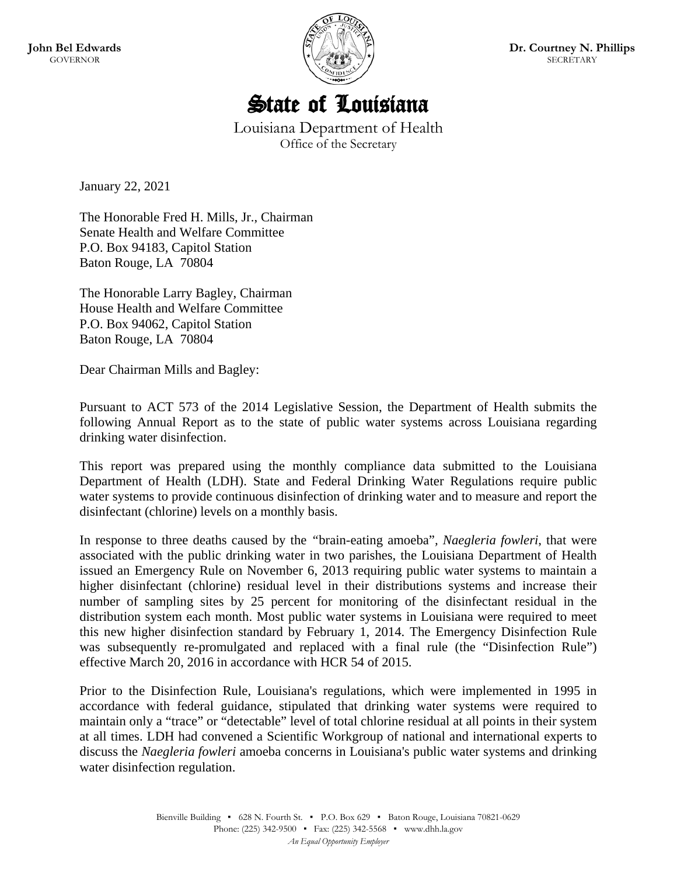

# State of Louisiana

Louisiana Department of Health Office of the Secretary

January 22, 2021

The Honorable Fred H. Mills, Jr., Chairman Senate Health and Welfare Committee P.O. Box 94183, Capitol Station Baton Rouge, LA 70804

The Honorable Larry Bagley, Chairman House Health and Welfare Committee P.O. Box 94062, Capitol Station Baton Rouge, LA 70804

Dear Chairman Mills and Bagley:

Pursuant to ACT 573 of the 2014 Legislative Session, the Department of Health submits the following Annual Report as to the state of public water systems across Louisiana regarding drinking water disinfection.

This report was prepared using the monthly compliance data submitted to the Louisiana Department of Health (LDH). State and Federal Drinking Water Regulations require public water systems to provide continuous disinfection of drinking water and to measure and report the disinfectant (chlorine) levels on a monthly basis.

In response to three deaths caused by the *"*brain-eating amoeba"*, Naegleria fowleri*, that were associated with the public drinking water in two parishes, the Louisiana Department of Health issued an Emergency Rule on November 6, 2013 requiring public water systems to maintain a higher disinfectant (chlorine) residual level in their distributions systems and increase their number of sampling sites by 25 percent for monitoring of the disinfectant residual in the distribution system each month. Most public water systems in Louisiana were required to meet this new higher disinfection standard by February 1, 2014. The Emergency Disinfection Rule was subsequently re-promulgated and replaced with a final rule (the "Disinfection Rule") effective March 20, 2016 in accordance with HCR 54 of 2015.

Prior to the Disinfection Rule, Louisiana's regulations, which were implemented in 1995 in accordance with federal guidance, stipulated that drinking water systems were required to maintain only a "trace" or "detectable" level of total chlorine residual at all points in their system at all times. LDH had convened a Scientific Workgroup of national and international experts to discuss the *Naegleria fowleri* amoeba concerns in Louisiana's public water systems and drinking water disinfection regulation.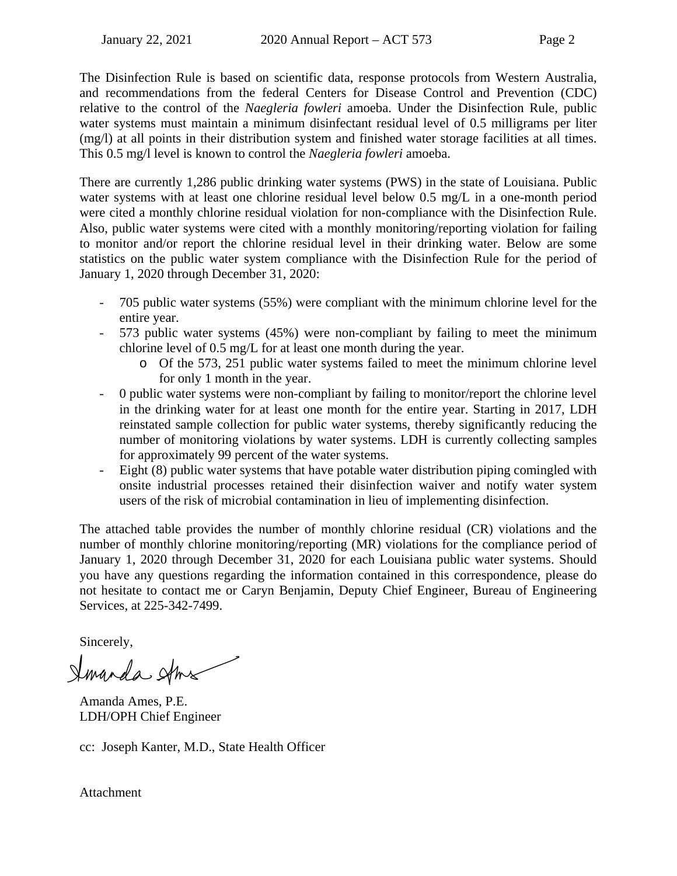The Disinfection Rule is based on scientific data, response protocols from Western Australia, and recommendations from the federal Centers for Disease Control and Prevention (CDC) relative to the control of the *Naegleria fowleri* amoeba. Under the Disinfection Rule, public water systems must maintain a minimum disinfectant residual level of 0.5 milligrams per liter (mg/l) at all points in their distribution system and finished water storage facilities at all times. This 0.5 mg/l level is known to control the *Naegleria fowleri* amoeba.

There are currently 1,286 public drinking water systems (PWS) in the state of Louisiana. Public water systems with at least one chlorine residual level below 0.5 mg/L in a one-month period were cited a monthly chlorine residual violation for non-compliance with the Disinfection Rule. Also, public water systems were cited with a monthly monitoring/reporting violation for failing to monitor and/or report the chlorine residual level in their drinking water. Below are some statistics on the public water system compliance with the Disinfection Rule for the period of January 1, 2020 through December 31, 2020:

- 705 public water systems (55%) were compliant with the minimum chlorine level for the entire year.
- 573 public water systems (45%) were non-compliant by failing to meet the minimum chlorine level of 0.5 mg/L for at least one month during the year.
	- o Of the 573, 251 public water systems failed to meet the minimum chlorine level for only 1 month in the year.
- 0 public water systems were non-compliant by failing to monitor/report the chlorine level in the drinking water for at least one month for the entire year. Starting in 2017, LDH reinstated sample collection for public water systems, thereby significantly reducing the number of monitoring violations by water systems. LDH is currently collecting samples for approximately 99 percent of the water systems.
- Eight (8) public water systems that have potable water distribution piping comingled with onsite industrial processes retained their disinfection waiver and notify water system users of the risk of microbial contamination in lieu of implementing disinfection.

The attached table provides the number of monthly chlorine residual (CR) violations and the number of monthly chlorine monitoring/reporting (MR) violations for the compliance period of January 1, 2020 through December 31, 2020 for each Louisiana public water systems. Should you have any questions regarding the information contained in this correspondence, please do not hesitate to contact me or Caryn Benjamin, Deputy Chief Engineer, Bureau of Engineering Services, at 225-342-7499.

Sincerely,

Smanda Ams

Amanda Ames, P.E. LDH/OPH Chief Engineer

cc: Joseph Kanter, M.D., State Health Officer

Attachment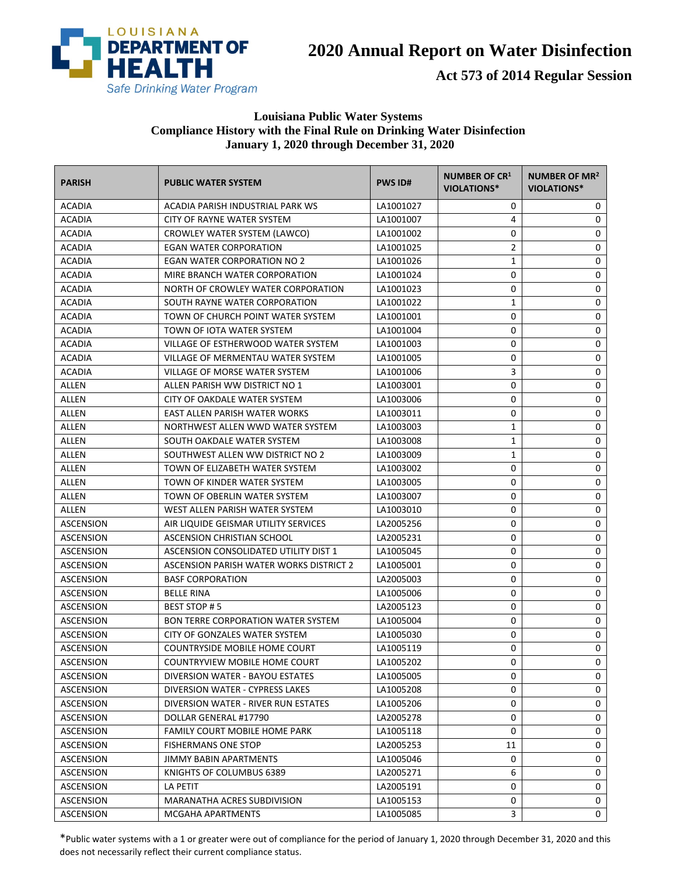

**Act 573 of 2014 Regular Session**

#### **Louisiana Public Water Systems Compliance History with the Final Rule on Drinking Water Disinfection January 1, 2020 through December 31, 2020**

| <b>PARISH</b>    | <b>PUBLIC WATER SYSTEM</b>                | <b>PWS ID#</b> | NUMBER OF CR <sup>1</sup><br><b>VIOLATIONS*</b> | NUMBER OF MR <sup>2</sup><br><b>VIOLATIONS*</b> |
|------------------|-------------------------------------------|----------------|-------------------------------------------------|-------------------------------------------------|
| <b>ACADIA</b>    | ACADIA PARISH INDUSTRIAL PARK WS          | LA1001027      | 0                                               | 0                                               |
| <b>ACADIA</b>    | CITY OF RAYNE WATER SYSTEM                | LA1001007      | 4                                               | 0                                               |
| <b>ACADIA</b>    | CROWLEY WATER SYSTEM (LAWCO)              | LA1001002      | 0                                               | 0                                               |
| <b>ACADIA</b>    | <b>EGAN WATER CORPORATION</b>             | LA1001025      | $\overline{2}$                                  | 0                                               |
| <b>ACADIA</b>    | EGAN WATER CORPORATION NO 2               | LA1001026      | $\mathbf{1}$                                    | 0                                               |
| ACADIA           | MIRE BRANCH WATER CORPORATION             | LA1001024      | 0                                               | 0                                               |
| <b>ACADIA</b>    | NORTH OF CROWLEY WATER CORPORATION        | LA1001023      | 0                                               | 0                                               |
| <b>ACADIA</b>    | SOUTH RAYNE WATER CORPORATION             | LA1001022      | 1                                               | 0                                               |
| <b>ACADIA</b>    | TOWN OF CHURCH POINT WATER SYSTEM         | LA1001001      | 0                                               | 0                                               |
| <b>ACADIA</b>    | TOWN OF IOTA WATER SYSTEM                 | LA1001004      | 0                                               | 0                                               |
| <b>ACADIA</b>    | VILLAGE OF ESTHERWOOD WATER SYSTEM        | LA1001003      | 0                                               | 0                                               |
| <b>ACADIA</b>    | VILLAGE OF MERMENTAU WATER SYSTEM         | LA1001005      | 0                                               | 0                                               |
| <b>ACADIA</b>    | VILLAGE OF MORSE WATER SYSTEM             | LA1001006      | 3                                               | 0                                               |
| ALLEN            | ALLEN PARISH WW DISTRICT NO 1             | LA1003001      | 0                                               | 0                                               |
| ALLEN            | CITY OF OAKDALE WATER SYSTEM              | LA1003006      | 0                                               | 0                                               |
| ALLEN            | EAST ALLEN PARISH WATER WORKS             | LA1003011      | 0                                               | 0                                               |
| ALLEN            | NORTHWEST ALLEN WWD WATER SYSTEM          | LA1003003      | 1                                               | 0                                               |
| ALLEN            | SOUTH OAKDALE WATER SYSTEM                | LA1003008      | 1                                               | 0                                               |
| ALLEN            | SOUTHWEST ALLEN WW DISTRICT NO 2          | LA1003009      | 1                                               | 0                                               |
| ALLEN            | TOWN OF ELIZABETH WATER SYSTEM            | LA1003002      | 0                                               | 0                                               |
| ALLEN            | TOWN OF KINDER WATER SYSTEM               | LA1003005      | 0                                               | 0                                               |
| ALLEN            | TOWN OF OBERLIN WATER SYSTEM              | LA1003007      | 0                                               | 0                                               |
| ALLEN            | WEST ALLEN PARISH WATER SYSTEM            | LA1003010      | 0                                               | 0                                               |
| ASCENSION        | AIR LIQUIDE GEISMAR UTILITY SERVICES      | LA2005256      | 0                                               | 0                                               |
| ASCENSION        | ASCENSION CHRISTIAN SCHOOL                | LA2005231      | 0                                               | 0                                               |
| ASCENSION        | ASCENSION CONSOLIDATED UTILITY DIST 1     | LA1005045      | 0                                               | 0                                               |
| ASCENSION        | ASCENSION PARISH WATER WORKS DISTRICT 2   | LA1005001      | 0                                               | 0                                               |
| ASCENSION        | <b>BASF CORPORATION</b>                   | LA2005003      | 0                                               | 0                                               |
| <b>ASCENSION</b> | <b>BELLE RINA</b>                         | LA1005006      | 0                                               | 0                                               |
| ASCENSION        | <b>BEST STOP #5</b>                       | LA2005123      | 0                                               | 0                                               |
| <b>ASCENSION</b> | <b>BON TERRE CORPORATION WATER SYSTEM</b> | LA1005004      | 0                                               | 0                                               |
| <b>ASCENSION</b> | CITY OF GONZALES WATER SYSTEM             | LA1005030      | 0                                               | 0                                               |
| ASCENSION        | <b>COUNTRYSIDE MOBILE HOME COURT</b>      | LA1005119      | 0                                               | 0                                               |
| ASCENSION        | COUNTRYVIEW MOBILE HOME COURT             | LA1005202      | $\pmb{0}$                                       | 0                                               |
| ASCENSION        | DIVERSION WATER - BAYOU ESTATES           | LA1005005      | 0                                               | 0                                               |
| ASCENSION        | DIVERSION WATER - CYPRESS LAKES           | LA1005208      | 0                                               | 0                                               |
| <b>ASCENSION</b> | DIVERSION WATER - RIVER RUN ESTATES       | LA1005206      | 0                                               | 0                                               |
| <b>ASCENSION</b> | DOLLAR GENERAL #17790                     | LA2005278      | 0                                               | 0                                               |
| ASCENSION        | <b>FAMILY COURT MOBILE HOME PARK</b>      | LA1005118      | 0                                               | 0                                               |
| ASCENSION        | <b>FISHERMANS ONE STOP</b>                | LA2005253      | 11                                              | 0                                               |
| <b>ASCENSION</b> | JIMMY BABIN APARTMENTS                    | LA1005046      | 0                                               | 0                                               |
| <b>ASCENSION</b> | KNIGHTS OF COLUMBUS 6389                  | LA2005271      | 6                                               | 0                                               |
| <b>ASCENSION</b> | LA PETIT                                  | LA2005191      | 0                                               | 0                                               |
| <b>ASCENSION</b> | MARANATHA ACRES SUBDIVISION               | LA1005153      | 0                                               | 0                                               |
| <b>ASCENSION</b> | MCGAHA APARTMENTS                         | LA1005085      | 3                                               | 0                                               |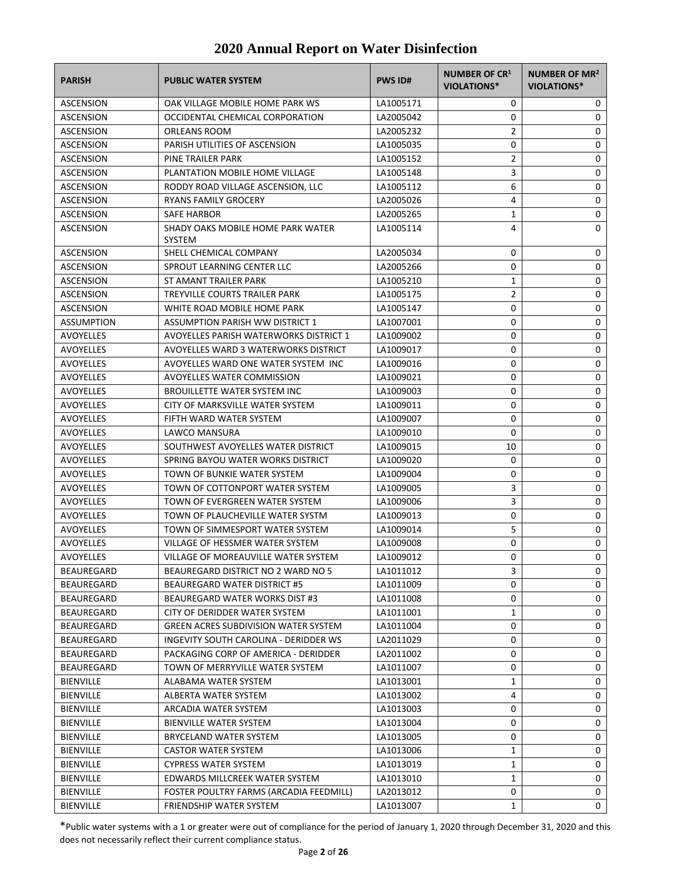| <b>PARISH</b>     | <b>PUBLIC WATER SYSTEM</b>                         | <b>PWS ID#</b> | <b>NUMBER OF CR1</b><br>VIOLATIONS* | <b>NUMBER OF MR<sup>2</sup></b><br>VIOLATIONS* |
|-------------------|----------------------------------------------------|----------------|-------------------------------------|------------------------------------------------|
| ASCENSION         | OAK VILLAGE MOBILE HOME PARK WS                    | LA1005171      | 0                                   | 0                                              |
| ASCENSION         | OCCIDENTAL CHEMICAL CORPORATION                    | LA2005042      | 0                                   | 0                                              |
| ASCENSION         | ORLEANS ROOM                                       | LA2005232      | 2                                   | 0                                              |
| ASCENSION         | PARISH UTILITIES OF ASCENSION                      | LA1005035      | 0                                   | 0                                              |
| ASCENSION         | PINE TRAILER PARK                                  | LA1005152      | 2                                   | 0                                              |
| ASCENSION         | PLANTATION MOBILE HOME VILLAGE                     | LA1005148      | 3                                   | 0                                              |
| <b>ASCENSION</b>  | RODDY ROAD VILLAGE ASCENSION, LLC                  | LA1005112      | 6                                   | 0                                              |
| ASCENSION         | RYANS FAMILY GROCERY                               | LA2005026      | 4                                   | 0                                              |
| <b>ASCENSION</b>  | <b>SAFE HARBOR</b>                                 | LA2005265      | 1                                   | 0                                              |
| ASCENSION         | SHADY OAKS MOBILE HOME PARK WATER<br><b>SYSTEM</b> | LA1005114      | 4                                   | 0                                              |
| <b>ASCENSION</b>  | SHELL CHEMICAL COMPANY                             | LA2005034      | 0                                   | 0                                              |
| ASCENSION         | SPROUT LEARNING CENTER LLC                         | LA2005266      | 0                                   | 0                                              |
| ASCENSION         | ST AMANT TRAILER PARK                              | LA1005210      | 1                                   | 0                                              |
| <b>ASCENSION</b>  | TREYVILLE COURTS TRAILER PARK                      | LA1005175      | $\overline{2}$                      | 0                                              |
| ASCENSION         | WHITE ROAD MOBILE HOME PARK                        | LA1005147      | 0                                   | 0                                              |
| <b>ASSUMPTION</b> | <b>ASSUMPTION PARISH WW DISTRICT 1</b>             | LA1007001      | 0                                   | 0                                              |
| AVOYELLES         | <b>AVOYELLES PARISH WATERWORKS DISTRICT 1</b>      | LA1009002      | 0                                   | 0                                              |
| AVOYELLES         | AVOYELLES WARD 3 WATERWORKS DISTRICT               | LA1009017      | 0                                   | 0                                              |
| AVOYELLES         | AVOYELLES WARD ONE WATER SYSTEM INC                | LA1009016      | 0                                   | 0                                              |
| <b>AVOYELLES</b>  | AVOYELLES WATER COMMISSION                         | LA1009021      | 0                                   | 0                                              |
| AVOYELLES         | <b>BROUILLETTE WATER SYSTEM INC</b>                | LA1009003      | 0                                   | 0                                              |
| AVOYELLES         | CITY OF MARKSVILLE WATER SYSTEM                    | LA1009011      | 0                                   | 0                                              |
| <b>AVOYELLES</b>  | FIFTH WARD WATER SYSTEM                            | LA1009007      | 0                                   | 0                                              |
| AVOYELLES         | LAWCO MANSURA                                      | LA1009010      | 0                                   | 0                                              |
| <b>AVOYELLES</b>  | SOUTHWEST AVOYELLES WATER DISTRICT                 | LA1009015      | 10                                  | 0                                              |
| <b>AVOYELLES</b>  | SPRING BAYOU WATER WORKS DISTRICT                  | LA1009020      | 0                                   | 0                                              |
| AVOYELLES         | TOWN OF BUNKIE WATER SYSTEM                        | LA1009004      | 0                                   | 0                                              |
| AVOYELLES         | TOWN OF COTTONPORT WATER SYSTEM                    | LA1009005      | 3                                   | 0                                              |
| AVOYELLES         | TOWN OF EVERGREEN WATER SYSTEM                     | LA1009006      | 3                                   | 0                                              |
| AVOYELLES         | TOWN OF PLAUCHEVILLE WATER SYSTM                   | LA1009013      | 0                                   | 0                                              |
| AVOYELLES         | TOWN OF SIMMESPORT WATER SYSTEM                    | LA1009014      | 5                                   | 0                                              |
| <b>AVOYELLES</b>  | VILLAGE OF HESSMER WATER SYSTEM                    | LA1009008      | 0                                   | 0                                              |
| AVOYELLES         | VILLAGE OF MOREAUVILLE WATER SYSTEM                | LA1009012      | 0                                   | $\Omega$                                       |
| BEAUREGARD        | BEAUREGARD DISTRICT NO 2 WARD NO 5                 | LA1011012      | 3                                   | 0                                              |
| BEAUREGARD        | BEAUREGARD WATER DISTRICT #5                       | LA1011009      | 0                                   | 0                                              |
| BEAUREGARD        | BEAUREGARD WATER WORKS DIST #3                     | LA1011008      | 0                                   | 0                                              |
| BEAUREGARD        | CITY OF DERIDDER WATER SYSTEM                      | LA1011001      | 1                                   | 0                                              |
| BEAUREGARD        | <b>GREEN ACRES SUBDIVISION WATER SYSTEM</b>        | LA1011004      | 0                                   | 0                                              |
| BEAUREGARD        | INGEVITY SOUTH CAROLINA - DERIDDER WS              | LA2011029      | 0                                   | 0                                              |
| BEAUREGARD        | PACKAGING CORP OF AMERICA - DERIDDER               | LA2011002      | 0                                   | 0                                              |
| BEAUREGARD        | TOWN OF MERRYVILLE WATER SYSTEM                    | LA1011007      | 0                                   | 0                                              |
| <b>BIENVILLE</b>  | ALABAMA WATER SYSTEM                               | LA1013001      | 1                                   | 0                                              |
| <b>BIENVILLE</b>  | ALBERTA WATER SYSTEM                               | LA1013002      | 4                                   | 0                                              |
| <b>BIENVILLE</b>  | ARCADIA WATER SYSTEM                               | LA1013003      | 0                                   | 0                                              |
| <b>BIENVILLE</b>  | <b>BIENVILLE WATER SYSTEM</b>                      | LA1013004      | 0                                   | 0                                              |
| <b>BIENVILLE</b>  | BRYCELAND WATER SYSTEM                             | LA1013005      | 0                                   | 0                                              |
| <b>BIENVILLE</b>  | <b>CASTOR WATER SYSTEM</b>                         | LA1013006      | 1                                   | 0                                              |
| <b>BIENVILLE</b>  | <b>CYPRESS WATER SYSTEM</b>                        | LA1013019      | 1                                   | 0                                              |
| <b>BIENVILLE</b>  | EDWARDS MILLCREEK WATER SYSTEM                     | LA1013010      | 1                                   | 0                                              |
| <b>BIENVILLE</b>  | FOSTER POULTRY FARMS (ARCADIA FEEDMILL)            | LA2013012      | 0                                   | 0                                              |
| <b>BIENVILLE</b>  | FRIENDSHIP WATER SYSTEM                            | LA1013007      | 1                                   | 0                                              |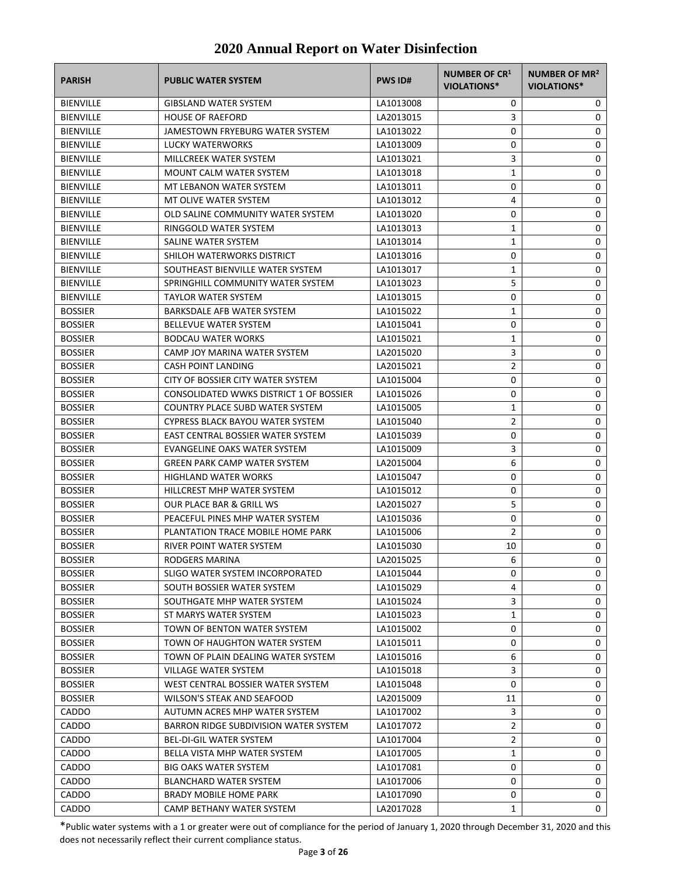| <b>PARISH</b>    | <b>PUBLIC WATER SYSTEM</b>              | <b>PWS ID#</b> | NUMBER OF CR1<br>VIOLATIONS* | <b>NUMBER OF MR<sup>2</sup></b><br>VIOLATIONS* |
|------------------|-----------------------------------------|----------------|------------------------------|------------------------------------------------|
| <b>BIENVILLE</b> | <b>GIBSLAND WATER SYSTEM</b>            | LA1013008      | 0                            | 0                                              |
| <b>BIENVILLE</b> | <b>HOUSE OF RAEFORD</b>                 | LA2013015      | 3                            | 0                                              |
| <b>BIENVILLE</b> | JAMESTOWN FRYEBURG WATER SYSTEM         | LA1013022      | 0                            | 0                                              |
| <b>BIENVILLE</b> | LUCKY WATERWORKS                        | LA1013009      | 0                            | 0                                              |
| <b>BIENVILLE</b> | MILLCREEK WATER SYSTEM                  | LA1013021      | 3                            | 0                                              |
| <b>BIENVILLE</b> | <b>MOUNT CALM WATER SYSTEM</b>          | LA1013018      | 1                            | 0                                              |
| <b>BIENVILLE</b> | MT LEBANON WATER SYSTEM                 | LA1013011      | 0                            | 0                                              |
| <b>BIENVILLE</b> | MT OLIVE WATER SYSTEM                   | LA1013012      | 4                            | 0                                              |
| <b>BIENVILLE</b> | OLD SALINE COMMUNITY WATER SYSTEM       | LA1013020      | 0                            | 0                                              |
| <b>BIENVILLE</b> | RINGGOLD WATER SYSTEM                   | LA1013013      | 1                            | 0                                              |
| <b>BIENVILLE</b> | SALINE WATER SYSTEM                     | LA1013014      | $\mathbf{1}$                 | 0                                              |
| <b>BIENVILLE</b> | SHILOH WATERWORKS DISTRICT              | LA1013016      | 0                            | 0                                              |
| <b>BIENVILLE</b> | SOUTHEAST BIENVILLE WATER SYSTEM        | LA1013017      | 1                            | 0                                              |
| <b>BIENVILLE</b> | SPRINGHILL COMMUNITY WATER SYSTEM       | LA1013023      | 5                            | 0                                              |
| <b>BIENVILLE</b> | <b>TAYLOR WATER SYSTEM</b>              | LA1013015      | 0                            | 0                                              |
| <b>BOSSIER</b>   | BARKSDALE AFB WATER SYSTEM              | LA1015022      | 1                            | 0                                              |
| <b>BOSSIER</b>   | <b>BELLEVUE WATER SYSTEM</b>            | LA1015041      | 0                            | 0                                              |
| <b>BOSSIER</b>   | <b>BODCAU WATER WORKS</b>               | LA1015021      | 1                            | 0                                              |
| <b>BOSSIER</b>   | CAMP JOY MARINA WATER SYSTEM            | LA2015020      | 3                            | 0                                              |
| <b>BOSSIER</b>   | <b>CASH POINT LANDING</b>               | LA2015021      | $\overline{2}$               | 0                                              |
| <b>BOSSIER</b>   | CITY OF BOSSIER CITY WATER SYSTEM       | LA1015004      | 0                            | 0                                              |
| <b>BOSSIER</b>   | CONSOLIDATED WWKS DISTRICT 1 OF BOSSIER | LA1015026      | 0                            | 0                                              |
| <b>BOSSIER</b>   | <b>COUNTRY PLACE SUBD WATER SYSTEM</b>  | LA1015005      | 1                            | 0                                              |
| <b>BOSSIER</b>   | CYPRESS BLACK BAYOU WATER SYSTEM        | LA1015040      | 2                            | 0                                              |
| <b>BOSSIER</b>   | EAST CENTRAL BOSSIER WATER SYSTEM       |                | 0                            | 0                                              |
|                  |                                         | LA1015039      |                              |                                                |
| <b>BOSSIER</b>   | EVANGELINE OAKS WATER SYSTEM            | LA1015009      | 3                            | 0                                              |
| <b>BOSSIER</b>   | <b>GREEN PARK CAMP WATER SYSTEM</b>     | LA2015004      | 6                            | 0                                              |
| <b>BOSSIER</b>   | <b>HIGHLAND WATER WORKS</b>             | LA1015047      | 0                            | 0                                              |
| <b>BOSSIER</b>   | HILLCREST MHP WATER SYSTEM              | LA1015012      | 0                            | 0                                              |
| <b>BOSSIER</b>   | OUR PLACE BAR & GRILL WS                | LA2015027      | 5                            | 0                                              |
| <b>BOSSIER</b>   | PEACEFUL PINES MHP WATER SYSTEM         | LA1015036      | 0                            | 0                                              |
| <b>BOSSIER</b>   | PLANTATION TRACE MOBILE HOME PARK       | LA1015006      | 2                            | 0                                              |
| <b>BOSSIER</b>   | RIVER POINT WATER SYSTEM                | LA1015030      | 10                           | 0                                              |
| <b>BOSSIER</b>   | <b>RODGERS MARINA</b>                   | LA2015025      | 6                            | $\Omega$                                       |
| <b>BOSSIER</b>   | SLIGO WATER SYSTEM INCORPORATED         | LA1015044      | 0                            | 0                                              |
| <b>BOSSIER</b>   | SOUTH BOSSIER WATER SYSTEM              | LA1015029      | 4                            | 0                                              |
| <b>BOSSIER</b>   | SOUTHGATE MHP WATER SYSTEM              | LA1015024      | 3                            | 0                                              |
| <b>BOSSIER</b>   | ST MARYS WATER SYSTEM                   | LA1015023      | 1                            | 0                                              |
| <b>BOSSIER</b>   | TOWN OF BENTON WATER SYSTEM             | LA1015002      | 0                            | 0                                              |
| <b>BOSSIER</b>   | TOWN OF HAUGHTON WATER SYSTEM           | LA1015011      | 0                            | 0                                              |
| <b>BOSSIER</b>   | TOWN OF PLAIN DEALING WATER SYSTEM      | LA1015016      | 6                            | 0                                              |
| <b>BOSSIER</b>   | VILLAGE WATER SYSTEM                    | LA1015018      | 3                            | 0                                              |
| <b>BOSSIER</b>   | WEST CENTRAL BOSSIER WATER SYSTEM       | LA1015048      | 0                            | 0                                              |
| <b>BOSSIER</b>   | WILSON'S STEAK AND SEAFOOD              | LA2015009      | 11                           | 0                                              |
| CADDO            | AUTUMN ACRES MHP WATER SYSTEM           | LA1017002      | 3                            | 0                                              |
| CADDO            | BARRON RIDGE SUBDIVISION WATER SYSTEM   | LA1017072      | 2                            | 0                                              |
| CADDO            | <b>BEL-DI-GIL WATER SYSTEM</b>          | LA1017004      | 2                            | 0                                              |
| CADDO            | BELLA VISTA MHP WATER SYSTEM            | LA1017005      | 1                            | 0                                              |
| CADDO            | <b>BIG OAKS WATER SYSTEM</b>            | LA1017081      | 0                            | 0                                              |
| CADDO            | <b>BLANCHARD WATER SYSTEM</b>           | LA1017006      | 0                            | 0                                              |
| <b>CADDO</b>     | BRADY MOBILE HOME PARK                  | LA1017090      | 0                            | 0                                              |
| CADDO            | CAMP BETHANY WATER SYSTEM               | LA2017028      | 1                            | 0                                              |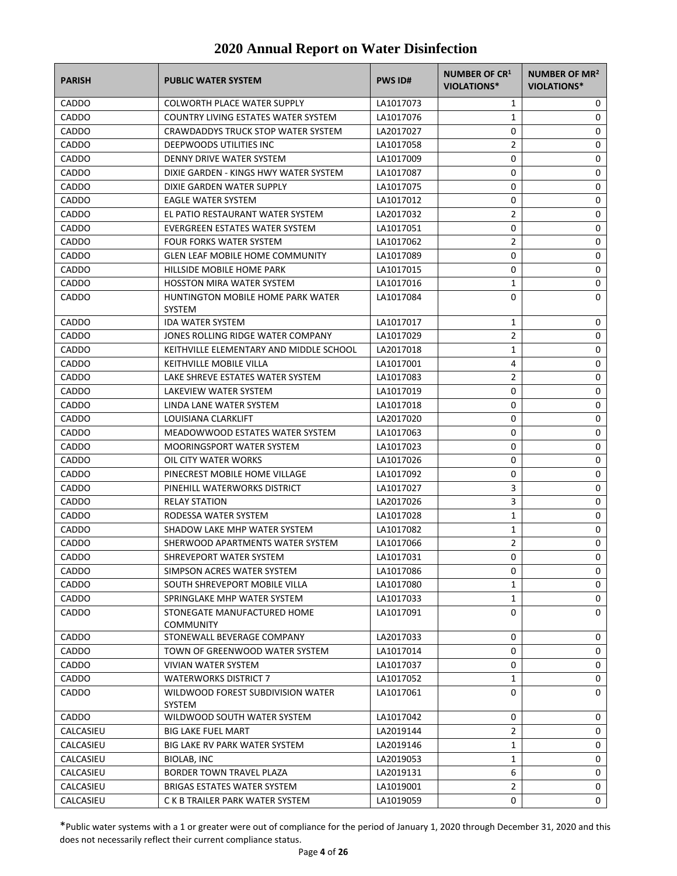| <b>PARISH</b> | <b>PUBLIC WATER SYSTEM</b>                         | <b>PWS ID#</b> | NUMBER OF CR1<br><b>VIOLATIONS*</b> | <b>NUMBER OF MR<sup>2</sup></b><br>VIOLATIONS* |
|---------------|----------------------------------------------------|----------------|-------------------------------------|------------------------------------------------|
| <b>CADDO</b>  | <b>COLWORTH PLACE WATER SUPPLY</b>                 | LA1017073      | 1                                   | 0                                              |
| CADDO         | <b>COUNTRY LIVING ESTATES WATER SYSTEM</b>         | LA1017076      | $\mathbf{1}$                        | 0                                              |
| <b>CADDO</b>  | CRAWDADDYS TRUCK STOP WATER SYSTEM                 | LA2017027      | 0                                   | 0                                              |
| CADDO         | DEEPWOODS UTILITIES INC                            | LA1017058      | 2                                   | 0                                              |
| CADDO         | DENNY DRIVE WATER SYSTEM                           | LA1017009      | 0                                   | 0                                              |
| CADDO         | DIXIE GARDEN - KINGS HWY WATER SYSTEM              | LA1017087      | 0                                   | 0                                              |
| CADDO         | DIXIE GARDEN WATER SUPPLY                          | LA1017075      | 0                                   | 0                                              |
| CADDO         | <b>EAGLE WATER SYSTEM</b>                          | LA1017012      | 0                                   | 0                                              |
| CADDO         | EL PATIO RESTAURANT WATER SYSTEM                   | LA2017032      | $\overline{2}$                      | 0                                              |
| CADDO         | EVERGREEN ESTATES WATER SYSTEM                     | LA1017051      | 0                                   | 0                                              |
| CADDO         | <b>FOUR FORKS WATER SYSTEM</b>                     | LA1017062      | $\overline{2}$                      | 0                                              |
| CADDO         | <b>GLEN LEAF MOBILE HOME COMMUNITY</b>             | LA1017089      | 0                                   | 0                                              |
| CADDO         | HILLSIDE MOBILE HOME PARK                          | LA1017015      | 0                                   | 0                                              |
| CADDO         | <b>HOSSTON MIRA WATER SYSTEM</b>                   | LA1017016      | $\mathbf{1}$                        | 0                                              |
| CADDO         | HUNTINGTON MOBILE HOME PARK WATER<br><b>SYSTEM</b> | LA1017084      | 0                                   | $\Omega$                                       |
| <b>CADDO</b>  | <b>IDA WATER SYSTEM</b>                            | LA1017017      | 1                                   | 0                                              |
| CADDO         | JONES ROLLING RIDGE WATER COMPANY                  | LA1017029      | 2                                   | 0                                              |
| CADDO         | KEITHVILLE ELEMENTARY AND MIDDLE SCHOOL            | LA2017018      | 1                                   | 0                                              |
| CADDO         | KEITHVILLE MOBILE VILLA                            | LA1017001      | 4                                   | 0                                              |
| CADDO         | LAKE SHREVE ESTATES WATER SYSTEM                   | LA1017083      | 2                                   | 0                                              |
| CADDO         | LAKEVIEW WATER SYSTEM                              | LA1017019      | 0                                   | 0                                              |
| CADDO         | LINDA LANE WATER SYSTEM                            | LA1017018      | 0                                   | 0                                              |
| CADDO         | LOUISIANA CLARKLIFT                                | LA2017020      | 0                                   | 0                                              |
| CADDO         | MEADOWWOOD ESTATES WATER SYSTEM                    | LA1017063      | 0                                   | 0                                              |
| CADDO         | <b>MOORINGSPORT WATER SYSTEM</b>                   | LA1017023      | 0                                   | 0                                              |
| CADDO         | OIL CITY WATER WORKS                               | LA1017026      | 0                                   | 0                                              |
| CADDO         | PINECREST MOBILE HOME VILLAGE                      | LA1017092      | 0                                   | 0                                              |
| CADDO         | PINEHILL WATERWORKS DISTRICT                       | LA1017027      | 3                                   | 0                                              |
| CADDO         | <b>RELAY STATION</b>                               | LA2017026      | 3                                   | 0                                              |
| CADDO         | RODESSA WATER SYSTEM                               | LA1017028      | $\mathbf{1}$                        | 0                                              |
| <b>CADDO</b>  | SHADOW LAKE MHP WATER SYSTEM                       | LA1017082      | 1                                   | 0                                              |
| CADDO         | SHERWOOD APARTMENTS WATER SYSTEM                   | LA1017066      | 2                                   | 0                                              |
| CADDO         | SHREVEPORT WATER SYSTEM                            | LA1017031      | 0                                   | $\Omega$                                       |
| CADDO         | SIMPSON ACRES WATER SYSTEM                         | LA1017086      | 0                                   | 0                                              |
| CADDO         | SOUTH SHREVEPORT MOBILE VILLA                      | LA1017080      | 1                                   | 0                                              |
| CADDO         | SPRINGLAKE MHP WATER SYSTEM                        | LA1017033      | $\mathbf{1}$                        | 0                                              |
| CADDO         | STONEGATE MANUFACTURED HOME<br><b>COMMUNITY</b>    | LA1017091      | 0                                   | $\Omega$                                       |
| CADDO         | STONEWALL BEVERAGE COMPANY                         | LA2017033      | 0                                   | 0                                              |
| CADDO         | TOWN OF GREENWOOD WATER SYSTEM                     | LA1017014      | 0                                   | 0                                              |
| CADDO         | <b>VIVIAN WATER SYSTEM</b>                         | LA1017037      | 0                                   | 0                                              |
| CADDO         | <b>WATERWORKS DISTRICT 7</b>                       | LA1017052      | 1                                   | 0                                              |
| CADDO         | WILDWOOD FOREST SUBDIVISION WATER<br>SYSTEM        | LA1017061      | 0                                   | 0                                              |
| CADDO         | WILDWOOD SOUTH WATER SYSTEM                        | LA1017042      | 0                                   | 0                                              |
| CALCASIEU     | <b>BIG LAKE FUEL MART</b>                          | LA2019144      | 2                                   | 0                                              |
| CALCASIEU     | BIG LAKE RV PARK WATER SYSTEM                      | LA2019146      | 1                                   | 0                                              |
| CALCASIEU     | <b>BIOLAB, INC</b>                                 | LA2019053      | 1                                   | 0                                              |
| CALCASIEU     | BORDER TOWN TRAVEL PLAZA                           | LA2019131      | 6                                   | 0                                              |
| CALCASIEU     | BRIGAS ESTATES WATER SYSTEM                        | LA1019001      | 2                                   | 0                                              |
| CALCASIEU     | C K B TRAILER PARK WATER SYSTEM                    | LA1019059      | 0                                   | 0                                              |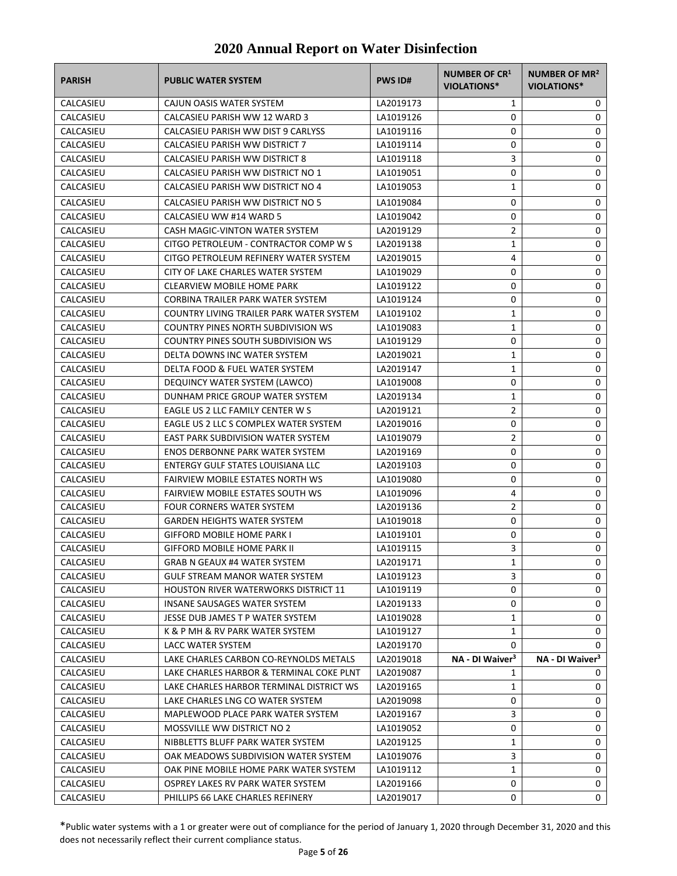| <b>PARISH</b> | <b>PUBLIC WATER SYSTEM</b>                  | <b>PWS ID#</b> | <b>NUMBER OF CR1</b><br>VIOLATIONS* | <b>NUMBER OF MR<sup>2</sup></b><br><b>VIOLATIONS*</b> |
|---------------|---------------------------------------------|----------------|-------------------------------------|-------------------------------------------------------|
| CALCASIEU     | CAJUN OASIS WATER SYSTEM                    | LA2019173      | 1                                   | 0                                                     |
| CALCASIEU     | CALCASIEU PARISH WW 12 WARD 3               | LA1019126      | 0                                   | 0                                                     |
| CALCASIEU     | CALCASIEU PARISH WW DIST 9 CARLYSS          | LA1019116      | 0                                   | 0                                                     |
| CALCASIEU     | CALCASIEU PARISH WW DISTRICT 7              | LA1019114      | 0                                   | 0                                                     |
| CALCASIEU     | CALCASIEU PARISH WW DISTRICT 8              | LA1019118      | 3                                   | 0                                                     |
| CALCASIEU     | CALCASIEU PARISH WW DISTRICT NO 1           | LA1019051      | 0                                   | 0                                                     |
| CALCASIEU     | CALCASIEU PARISH WW DISTRICT NO 4           | LA1019053      | 1                                   | 0                                                     |
| CALCASIEU     | CALCASIEU PARISH WW DISTRICT NO 5           | LA1019084      | 0                                   | 0                                                     |
| CALCASIEU     | CALCASIEU WW #14 WARD 5                     | LA1019042      | 0                                   | 0                                                     |
| CALCASIEU     | CASH MAGIC-VINTON WATER SYSTEM              | LA2019129      | 2                                   | 0                                                     |
| CALCASIEU     | CITGO PETROLEUM - CONTRACTOR COMP W S       | LA2019138      | 1                                   | 0                                                     |
| CALCASIEU     | CITGO PETROLEUM REFINERY WATER SYSTEM       | LA2019015      | 4                                   | 0                                                     |
| CALCASIEU     | CITY OF LAKE CHARLES WATER SYSTEM           | LA1019029      | 0                                   | 0                                                     |
| CALCASIEU     | <b>CLEARVIEW MOBILE HOME PARK</b>           | LA1019122      | 0                                   | 0                                                     |
| CALCASIEU     | CORBINA TRAILER PARK WATER SYSTEM           | LA1019124      | 0                                   | 0                                                     |
| CALCASIEU     | COUNTRY LIVING TRAILER PARK WATER SYSTEM    | LA1019102      | 1                                   | 0                                                     |
| CALCASIEU     | COUNTRY PINES NORTH SUBDIVISION WS          | LA1019083      | 1                                   | 0                                                     |
| CALCASIEU     | <b>COUNTRY PINES SOUTH SUBDIVISION WS</b>   | LA1019129      | 0                                   | 0                                                     |
| CALCASIEU     | DELTA DOWNS INC WATER SYSTEM                | LA2019021      | 1                                   | 0                                                     |
| CALCASIEU     | DELTA FOOD & FUEL WATER SYSTEM              | LA2019147      | 1                                   | 0                                                     |
| CALCASIEU     | DEQUINCY WATER SYSTEM (LAWCO)               | LA1019008      | 0                                   | 0                                                     |
| CALCASIEU     | DUNHAM PRICE GROUP WATER SYSTEM             | LA2019134      | 1                                   | 0                                                     |
| CALCASIEU     | EAGLE US 2 LLC FAMILY CENTER W S            | LA2019121      | $\overline{2}$                      | 0                                                     |
| CALCASIEU     | EAGLE US 2 LLC S COMPLEX WATER SYSTEM       | LA2019016      | 0                                   | 0                                                     |
| CALCASIEU     | EAST PARK SUBDIVISION WATER SYSTEM          | LA1019079      | 2                                   | 0                                                     |
| CALCASIEU     | <b>ENOS DERBONNE PARK WATER SYSTEM</b>      | LA2019169      | 0                                   | 0                                                     |
| CALCASIEU     | <b>ENTERGY GULF STATES LOUISIANA LLC</b>    | LA2019103      | 0                                   | 0                                                     |
| CALCASIEU     | <b>FAIRVIEW MOBILE ESTATES NORTH WS</b>     | LA1019080      | 0                                   | 0                                                     |
| CALCASIEU     | <b>FAIRVIEW MOBILE ESTATES SOUTH WS</b>     | LA1019096      | 4                                   | 0                                                     |
| CALCASIEU     | <b>FOUR CORNERS WATER SYSTEM</b>            | LA2019136      | 2                                   | 0                                                     |
| CALCASIEU     | <b>GARDEN HEIGHTS WATER SYSTEM</b>          | LA1019018      | 0                                   | 0                                                     |
| CALCASIEU     | <b>GIFFORD MOBILE HOME PARK I</b>           | LA1019101      | 0                                   | 0                                                     |
| CALCASIEU     | <b>GIFFORD MOBILE HOME PARK II</b>          | LA1019115      | 3                                   | 0                                                     |
| CALCASIEU     | GRAB N GEAUX #4 WATER SYSTEM                | LA2019171      | $\mathbf{1}$                        | 0                                                     |
| CALCASIEU     | <b>GULF STREAM MANOR WATER SYSTEM</b>       | LA1019123      | 3                                   | 0                                                     |
| CALCASIEU     | <b>HOUSTON RIVER WATERWORKS DISTRICT 11</b> | LA1019119      | 0                                   | 0                                                     |
| CALCASIEU     | INSANE SAUSAGES WATER SYSTEM                | LA2019133      | 0                                   | 0                                                     |
| CALCASIEU     | JESSE DUB JAMES T P WATER SYSTEM            | LA1019028      | 1                                   | 0                                                     |
| CALCASIEU     | K & P MH & RV PARK WATER SYSTEM             | LA1019127      | 1                                   | 0                                                     |
| CALCASIEU     | LACC WATER SYSTEM                           | LA2019170      | 0                                   | 0                                                     |
| CALCASIEU     | LAKE CHARLES CARBON CO-REYNOLDS METALS      | LA2019018      | NA - DI Waiver <sup>3</sup>         | NA - DI Waiver <sup>3</sup>                           |
| CALCASIEU     | LAKE CHARLES HARBOR & TERMINAL COKE PLNT    | LA2019087      | 1                                   | 0                                                     |
| CALCASIEU     | LAKE CHARLES HARBOR TERMINAL DISTRICT WS    | LA2019165      | 1                                   | 0                                                     |
| CALCASIEU     | LAKE CHARLES LNG CO WATER SYSTEM            | LA2019098      | 0                                   | 0                                                     |
| CALCASIEU     | MAPLEWOOD PLACE PARK WATER SYSTEM           | LA2019167      | 3                                   | 0                                                     |
| CALCASIEU     | MOSSVILLE WW DISTRICT NO 2                  | LA1019052      | 0                                   | 0                                                     |
| CALCASIEU     | NIBBLETTS BLUFF PARK WATER SYSTEM           | LA2019125      | 1                                   | 0                                                     |
| CALCASIEU     | OAK MEADOWS SUBDIVISION WATER SYSTEM        | LA1019076      | 3                                   | 0                                                     |
| CALCASIEU     | OAK PINE MOBILE HOME PARK WATER SYSTEM      | LA1019112      | 1                                   | 0                                                     |
| CALCASIEU     | OSPREY LAKES RV PARK WATER SYSTEM           | LA2019166      | 0                                   | 0                                                     |
| CALCASIEU     | PHILLIPS 66 LAKE CHARLES REFINERY           | LA2019017      | 0                                   | 0                                                     |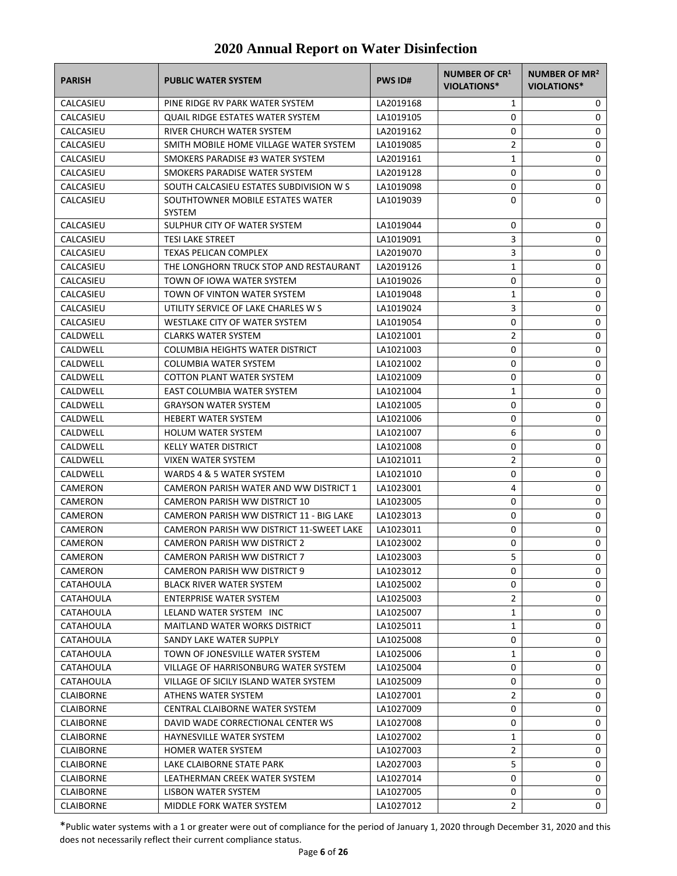| <b>PARISH</b>    | <b>PUBLIC WATER SYSTEM</b>                 | <b>PWS ID#</b> | NUMBER OF CR1<br><b>VIOLATIONS*</b> | NUMBER OF MR <sup>2</sup><br><b>VIOLATIONS*</b> |
|------------------|--------------------------------------------|----------------|-------------------------------------|-------------------------------------------------|
| CALCASIEU        | PINE RIDGE RV PARK WATER SYSTEM            | LA2019168      | 1                                   | 0                                               |
| CALCASIEU        | QUAIL RIDGE ESTATES WATER SYSTEM           | LA1019105      | 0                                   | 0                                               |
| CALCASIEU        | RIVER CHURCH WATER SYSTEM                  | LA2019162      | 0                                   | 0                                               |
| CALCASIEU        | SMITH MOBILE HOME VILLAGE WATER SYSTEM     | LA1019085      | 2                                   | 0                                               |
| CALCASIEU        | SMOKERS PARADISE #3 WATER SYSTEM           | LA2019161      | 1                                   | 0                                               |
| CALCASIEU        | SMOKERS PARADISE WATER SYSTEM              | LA2019128      | 0                                   | 0                                               |
| CALCASIEU        | SOUTH CALCASIEU ESTATES SUBDIVISION W S    | LA1019098      | 0                                   | 0                                               |
| CALCASIEU        | SOUTHTOWNER MOBILE ESTATES WATER<br>SYSTEM | LA1019039      | 0                                   | 0                                               |
| CALCASIEU        | SULPHUR CITY OF WATER SYSTEM               | LA1019044      | 0                                   | 0                                               |
| CALCASIEU        | <b>TESI LAKE STREET</b>                    | LA1019091      | 3                                   | 0                                               |
| CALCASIEU        | TEXAS PELICAN COMPLEX                      | LA2019070      | 3                                   | 0                                               |
| CALCASIEU        | THE LONGHORN TRUCK STOP AND RESTAURANT     | LA2019126      | 1                                   | 0                                               |
| CALCASIEU        | TOWN OF IOWA WATER SYSTEM                  | LA1019026      | 0                                   | 0                                               |
| CALCASIEU        | TOWN OF VINTON WATER SYSTEM                | LA1019048      | 1                                   | 0                                               |
| CALCASIEU        | UTILITY SERVICE OF LAKE CHARLES W S        | LA1019024      | 3                                   | 0                                               |
| CALCASIEU        | WESTLAKE CITY OF WATER SYSTEM              | LA1019054      | 0                                   | 0                                               |
| CALDWELL         | <b>CLARKS WATER SYSTEM</b>                 | LA1021001      | $\overline{2}$                      | 0                                               |
| CALDWELL         | COLUMBIA HEIGHTS WATER DISTRICT            | LA1021003      | 0                                   | 0                                               |
| CALDWELL         | COLUMBIA WATER SYSTEM                      | LA1021002      | 0                                   | 0                                               |
| CALDWELL         | <b>COTTON PLANT WATER SYSTEM</b>           | LA1021009      | 0                                   | 0                                               |
| CALDWELL         | EAST COLUMBIA WATER SYSTEM                 | LA1021004      | 1                                   | 0                                               |
| CALDWELL         | <b>GRAYSON WATER SYSTEM</b>                | LA1021005      | 0                                   | 0                                               |
| CALDWELL         | <b>HEBERT WATER SYSTEM</b>                 | LA1021006      | 0                                   | 0                                               |
| CALDWELL         | <b>HOLUM WATER SYSTEM</b>                  | LA1021007      | 6                                   | 0                                               |
| CALDWELL         | KELLY WATER DISTRICT                       | LA1021008      | 0                                   | 0                                               |
| CALDWELL         | <b>VIXEN WATER SYSTEM</b>                  | LA1021011      | 2                                   | 0                                               |
| CALDWELL         | WARDS 4 & 5 WATER SYSTEM                   | LA1021010      | 0                                   | 0                                               |
| CAMERON          | CAMERON PARISH WATER AND WW DISTRICT 1     | LA1023001      | 4                                   | 0                                               |
| CAMERON          | CAMERON PARISH WW DISTRICT 10              | LA1023005      | 0                                   | 0                                               |
| CAMERON          | CAMERON PARISH WW DISTRICT 11 - BIG LAKE   | LA1023013      | 0                                   | 0                                               |
| CAMERON          | CAMERON PARISH WW DISTRICT 11-SWEET LAKE   | LA1023011      | 0                                   | 0                                               |
| CAMERON          | <b>CAMERON PARISH WW DISTRICT 2</b>        | LA1023002      | 0                                   | 0                                               |
| CAMERON          | CAMERON PARISH WW DISTRICT 7               | LA1023003      | 5                                   | 0                                               |
| CAMERON          | CAMERON PARISH WW DISTRICT 9               | LA1023012      | 0                                   | 0                                               |
| CATAHOULA        | BLACK RIVER WATER SYSTEM                   | LA1025002      | 0                                   | 0                                               |
| CATAHOULA        | ENTERPRISE WATER SYSTEM                    | LA1025003      | 2                                   | 0                                               |
| CATAHOULA        | LELAND WATER SYSTEM INC                    | LA1025007      | 1                                   | 0                                               |
| CATAHOULA        | <b>MAITLAND WATER WORKS DISTRICT</b>       | LA1025011      | 1                                   | 0                                               |
| CATAHOULA        | SANDY LAKE WATER SUPPLY                    | LA1025008      | 0                                   | 0                                               |
| CATAHOULA        | TOWN OF JONESVILLE WATER SYSTEM            | LA1025006      | 1                                   | 0                                               |
| <b>CATAHOULA</b> | VILLAGE OF HARRISONBURG WATER SYSTEM       | LA1025004      | 0                                   | 0                                               |
| <b>CATAHOULA</b> | VILLAGE OF SICILY ISLAND WATER SYSTEM      | LA1025009      | 0                                   | 0                                               |
| CLAIBORNE        | ATHENS WATER SYSTEM                        | LA1027001      | 2                                   | 0                                               |
| <b>CLAIBORNE</b> | CENTRAL CLAIBORNE WATER SYSTEM             | LA1027009      | 0                                   | 0                                               |
| <b>CLAIBORNE</b> | DAVID WADE CORRECTIONAL CENTER WS          | LA1027008      | 0                                   | 0                                               |
| <b>CLAIBORNE</b> | HAYNESVILLE WATER SYSTEM                   | LA1027002      | 1                                   | 0                                               |
| <b>CLAIBORNE</b> | <b>HOMER WATER SYSTEM</b>                  | LA1027003      | 2                                   | 0                                               |
| <b>CLAIBORNE</b> | LAKE CLAIBORNE STATE PARK                  | LA2027003      | 5                                   | 0                                               |
| <b>CLAIBORNE</b> | LEATHERMAN CREEK WATER SYSTEM              | LA1027014      | 0                                   | 0                                               |
| <b>CLAIBORNE</b> | LISBON WATER SYSTEM                        | LA1027005      | 0                                   | 0                                               |
| <b>CLAIBORNE</b> | MIDDLE FORK WATER SYSTEM                   | LA1027012      | 2                                   | 0                                               |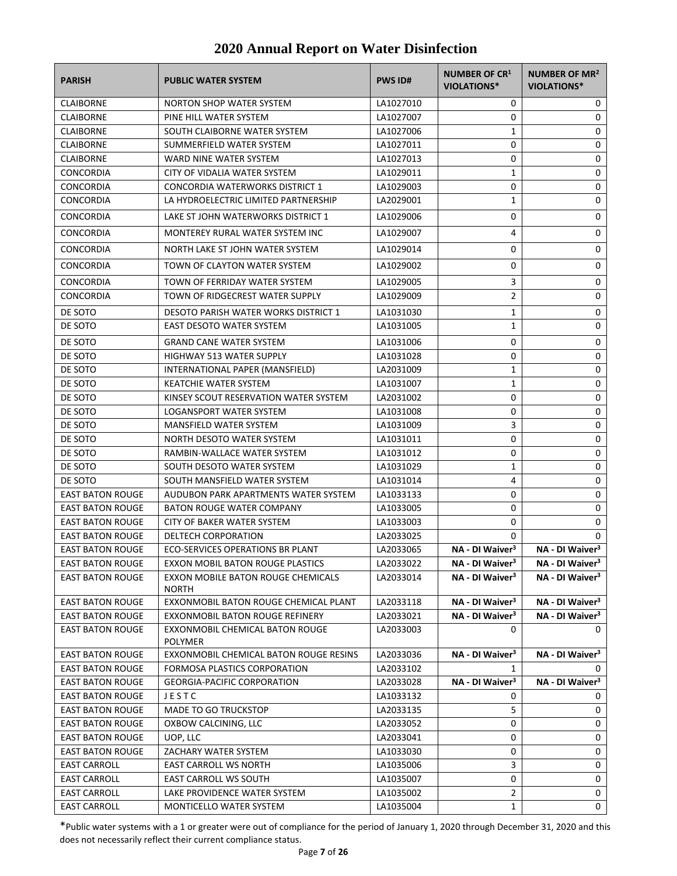| <b>PARISH</b>           | <b>PUBLIC WATER SYSTEM</b>                         | <b>PWS ID#</b> | NUMBER OF CR1<br><b>VIOLATIONS*</b> | NUMBER OF MR <sup>2</sup><br><b>VIOLATIONS*</b> |
|-------------------------|----------------------------------------------------|----------------|-------------------------------------|-------------------------------------------------|
| <b>CLAIBORNE</b>        | <b>NORTON SHOP WATER SYSTEM</b>                    | LA1027010      | 0                                   | 0                                               |
| <b>CLAIBORNE</b>        | PINE HILL WATER SYSTEM                             | LA1027007      | 0                                   | 0                                               |
| <b>CLAIBORNE</b>        | SOUTH CLAIBORNE WATER SYSTEM                       | LA1027006      | $\mathbf{1}$                        | 0                                               |
| <b>CLAIBORNE</b>        | SUMMERFIELD WATER SYSTEM                           | LA1027011      | 0                                   | 0                                               |
| <b>CLAIBORNE</b>        | WARD NINE WATER SYSTEM                             | LA1027013      | 0                                   | 0                                               |
| CONCORDIA               | CITY OF VIDALIA WATER SYSTEM                       | LA1029011      | $\mathbf{1}$                        | 0                                               |
| <b>CONCORDIA</b>        | CONCORDIA WATERWORKS DISTRICT 1                    | LA1029003      | 0                                   | 0                                               |
| <b>CONCORDIA</b>        | LA HYDROELECTRIC LIMITED PARTNERSHIP               | LA2029001      | 1                                   | 0                                               |
| <b>CONCORDIA</b>        | LAKE ST JOHN WATERWORKS DISTRICT 1                 | LA1029006      | 0                                   | 0                                               |
| <b>CONCORDIA</b>        | MONTEREY RURAL WATER SYSTEM INC                    | LA1029007      | 4                                   | 0                                               |
| <b>CONCORDIA</b>        | NORTH LAKE ST JOHN WATER SYSTEM                    | LA1029014      | 0                                   | 0                                               |
| <b>CONCORDIA</b>        | TOWN OF CLAYTON WATER SYSTEM                       | LA1029002      | 0                                   | 0                                               |
| <b>CONCORDIA</b>        | TOWN OF FERRIDAY WATER SYSTEM                      | LA1029005      | 3                                   | 0                                               |
| <b>CONCORDIA</b>        | TOWN OF RIDGECREST WATER SUPPLY                    | LA1029009      | $\overline{2}$                      | 0                                               |
| DE SOTO                 | DESOTO PARISH WATER WORKS DISTRICT 1               | LA1031030      | $\mathbf{1}$                        | 0                                               |
| DE SOTO                 | EAST DESOTO WATER SYSTEM                           | LA1031005      | $\mathbf{1}$                        | 0                                               |
| DE SOTO                 | <b>GRAND CANE WATER SYSTEM</b>                     | LA1031006      | 0                                   | 0                                               |
| DE SOTO                 | <b>HIGHWAY 513 WATER SUPPLY</b>                    | LA1031028      | 0                                   | 0                                               |
| DE SOTO                 | INTERNATIONAL PAPER (MANSFIELD)                    | LA2031009      | 1                                   | 0                                               |
| DE SOTO                 | <b>KEATCHIE WATER SYSTEM</b>                       | LA1031007      | $\mathbf{1}$                        | 0                                               |
| DE SOTO                 | KINSEY SCOUT RESERVATION WATER SYSTEM              | LA2031002      | 0                                   | 0                                               |
| DE SOTO                 | LOGANSPORT WATER SYSTEM                            | LA1031008      | 0                                   | 0                                               |
| DE SOTO                 | <b>MANSFIELD WATER SYSTEM</b>                      | LA1031009      | 3                                   | 0                                               |
| DE SOTO                 | NORTH DESOTO WATER SYSTEM                          | LA1031011      | 0                                   | 0                                               |
| DE SOTO                 | RAMBIN-WALLACE WATER SYSTEM                        | LA1031012      | 0                                   | 0                                               |
| DE SOTO                 | SOUTH DESOTO WATER SYSTEM                          | LA1031029      | $\mathbf{1}$                        | 0                                               |
| DE SOTO                 | SOUTH MANSFIELD WATER SYSTEM                       | LA1031014      | 4                                   | 0                                               |
| <b>EAST BATON ROUGE</b> | AUDUBON PARK APARTMENTS WATER SYSTEM               | LA1033133      | 0                                   | 0                                               |
| <b>EAST BATON ROUGE</b> | <b>BATON ROUGE WATER COMPANY</b>                   | LA1033005      | 0                                   | 0                                               |
| <b>EAST BATON ROUGE</b> | CITY OF BAKER WATER SYSTEM                         | LA1033003      | 0                                   | 0                                               |
| <b>EAST BATON ROUGE</b> | DELTECH CORPORATION                                | LA2033025      | 0                                   | 0                                               |
| <b>EAST BATON ROUGE</b> | ECO-SERVICES OPERATIONS BR PLANT                   | LA2033065      | NA - DI Waiver <sup>3</sup>         | NA - DI Waiver <sup>3</sup>                     |
| <b>EAST BATON ROUGE</b> | EXXON MOBIL BATON ROUGE PLASTICS                   | LA2033022      | NA - DI Waiver <sup>3</sup>         | NA - DI Waiver <sup>3</sup>                     |
| <b>EAST BATON ROUGE</b> | EXXON MOBILE BATON ROUGE CHEMICALS<br><b>NORTH</b> | LA2033014      | NA - DI Waiver <sup>3</sup>         | NA - DI Waiver <sup>3</sup>                     |
| <b>EAST BATON ROUGE</b> | EXXONMOBIL BATON ROUGE CHEMICAL PLANT              | LA2033118      | NA - DI Waiver <sup>3</sup>         | NA - DI Waiver <sup>3</sup>                     |
| <b>EAST BATON ROUGE</b> | EXXONMOBIL BATON ROUGE REFINERY                    | LA2033021      | NA - DI Waiver <sup>3</sup>         | NA - DI Waiver <sup>3</sup>                     |
| <b>EAST BATON ROUGE</b> | EXXONMOBIL CHEMICAL BATON ROUGE<br><b>POLYMER</b>  | LA2033003      | 0                                   | 0                                               |
| <b>EAST BATON ROUGE</b> | EXXONMOBIL CHEMICAL BATON ROUGE RESINS             | LA2033036      | NA - DI Waiver <sup>3</sup>         | NA - DI Waiver <sup>3</sup>                     |
| <b>EAST BATON ROUGE</b> | FORMOSA PLASTICS CORPORATION                       | LA2033102      | 1                                   | 0                                               |
| <b>EAST BATON ROUGE</b> | <b>GEORGIA-PACIFIC CORPORATION</b>                 | LA2033028      | NA - DI Waiver <sup>3</sup>         | NA - DI Waiver <sup>3</sup>                     |
| <b>EAST BATON ROUGE</b> | JESTC                                              | LA1033132      | 0                                   | 0                                               |
| <b>EAST BATON ROUGE</b> | MADE TO GO TRUCKSTOP                               | LA2033135      | 5                                   | 0                                               |
| <b>EAST BATON ROUGE</b> | OXBOW CALCINING, LLC                               | LA2033052      | 0                                   | 0                                               |
| <b>EAST BATON ROUGE</b> | UOP, LLC                                           | LA2033041      | 0                                   | 0                                               |
| <b>EAST BATON ROUGE</b> | ZACHARY WATER SYSTEM                               | LA1033030      | 0                                   | 0                                               |
| <b>EAST CARROLL</b>     | <b>EAST CARROLL WS NORTH</b>                       | LA1035006      | 3                                   | 0                                               |
| <b>EAST CARROLL</b>     | EAST CARROLL WS SOUTH                              | LA1035007      | 0                                   | 0                                               |
| <b>EAST CARROLL</b>     | LAKE PROVIDENCE WATER SYSTEM                       | LA1035002      | $\overline{2}$                      | 0                                               |
| <b>EAST CARROLL</b>     | MONTICELLO WATER SYSTEM                            | LA1035004      | 1                                   | 0                                               |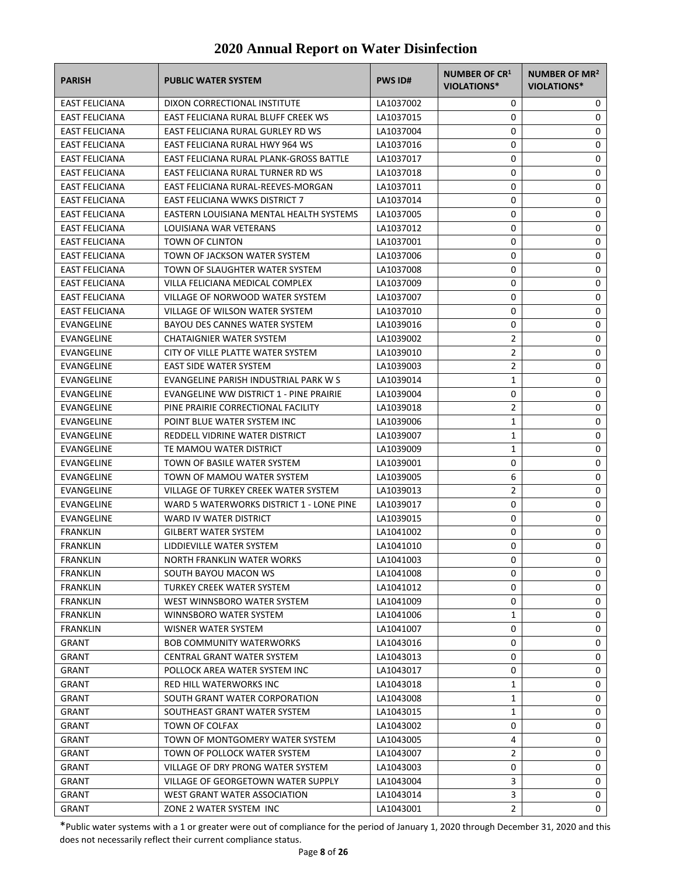| EAST FELICIANA<br>DIXON CORRECTIONAL INSTITUTE<br>LA1037002<br>0<br>0<br>EAST FELICIANA RURAL BLUFF CREEK WS<br>0<br>0<br><b>EAST FELICIANA</b><br>LA1037015<br>0<br>0<br><b>EAST FELICIANA</b><br>EAST FELICIANA RURAL GURLEY RD WS<br>LA1037004<br>EAST FELICIANA RURAL HWY 964 WS<br>0<br>0<br><b>EAST FELICIANA</b><br>LA1037016<br><b>EAST FELICIANA</b><br>EAST FELICIANA RURAL PLANK-GROSS BATTLE<br>0<br>0<br>LA1037017<br>0<br>0<br><b>EAST FELICIANA</b><br>EAST FELICIANA RURAL TURNER RD WS<br>LA1037018<br>0<br>0<br>EAST FELICIANA<br>EAST FELICIANA RURAL-REEVES-MORGAN<br>LA1037011<br><b>EAST FELICIANA WWKS DISTRICT 7</b><br>0<br>0<br><b>EAST FELICIANA</b><br>LA1037014<br>EASTERN LOUISIANA MENTAL HEALTH SYSTEMS<br>0<br>0<br><b>EAST FELICIANA</b><br>LA1037005<br><b>EAST FELICIANA</b><br>LOUISIANA WAR VETERANS<br>LA1037012<br>0<br>0<br><b>TOWN OF CLINTON</b><br>0<br>0<br>EAST FELICIANA<br>LA1037001<br>TOWN OF JACKSON WATER SYSTEM<br>0<br>0<br><b>EAST FELICIANA</b><br>LA1037006<br>0<br>EAST FELICIANA<br>TOWN OF SLAUGHTER WATER SYSTEM<br>LA1037008<br>0<br>VILLA FELICIANA MEDICAL COMPLEX<br>0<br>0<br><b>EAST FELICIANA</b><br>LA1037009<br>0<br>0<br><b>EAST FELICIANA</b><br>VILLAGE OF NORWOOD WATER SYSTEM<br>LA1037007<br>0<br>0<br><b>EAST FELICIANA</b><br>VILLAGE OF WILSON WATER SYSTEM<br>LA1037010<br>0<br>BAYOU DES CANNES WATER SYSTEM<br>0<br>EVANGELINE<br>LA1039016<br>2<br>0<br>EVANGELINE<br>CHATAIGNIER WATER SYSTEM<br>LA1039002<br>$\overline{2}$<br>0<br>EVANGELINE<br>CITY OF VILLE PLATTE WATER SYSTEM<br>LA1039010<br>2<br>0<br>EVANGELINE<br>EAST SIDE WATER SYSTEM<br>LA1039003<br>0<br>1<br>EVANGELINE<br>EVANGELINE PARISH INDUSTRIAL PARK W S<br>LA1039014<br><b>EVANGELINE</b><br>EVANGELINE WW DISTRICT 1 - PINE PRAIRIE<br>LA1039004<br>0<br>0<br>$\overline{2}$<br>0<br>EVANGELINE<br>PINE PRAIRIE CORRECTIONAL FACILITY<br>LA1039018 |
|-------------------------------------------------------------------------------------------------------------------------------------------------------------------------------------------------------------------------------------------------------------------------------------------------------------------------------------------------------------------------------------------------------------------------------------------------------------------------------------------------------------------------------------------------------------------------------------------------------------------------------------------------------------------------------------------------------------------------------------------------------------------------------------------------------------------------------------------------------------------------------------------------------------------------------------------------------------------------------------------------------------------------------------------------------------------------------------------------------------------------------------------------------------------------------------------------------------------------------------------------------------------------------------------------------------------------------------------------------------------------------------------------------------------------------------------------------------------------------------------------------------------------------------------------------------------------------------------------------------------------------------------------------------------------------------------------------------------------------------------------------------------------------------------------------------------------------------------------------------------------------------------------------------------|
|                                                                                                                                                                                                                                                                                                                                                                                                                                                                                                                                                                                                                                                                                                                                                                                                                                                                                                                                                                                                                                                                                                                                                                                                                                                                                                                                                                                                                                                                                                                                                                                                                                                                                                                                                                                                                                                                                                                   |
|                                                                                                                                                                                                                                                                                                                                                                                                                                                                                                                                                                                                                                                                                                                                                                                                                                                                                                                                                                                                                                                                                                                                                                                                                                                                                                                                                                                                                                                                                                                                                                                                                                                                                                                                                                                                                                                                                                                   |
|                                                                                                                                                                                                                                                                                                                                                                                                                                                                                                                                                                                                                                                                                                                                                                                                                                                                                                                                                                                                                                                                                                                                                                                                                                                                                                                                                                                                                                                                                                                                                                                                                                                                                                                                                                                                                                                                                                                   |
|                                                                                                                                                                                                                                                                                                                                                                                                                                                                                                                                                                                                                                                                                                                                                                                                                                                                                                                                                                                                                                                                                                                                                                                                                                                                                                                                                                                                                                                                                                                                                                                                                                                                                                                                                                                                                                                                                                                   |
|                                                                                                                                                                                                                                                                                                                                                                                                                                                                                                                                                                                                                                                                                                                                                                                                                                                                                                                                                                                                                                                                                                                                                                                                                                                                                                                                                                                                                                                                                                                                                                                                                                                                                                                                                                                                                                                                                                                   |
|                                                                                                                                                                                                                                                                                                                                                                                                                                                                                                                                                                                                                                                                                                                                                                                                                                                                                                                                                                                                                                                                                                                                                                                                                                                                                                                                                                                                                                                                                                                                                                                                                                                                                                                                                                                                                                                                                                                   |
|                                                                                                                                                                                                                                                                                                                                                                                                                                                                                                                                                                                                                                                                                                                                                                                                                                                                                                                                                                                                                                                                                                                                                                                                                                                                                                                                                                                                                                                                                                                                                                                                                                                                                                                                                                                                                                                                                                                   |
|                                                                                                                                                                                                                                                                                                                                                                                                                                                                                                                                                                                                                                                                                                                                                                                                                                                                                                                                                                                                                                                                                                                                                                                                                                                                                                                                                                                                                                                                                                                                                                                                                                                                                                                                                                                                                                                                                                                   |
|                                                                                                                                                                                                                                                                                                                                                                                                                                                                                                                                                                                                                                                                                                                                                                                                                                                                                                                                                                                                                                                                                                                                                                                                                                                                                                                                                                                                                                                                                                                                                                                                                                                                                                                                                                                                                                                                                                                   |
|                                                                                                                                                                                                                                                                                                                                                                                                                                                                                                                                                                                                                                                                                                                                                                                                                                                                                                                                                                                                                                                                                                                                                                                                                                                                                                                                                                                                                                                                                                                                                                                                                                                                                                                                                                                                                                                                                                                   |
|                                                                                                                                                                                                                                                                                                                                                                                                                                                                                                                                                                                                                                                                                                                                                                                                                                                                                                                                                                                                                                                                                                                                                                                                                                                                                                                                                                                                                                                                                                                                                                                                                                                                                                                                                                                                                                                                                                                   |
|                                                                                                                                                                                                                                                                                                                                                                                                                                                                                                                                                                                                                                                                                                                                                                                                                                                                                                                                                                                                                                                                                                                                                                                                                                                                                                                                                                                                                                                                                                                                                                                                                                                                                                                                                                                                                                                                                                                   |
|                                                                                                                                                                                                                                                                                                                                                                                                                                                                                                                                                                                                                                                                                                                                                                                                                                                                                                                                                                                                                                                                                                                                                                                                                                                                                                                                                                                                                                                                                                                                                                                                                                                                                                                                                                                                                                                                                                                   |
|                                                                                                                                                                                                                                                                                                                                                                                                                                                                                                                                                                                                                                                                                                                                                                                                                                                                                                                                                                                                                                                                                                                                                                                                                                                                                                                                                                                                                                                                                                                                                                                                                                                                                                                                                                                                                                                                                                                   |
|                                                                                                                                                                                                                                                                                                                                                                                                                                                                                                                                                                                                                                                                                                                                                                                                                                                                                                                                                                                                                                                                                                                                                                                                                                                                                                                                                                                                                                                                                                                                                                                                                                                                                                                                                                                                                                                                                                                   |
|                                                                                                                                                                                                                                                                                                                                                                                                                                                                                                                                                                                                                                                                                                                                                                                                                                                                                                                                                                                                                                                                                                                                                                                                                                                                                                                                                                                                                                                                                                                                                                                                                                                                                                                                                                                                                                                                                                                   |
|                                                                                                                                                                                                                                                                                                                                                                                                                                                                                                                                                                                                                                                                                                                                                                                                                                                                                                                                                                                                                                                                                                                                                                                                                                                                                                                                                                                                                                                                                                                                                                                                                                                                                                                                                                                                                                                                                                                   |
|                                                                                                                                                                                                                                                                                                                                                                                                                                                                                                                                                                                                                                                                                                                                                                                                                                                                                                                                                                                                                                                                                                                                                                                                                                                                                                                                                                                                                                                                                                                                                                                                                                                                                                                                                                                                                                                                                                                   |
|                                                                                                                                                                                                                                                                                                                                                                                                                                                                                                                                                                                                                                                                                                                                                                                                                                                                                                                                                                                                                                                                                                                                                                                                                                                                                                                                                                                                                                                                                                                                                                                                                                                                                                                                                                                                                                                                                                                   |
|                                                                                                                                                                                                                                                                                                                                                                                                                                                                                                                                                                                                                                                                                                                                                                                                                                                                                                                                                                                                                                                                                                                                                                                                                                                                                                                                                                                                                                                                                                                                                                                                                                                                                                                                                                                                                                                                                                                   |
|                                                                                                                                                                                                                                                                                                                                                                                                                                                                                                                                                                                                                                                                                                                                                                                                                                                                                                                                                                                                                                                                                                                                                                                                                                                                                                                                                                                                                                                                                                                                                                                                                                                                                                                                                                                                                                                                                                                   |
|                                                                                                                                                                                                                                                                                                                                                                                                                                                                                                                                                                                                                                                                                                                                                                                                                                                                                                                                                                                                                                                                                                                                                                                                                                                                                                                                                                                                                                                                                                                                                                                                                                                                                                                                                                                                                                                                                                                   |
|                                                                                                                                                                                                                                                                                                                                                                                                                                                                                                                                                                                                                                                                                                                                                                                                                                                                                                                                                                                                                                                                                                                                                                                                                                                                                                                                                                                                                                                                                                                                                                                                                                                                                                                                                                                                                                                                                                                   |
| POINT BLUE WATER SYSTEM INC<br>0<br>EVANGELINE<br>LA1039006<br>1                                                                                                                                                                                                                                                                                                                                                                                                                                                                                                                                                                                                                                                                                                                                                                                                                                                                                                                                                                                                                                                                                                                                                                                                                                                                                                                                                                                                                                                                                                                                                                                                                                                                                                                                                                                                                                                  |
| EVANGELINE<br>REDDELL VIDRINE WATER DISTRICT<br>LA1039007<br>1<br>0                                                                                                                                                                                                                                                                                                                                                                                                                                                                                                                                                                                                                                                                                                                                                                                                                                                                                                                                                                                                                                                                                                                                                                                                                                                                                                                                                                                                                                                                                                                                                                                                                                                                                                                                                                                                                                               |
| 1<br>0<br>EVANGELINE<br>TE MAMOU WATER DISTRICT<br>LA1039009                                                                                                                                                                                                                                                                                                                                                                                                                                                                                                                                                                                                                                                                                                                                                                                                                                                                                                                                                                                                                                                                                                                                                                                                                                                                                                                                                                                                                                                                                                                                                                                                                                                                                                                                                                                                                                                      |
| 0<br>0<br>EVANGELINE<br>TOWN OF BASILE WATER SYSTEM<br>LA1039001                                                                                                                                                                                                                                                                                                                                                                                                                                                                                                                                                                                                                                                                                                                                                                                                                                                                                                                                                                                                                                                                                                                                                                                                                                                                                                                                                                                                                                                                                                                                                                                                                                                                                                                                                                                                                                                  |
| 6<br>0<br>EVANGELINE<br>TOWN OF MAMOU WATER SYSTEM<br>LA1039005                                                                                                                                                                                                                                                                                                                                                                                                                                                                                                                                                                                                                                                                                                                                                                                                                                                                                                                                                                                                                                                                                                                                                                                                                                                                                                                                                                                                                                                                                                                                                                                                                                                                                                                                                                                                                                                   |
| $\overline{2}$<br>VILLAGE OF TURKEY CREEK WATER SYSTEM<br>0<br>EVANGELINE<br>LA1039013                                                                                                                                                                                                                                                                                                                                                                                                                                                                                                                                                                                                                                                                                                                                                                                                                                                                                                                                                                                                                                                                                                                                                                                                                                                                                                                                                                                                                                                                                                                                                                                                                                                                                                                                                                                                                            |
| 0<br>0<br>EVANGELINE<br>WARD 5 WATERWORKS DISTRICT 1 - LONE PINE<br>LA1039017                                                                                                                                                                                                                                                                                                                                                                                                                                                                                                                                                                                                                                                                                                                                                                                                                                                                                                                                                                                                                                                                                                                                                                                                                                                                                                                                                                                                                                                                                                                                                                                                                                                                                                                                                                                                                                     |
| 0<br><b>EVANGELINE</b><br>0<br>WARD IV WATER DISTRICT<br>LA1039015                                                                                                                                                                                                                                                                                                                                                                                                                                                                                                                                                                                                                                                                                                                                                                                                                                                                                                                                                                                                                                                                                                                                                                                                                                                                                                                                                                                                                                                                                                                                                                                                                                                                                                                                                                                                                                                |
| 0<br>0<br><b>FRANKLIN</b><br><b>GILBERT WATER SYSTEM</b><br>LA1041002                                                                                                                                                                                                                                                                                                                                                                                                                                                                                                                                                                                                                                                                                                                                                                                                                                                                                                                                                                                                                                                                                                                                                                                                                                                                                                                                                                                                                                                                                                                                                                                                                                                                                                                                                                                                                                             |
| LIDDIEVILLE WATER SYSTEM<br>0<br>0<br><b>FRANKLIN</b><br>LA1041010                                                                                                                                                                                                                                                                                                                                                                                                                                                                                                                                                                                                                                                                                                                                                                                                                                                                                                                                                                                                                                                                                                                                                                                                                                                                                                                                                                                                                                                                                                                                                                                                                                                                                                                                                                                                                                                |
| 0<br><b>FRANKLIN</b><br>NORTH FRANKLIN WATER WORKS<br>LA1041003<br>$\Omega$                                                                                                                                                                                                                                                                                                                                                                                                                                                                                                                                                                                                                                                                                                                                                                                                                                                                                                                                                                                                                                                                                                                                                                                                                                                                                                                                                                                                                                                                                                                                                                                                                                                                                                                                                                                                                                       |
| 0<br>0<br><b>FRANKLIN</b><br>SOUTH BAYOU MACON WS<br>LA1041008                                                                                                                                                                                                                                                                                                                                                                                                                                                                                                                                                                                                                                                                                                                                                                                                                                                                                                                                                                                                                                                                                                                                                                                                                                                                                                                                                                                                                                                                                                                                                                                                                                                                                                                                                                                                                                                    |
| 0<br>0<br><b>FRANKLIN</b><br>TURKEY CREEK WATER SYSTEM<br>LA1041012                                                                                                                                                                                                                                                                                                                                                                                                                                                                                                                                                                                                                                                                                                                                                                                                                                                                                                                                                                                                                                                                                                                                                                                                                                                                                                                                                                                                                                                                                                                                                                                                                                                                                                                                                                                                                                               |
| 0<br>0<br><b>FRANKLIN</b><br>WEST WINNSBORO WATER SYSTEM<br>LA1041009                                                                                                                                                                                                                                                                                                                                                                                                                                                                                                                                                                                                                                                                                                                                                                                                                                                                                                                                                                                                                                                                                                                                                                                                                                                                                                                                                                                                                                                                                                                                                                                                                                                                                                                                                                                                                                             |
| 1<br>0<br><b>FRANKLIN</b><br>WINNSBORO WATER SYSTEM<br>LA1041006                                                                                                                                                                                                                                                                                                                                                                                                                                                                                                                                                                                                                                                                                                                                                                                                                                                                                                                                                                                                                                                                                                                                                                                                                                                                                                                                                                                                                                                                                                                                                                                                                                                                                                                                                                                                                                                  |
| 0<br>0<br><b>FRANKLIN</b><br>LA1041007<br>WISNER WATER SYSTEM                                                                                                                                                                                                                                                                                                                                                                                                                                                                                                                                                                                                                                                                                                                                                                                                                                                                                                                                                                                                                                                                                                                                                                                                                                                                                                                                                                                                                                                                                                                                                                                                                                                                                                                                                                                                                                                     |
| 0<br>0<br>GRANT<br><b>BOB COMMUNITY WATERWORKS</b><br>LA1043016                                                                                                                                                                                                                                                                                                                                                                                                                                                                                                                                                                                                                                                                                                                                                                                                                                                                                                                                                                                                                                                                                                                                                                                                                                                                                                                                                                                                                                                                                                                                                                                                                                                                                                                                                                                                                                                   |
| 0<br>0<br>GRANT<br>CENTRAL GRANT WATER SYSTEM<br>LA1043013                                                                                                                                                                                                                                                                                                                                                                                                                                                                                                                                                                                                                                                                                                                                                                                                                                                                                                                                                                                                                                                                                                                                                                                                                                                                                                                                                                                                                                                                                                                                                                                                                                                                                                                                                                                                                                                        |
| 0<br>0<br>GRANT<br>POLLOCK AREA WATER SYSTEM INC<br>LA1043017                                                                                                                                                                                                                                                                                                                                                                                                                                                                                                                                                                                                                                                                                                                                                                                                                                                                                                                                                                                                                                                                                                                                                                                                                                                                                                                                                                                                                                                                                                                                                                                                                                                                                                                                                                                                                                                     |
| 1<br>0<br><b>GRANT</b><br>RED HILL WATERWORKS INC<br>LA1043018                                                                                                                                                                                                                                                                                                                                                                                                                                                                                                                                                                                                                                                                                                                                                                                                                                                                                                                                                                                                                                                                                                                                                                                                                                                                                                                                                                                                                                                                                                                                                                                                                                                                                                                                                                                                                                                    |
| 1<br>0<br>GRANT<br>SOUTH GRANT WATER CORPORATION<br>LA1043008                                                                                                                                                                                                                                                                                                                                                                                                                                                                                                                                                                                                                                                                                                                                                                                                                                                                                                                                                                                                                                                                                                                                                                                                                                                                                                                                                                                                                                                                                                                                                                                                                                                                                                                                                                                                                                                     |
| 1<br>0<br>GRANT<br>SOUTHEAST GRANT WATER SYSTEM<br>LA1043015                                                                                                                                                                                                                                                                                                                                                                                                                                                                                                                                                                                                                                                                                                                                                                                                                                                                                                                                                                                                                                                                                                                                                                                                                                                                                                                                                                                                                                                                                                                                                                                                                                                                                                                                                                                                                                                      |
| GRANT<br>TOWN OF COLFAX<br>LA1043002<br>0<br>0                                                                                                                                                                                                                                                                                                                                                                                                                                                                                                                                                                                                                                                                                                                                                                                                                                                                                                                                                                                                                                                                                                                                                                                                                                                                                                                                                                                                                                                                                                                                                                                                                                                                                                                                                                                                                                                                    |
| TOWN OF MONTGOMERY WATER SYSTEM<br>4<br>0<br>GRANT<br>LA1043005                                                                                                                                                                                                                                                                                                                                                                                                                                                                                                                                                                                                                                                                                                                                                                                                                                                                                                                                                                                                                                                                                                                                                                                                                                                                                                                                                                                                                                                                                                                                                                                                                                                                                                                                                                                                                                                   |
| 2<br>0<br>GRANT<br>TOWN OF POLLOCK WATER SYSTEM<br>LA1043007                                                                                                                                                                                                                                                                                                                                                                                                                                                                                                                                                                                                                                                                                                                                                                                                                                                                                                                                                                                                                                                                                                                                                                                                                                                                                                                                                                                                                                                                                                                                                                                                                                                                                                                                                                                                                                                      |
| VILLAGE OF DRY PRONG WATER SYSTEM<br>0<br>0<br>GRANT<br>LA1043003                                                                                                                                                                                                                                                                                                                                                                                                                                                                                                                                                                                                                                                                                                                                                                                                                                                                                                                                                                                                                                                                                                                                                                                                                                                                                                                                                                                                                                                                                                                                                                                                                                                                                                                                                                                                                                                 |
| 3<br>VILLAGE OF GEORGETOWN WATER SUPPLY<br>0<br>GRANT<br>LA1043004                                                                                                                                                                                                                                                                                                                                                                                                                                                                                                                                                                                                                                                                                                                                                                                                                                                                                                                                                                                                                                                                                                                                                                                                                                                                                                                                                                                                                                                                                                                                                                                                                                                                                                                                                                                                                                                |
| 3<br>0<br>GRANT<br>WEST GRANT WATER ASSOCIATION<br>LA1043014                                                                                                                                                                                                                                                                                                                                                                                                                                                                                                                                                                                                                                                                                                                                                                                                                                                                                                                                                                                                                                                                                                                                                                                                                                                                                                                                                                                                                                                                                                                                                                                                                                                                                                                                                                                                                                                      |
| 2<br>0<br>GRANT<br>ZONE 2 WATER SYSTEM INC<br>LA1043001                                                                                                                                                                                                                                                                                                                                                                                                                                                                                                                                                                                                                                                                                                                                                                                                                                                                                                                                                                                                                                                                                                                                                                                                                                                                                                                                                                                                                                                                                                                                                                                                                                                                                                                                                                                                                                                           |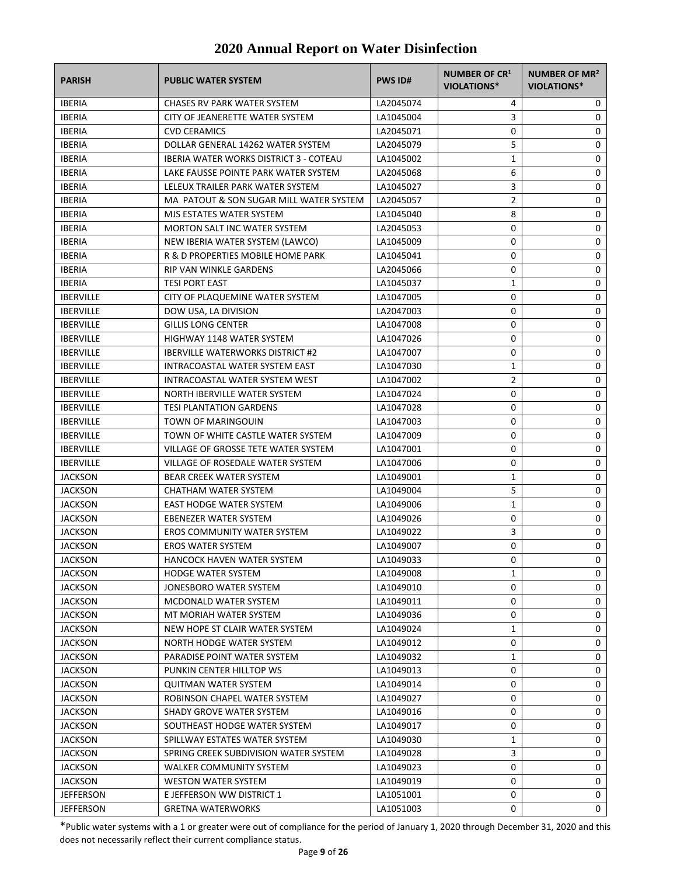| <b>PARISH</b>    | <b>PUBLIC WATER SYSTEM</b>                    | <b>PWS ID#</b> | NUMBER OF CR1<br><b>VIOLATIONS*</b> | NUMBER OF MR <sup>2</sup><br><b>VIOLATIONS*</b> |
|------------------|-----------------------------------------------|----------------|-------------------------------------|-------------------------------------------------|
| <b>IBERIA</b>    | <b>CHASES RV PARK WATER SYSTEM</b>            | LA2045074      | 4                                   | 0                                               |
| <b>IBERIA</b>    | CITY OF JEANERETTE WATER SYSTEM               | LA1045004      | 3                                   | 0                                               |
| <b>IBERIA</b>    | <b>CVD CERAMICS</b>                           | LA2045071      | 0                                   | 0                                               |
| <b>IBERIA</b>    | DOLLAR GENERAL 14262 WATER SYSTEM             | LA2045079      | 5                                   | 0                                               |
| <b>IBERIA</b>    | <b>IBERIA WATER WORKS DISTRICT 3 - COTEAU</b> | LA1045002      | 1                                   | 0                                               |
| <b>IBERIA</b>    | LAKE FAUSSE POINTE PARK WATER SYSTEM          | LA2045068      | 6                                   | 0                                               |
| <b>IBERIA</b>    | LELEUX TRAILER PARK WATER SYSTEM              | LA1045027      | 3                                   | 0                                               |
| <b>IBERIA</b>    | MA PATOUT & SON SUGAR MILL WATER SYSTEM       | LA2045057      | 2                                   | 0                                               |
| <b>IBERIA</b>    | MJS ESTATES WATER SYSTEM                      | LA1045040      | 8                                   | 0                                               |
| <b>IBERIA</b>    | <b>MORTON SALT INC WATER SYSTEM</b>           | LA2045053      | 0                                   | 0                                               |
| <b>IBERIA</b>    | NEW IBERIA WATER SYSTEM (LAWCO)               | LA1045009      | 0                                   | 0                                               |
| <b>IBERIA</b>    | R & D PROPERTIES MOBILE HOME PARK             | LA1045041      | 0                                   | 0                                               |
| <b>IBERIA</b>    | RIP VAN WINKLE GARDENS                        | LA2045066      | 0                                   | 0                                               |
| <b>IBERIA</b>    | <b>TESI PORT EAST</b>                         | LA1045037      | 1                                   | 0                                               |
| <b>IBERVILLE</b> | CITY OF PLAQUEMINE WATER SYSTEM               | LA1047005      | 0                                   | 0                                               |
| <b>IBERVILLE</b> | DOW USA, LA DIVISION                          | LA2047003      | 0                                   | 0                                               |
| <b>IBERVILLE</b> | <b>GILLIS LONG CENTER</b>                     | LA1047008      | 0                                   | 0                                               |
| <b>IBERVILLE</b> | HIGHWAY 1148 WATER SYSTEM                     | LA1047026      | 0                                   | 0                                               |
| <b>IBERVILLE</b> | <b>IBERVILLE WATERWORKS DISTRICT #2</b>       | LA1047007      | 0                                   | 0                                               |
| <b>IBERVILLE</b> | INTRACOASTAL WATER SYSTEM EAST                | LA1047030      | 1                                   | 0                                               |
| <b>IBERVILLE</b> | INTRACOASTAL WATER SYSTEM WEST                | LA1047002      | 2                                   | 0                                               |
| <b>IBERVILLE</b> | NORTH IBERVILLE WATER SYSTEM                  | LA1047024      | 0                                   | 0                                               |
| <b>IBERVILLE</b> | <b>TESI PLANTATION GARDENS</b>                | LA1047028      | 0                                   | 0                                               |
| <b>IBERVILLE</b> | <b>TOWN OF MARINGOUIN</b>                     | LA1047003      | 0                                   | 0                                               |
| <b>IBERVILLE</b> | TOWN OF WHITE CASTLE WATER SYSTEM             | LA1047009      | 0                                   | 0                                               |
| <b>IBERVILLE</b> | VILLAGE OF GROSSE TETE WATER SYSTEM           | LA1047001      | 0                                   | 0                                               |
| <b>IBERVILLE</b> | VILLAGE OF ROSEDALE WATER SYSTEM              | LA1047006      | 0                                   | 0                                               |
| <b>JACKSON</b>   | <b>BEAR CREEK WATER SYSTEM</b>                | LA1049001      | 1                                   | 0                                               |
| <b>JACKSON</b>   | CHATHAM WATER SYSTEM                          | LA1049004      | 5                                   | 0                                               |
| <b>JACKSON</b>   | EAST HODGE WATER SYSTEM                       | LA1049006      | 1                                   | 0                                               |
| JACKSON          | EBENEZER WATER SYSTEM                         | LA1049026      | 0                                   | 0                                               |
| <b>JACKSON</b>   | <b>EROS COMMUNITY WATER SYSTEM</b>            | LA1049022      | 3                                   | 0                                               |
| <b>JACKSON</b>   | <b>EROS WATER SYSTEM</b>                      | LA1049007      | 0                                   | 0                                               |
| <b>JACKSON</b>   | <b>HANCOCK HAVEN WATER SYSTEM</b>             | LA1049033      | $\Omega$                            | 0                                               |
| JACKSON          | <b>HODGE WATER SYSTEM</b>                     | LA1049008      | 1                                   | 0                                               |
| JACKSON          | JONESBORO WATER SYSTEM                        | LA1049010      | 0                                   | 0                                               |
| JACKSON          | MCDONALD WATER SYSTEM                         | LA1049011      | 0                                   | 0                                               |
| JACKSON          | MT MORIAH WATER SYSTEM                        | LA1049036      | 0                                   | 0                                               |
| <b>JACKSON</b>   | NEW HOPE ST CLAIR WATER SYSTEM                | LA1049024      | 1                                   | 0                                               |
| <b>JACKSON</b>   | NORTH HODGE WATER SYSTEM                      | LA1049012      | 0                                   | 0                                               |
| JACKSON          | PARADISE POINT WATER SYSTEM                   | LA1049032      | 1                                   | 0                                               |
| JACKSON          | PUNKIN CENTER HILLTOP WS                      | LA1049013      | 0                                   | 0                                               |
| JACKSON          | <b>QUITMAN WATER SYSTEM</b>                   | LA1049014      | 0                                   | 0                                               |
| JACKSON          | ROBINSON CHAPEL WATER SYSTEM                  | LA1049027      | 0                                   | 0                                               |
| JACKSON          | SHADY GROVE WATER SYSTEM                      | LA1049016      | 0                                   | 0                                               |
| JACKSON          | SOUTHEAST HODGE WATER SYSTEM                  | LA1049017      | 0                                   | 0                                               |
| JACKSON          | SPILLWAY ESTATES WATER SYSTEM                 | LA1049030      | 1                                   | 0                                               |
| JACKSON          | SPRING CREEK SUBDIVISION WATER SYSTEM         | LA1049028      | 3                                   | 0                                               |
| JACKSON          | WALKER COMMUNITY SYSTEM                       | LA1049023      | 0                                   | 0                                               |
| JACKSON          | <b>WESTON WATER SYSTEM</b>                    | LA1049019      | 0                                   | 0                                               |
| <b>JEFFERSON</b> | E JEFFERSON WW DISTRICT 1                     | LA1051001      | 0                                   | 0                                               |
| <b>JEFFERSON</b> | <b>GRETNA WATERWORKS</b>                      | LA1051003      | 0                                   | 0                                               |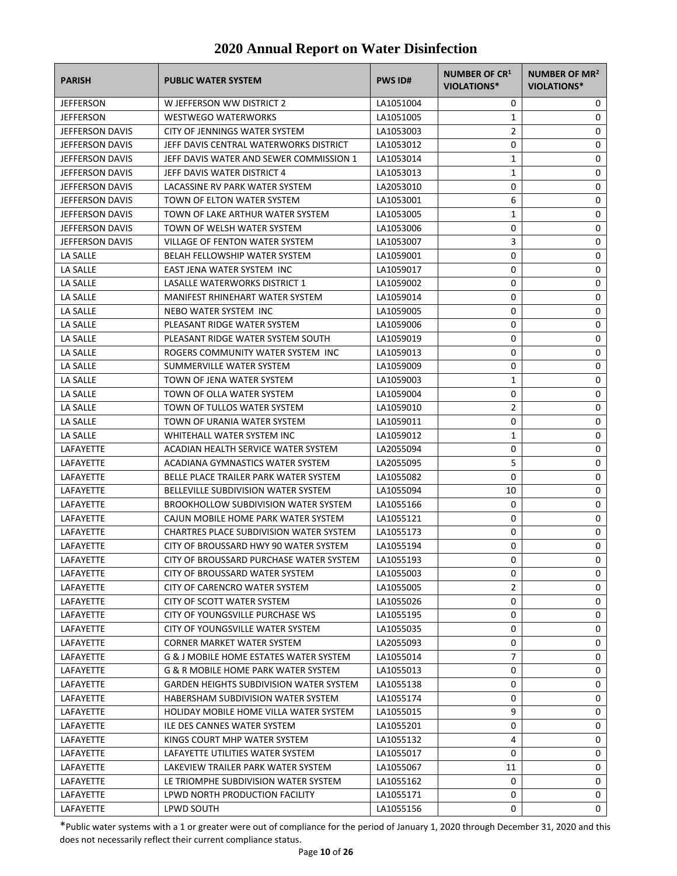| <b>PARISH</b>          | <b>PUBLIC WATER SYSTEM</b>                        | <b>PWS ID#</b> | NUMBER OF CR1<br>VIOLATIONS* | NUMBER OF MR <sup>2</sup><br><b>VIOLATIONS*</b> |
|------------------------|---------------------------------------------------|----------------|------------------------------|-------------------------------------------------|
| <b>JEFFERSON</b>       | W JEFFERSON WW DISTRICT 2                         | LA1051004      | 0                            | 0                                               |
| <b>JEFFERSON</b>       | <b>WESTWEGO WATERWORKS</b>                        | LA1051005      | 1                            | 0                                               |
| JEFFERSON DAVIS        | CITY OF JENNINGS WATER SYSTEM                     | LA1053003      | 2                            | 0                                               |
| JEFFERSON DAVIS        | JEFF DAVIS CENTRAL WATERWORKS DISTRICT            | LA1053012      | 0                            | 0                                               |
| JEFFERSON DAVIS        | JEFF DAVIS WATER AND SEWER COMMISSION 1           | LA1053014      | 1                            | 0                                               |
| JEFFERSON DAVIS        | JEFF DAVIS WATER DISTRICT 4                       | LA1053013      | 1                            | 0                                               |
| JEFFERSON DAVIS        | LACASSINE RV PARK WATER SYSTEM                    | LA2053010      | 0                            | 0                                               |
| JEFFERSON DAVIS        | TOWN OF ELTON WATER SYSTEM                        | LA1053001      | 6                            | 0                                               |
| JEFFERSON DAVIS        | TOWN OF LAKE ARTHUR WATER SYSTEM                  | LA1053005      | 1                            | 0                                               |
| JEFFERSON DAVIS        | TOWN OF WELSH WATER SYSTEM                        | LA1053006      | 0                            | 0                                               |
| <b>JEFFERSON DAVIS</b> | <b>VILLAGE OF FENTON WATER SYSTEM</b>             | LA1053007      | 3                            | 0                                               |
| LA SALLE               | <b>BELAH FELLOWSHIP WATER SYSTEM</b>              | LA1059001      | 0                            | 0                                               |
| LA SALLE               | EAST JENA WATER SYSTEM INC                        | LA1059017      | 0                            | 0                                               |
| LA SALLE               | LASALLE WATERWORKS DISTRICT 1                     | LA1059002      | 0                            | 0                                               |
| LA SALLE               | MANIFEST RHINEHART WATER SYSTEM                   | LA1059014      | 0                            | 0                                               |
| LA SALLE               | NEBO WATER SYSTEM INC                             | LA1059005      | 0                            | 0                                               |
| LA SALLE               | PLEASANT RIDGE WATER SYSTEM                       | LA1059006      | 0                            | 0                                               |
| LA SALLE               | PLEASANT RIDGE WATER SYSTEM SOUTH                 | LA1059019      | 0                            | 0                                               |
| LA SALLE               | ROGERS COMMUNITY WATER SYSTEM INC                 | LA1059013      | 0                            | 0                                               |
| LA SALLE               | SUMMERVILLE WATER SYSTEM                          | LA1059009      | 0                            | 0                                               |
| LA SALLE               | TOWN OF JENA WATER SYSTEM                         | LA1059003      | 1                            | 0                                               |
| LA SALLE               | TOWN OF OLLA WATER SYSTEM                         | LA1059004      | 0                            | 0                                               |
| LA SALLE               | TOWN OF TULLOS WATER SYSTEM                       | LA1059010      | $\overline{2}$               | 0                                               |
| LA SALLE               | TOWN OF URANIA WATER SYSTEM                       | LA1059011      | 0                            | 0                                               |
| LA SALLE               | WHITEHALL WATER SYSTEM INC                        | LA1059012      | 1                            | 0                                               |
| LAFAYETTE              | ACADIAN HEALTH SERVICE WATER SYSTEM               | LA2055094      | 0                            | 0                                               |
| LAFAYETTE              | ACADIANA GYMNASTICS WATER SYSTEM                  | LA2055095      | 5                            | 0                                               |
| LAFAYETTE              | BELLE PLACE TRAILER PARK WATER SYSTEM             | LA1055082      | 0                            | 0                                               |
| LAFAYETTE              | BELLEVILLE SUBDIVISION WATER SYSTEM               | LA1055094      | 10                           | 0                                               |
| LAFAYETTE              | <b>BROOKHOLLOW SUBDIVISION WATER SYSTEM</b>       | LA1055166      | 0                            | 0                                               |
| <b>LAFAYETTE</b>       | CAJUN MOBILE HOME PARK WATER SYSTEM               | LA1055121      | 0                            | 0                                               |
| LAFAYETTE              | CHARTRES PLACE SUBDIVISION WATER SYSTEM           | LA1055173      | 0                            | 0                                               |
| LAFAYETTE              | CITY OF BROUSSARD HWY 90 WATER SYSTEM             | LA1055194      | 0                            | 0                                               |
| LAFAYETTE              | CITY OF BROUSSARD PURCHASE WATER SYSTEM           | LA1055193      | $\Omega$                     | 0                                               |
| LAFAYETTE              | CITY OF BROUSSARD WATER SYSTEM                    | LA1055003      | 0                            | 0                                               |
| LAFAYETTE              | CITY OF CARENCRO WATER SYSTEM                     | LA1055005      | 2                            | 0                                               |
| LAFAYETTE              | CITY OF SCOTT WATER SYSTEM                        | LA1055026      | 0                            | 0                                               |
| LAFAYETTE              | CITY OF YOUNGSVILLE PURCHASE WS                   | LA1055195      | 0                            | 0                                               |
| LAFAYETTE              | CITY OF YOUNGSVILLE WATER SYSTEM                  | LA1055035      | 0                            | 0                                               |
| LAFAYETTE              | <b>CORNER MARKET WATER SYSTEM</b>                 | LA2055093      | 0                            | 0                                               |
| LAFAYETTE              | <b>G &amp; J MOBILE HOME ESTATES WATER SYSTEM</b> | LA1055014      | 7                            | 0                                               |
| LAFAYETTE              | G & R MOBILE HOME PARK WATER SYSTEM               | LA1055013      | 0                            | 0                                               |
| LAFAYETTE              | <b>GARDEN HEIGHTS SUBDIVISION WATER SYSTEM</b>    | LA1055138      | 0                            | 0                                               |
| LAFAYETTE              | HABERSHAM SUBDIVISION WATER SYSTEM                | LA1055174      | 0                            | 0                                               |
| LAFAYETTE              | HOLIDAY MOBILE HOME VILLA WATER SYSTEM            | LA1055015      | 9                            | 0                                               |
| LAFAYETTE              | ILE DES CANNES WATER SYSTEM                       | LA1055201      | 0                            | 0                                               |
| LAFAYETTE              | KINGS COURT MHP WATER SYSTEM                      | LA1055132      | 4                            | 0                                               |
| LAFAYETTE              | LAFAYETTE UTILITIES WATER SYSTEM                  | LA1055017      | 0                            | 0                                               |
| LAFAYETTE              | LAKEVIEW TRAILER PARK WATER SYSTEM                | LA1055067      | 11                           | 0                                               |
| LAFAYETTE              | LE TRIOMPHE SUBDIVISION WATER SYSTEM              | LA1055162      | 0                            | 0                                               |
| LAFAYETTE              | LPWD NORTH PRODUCTION FACILITY                    | LA1055171      | 0                            | 0                                               |
| LAFAYETTE              | LPWD SOUTH                                        | LA1055156      | 0                            | 0                                               |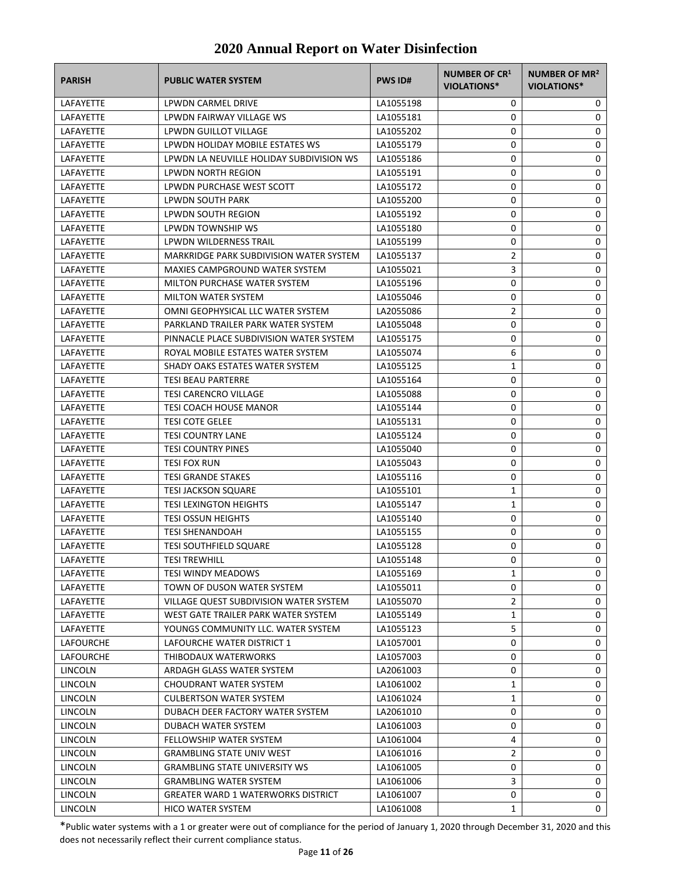| <b>PARISH</b>    | <b>PUBLIC WATER SYSTEM</b>                    | <b>PWS ID#</b> | <b>NUMBER OF CR1</b><br>VIOLATIONS* | NUMBER OF MR <sup>2</sup><br>VIOLATIONS* |
|------------------|-----------------------------------------------|----------------|-------------------------------------|------------------------------------------|
| LAFAYETTE        | LPWDN CARMEL DRIVE                            | LA1055198      | 0                                   | 0                                        |
| LAFAYETTE        | LPWDN FAIRWAY VILLAGE WS                      | LA1055181      | 0                                   | 0                                        |
| LAFAYETTE        | <b>LPWDN GUILLOT VILLAGE</b>                  | LA1055202      | 0                                   | 0                                        |
| LAFAYETTE        | LPWDN HOLIDAY MOBILE ESTATES WS               | LA1055179      | 0                                   | 0                                        |
| LAFAYETTE        | LPWDN LA NEUVILLE HOLIDAY SUBDIVISION WS      | LA1055186      | 0                                   | 0                                        |
| LAFAYETTE        | LPWDN NORTH REGION                            | LA1055191      | 0                                   | 0                                        |
| <b>LAFAYETTE</b> | LPWDN PURCHASE WEST SCOTT                     | LA1055172      | 0                                   | 0                                        |
| LAFAYETTE        | LPWDN SOUTH PARK                              | LA1055200      | 0                                   | 0                                        |
| <b>LAFAYETTE</b> | LPWDN SOUTH REGION                            | LA1055192      | 0                                   | 0                                        |
| <b>LAFAYETTE</b> | LPWDN TOWNSHIP WS                             | LA1055180      | 0                                   | 0                                        |
| LAFAYETTE        | LPWDN WILDERNESS TRAIL                        | LA1055199      | 0                                   | 0                                        |
| LAFAYETTE        | MARKRIDGE PARK SUBDIVISION WATER SYSTEM       | LA1055137      | $\overline{2}$                      | 0                                        |
| LAFAYETTE        | MAXIES CAMPGROUND WATER SYSTEM                | LA1055021      | 3                                   | 0                                        |
| LAFAYETTE        | MILTON PURCHASE WATER SYSTEM                  | LA1055196      | 0                                   | 0                                        |
| LAFAYETTE        | <b>MILTON WATER SYSTEM</b>                    | LA1055046      | 0                                   | 0                                        |
| LAFAYETTE        | OMNI GEOPHYSICAL LLC WATER SYSTEM             | LA2055086      | $\overline{2}$                      | 0                                        |
| LAFAYETTE        | PARKLAND TRAILER PARK WATER SYSTEM            | LA1055048      | 0                                   | 0                                        |
| LAFAYETTE        | PINNACLE PLACE SUBDIVISION WATER SYSTEM       | LA1055175      | 0                                   | 0                                        |
| <b>LAFAYETTE</b> | ROYAL MOBILE ESTATES WATER SYSTEM             | LA1055074      | 6                                   | 0                                        |
| LAFAYETTE        | SHADY OAKS ESTATES WATER SYSTEM               | LA1055125      | 1                                   | 0                                        |
| <b>LAFAYETTE</b> | <b>TESI BEAU PARTERRE</b>                     | LA1055164      | 0                                   | 0                                        |
| LAFAYETTE        | <b>TESI CARENCRO VILLAGE</b>                  | LA1055088      | 0                                   | 0                                        |
| LAFAYETTE        | TESI COACH HOUSE MANOR                        | LA1055144      | 0                                   | 0                                        |
| LAFAYETTE        | <b>TESI COTE GELEE</b>                        | LA1055131      | 0                                   | 0                                        |
| LAFAYETTE        | <b>TESI COUNTRY LANE</b>                      | LA1055124      | 0                                   | 0                                        |
| LAFAYETTE        | <b>TESI COUNTRY PINES</b>                     | LA1055040      | 0                                   | 0                                        |
| LAFAYETTE        | TESI FOX RUN                                  | LA1055043      | 0                                   | 0                                        |
| LAFAYETTE        | <b>TESI GRANDE STAKES</b>                     | LA1055116      | 0                                   | 0                                        |
| LAFAYETTE        | <b>TESI JACKSON SQUARE</b>                    | LA1055101      | $\mathbf{1}$                        | 0                                        |
| <b>LAFAYETTE</b> | <b>TESI LEXINGTON HEIGHTS</b>                 | LA1055147      | $\mathbf{1}$                        | 0                                        |
| LAFAYETTE        | <b>TESI OSSUN HEIGHTS</b>                     | LA1055140      | 0                                   | 0                                        |
| LAFAYETTE        | <b>TESI SHENANDOAH</b>                        | LA1055155      | 0                                   | 0                                        |
| LAFAYETTE        | <b>TESI SOUTHFIELD SQUARE</b>                 | LA1055128      | 0                                   | 0                                        |
| LAFAYETTE        | <b>TESI TREWHILL</b>                          | LA1055148      | 0                                   | 0                                        |
| LAFAYETTE        | <b>TESI WINDY MEADOWS</b>                     | LA1055169      | 1                                   | 0                                        |
| LAFAYETTE        | TOWN OF DUSON WATER SYSTEM                    | LA1055011      | 0                                   | 0                                        |
| LAFAYETTE        | <b>VILLAGE QUEST SUBDIVISION WATER SYSTEM</b> | LA1055070      | $\overline{2}$                      | 0                                        |
| LAFAYETTE        | WEST GATE TRAILER PARK WATER SYSTEM           | LA1055149      | 1                                   | 0                                        |
| LAFAYETTE        | YOUNGS COMMUNITY LLC. WATER SYSTEM            | LA1055123      | 5                                   | 0                                        |
| <b>LAFOURCHE</b> | LAFOURCHE WATER DISTRICT 1                    | LA1057001      | 0                                   | 0                                        |
| LAFOURCHE        | THIBODAUX WATERWORKS                          | LA1057003      | 0                                   | 0                                        |
| LINCOLN          | ARDAGH GLASS WATER SYSTEM                     | LA2061003      | 0                                   | 0                                        |
| LINCOLN          | CHOUDRANT WATER SYSTEM                        | LA1061002      | 1                                   | 0                                        |
| LINCOLN          | <b>CULBERTSON WATER SYSTEM</b>                | LA1061024      | 1                                   | 0                                        |
| LINCOLN          | DUBACH DEER FACTORY WATER SYSTEM              | LA2061010      | 0                                   | 0                                        |
| LINCOLN          | DUBACH WATER SYSTEM                           | LA1061003      | 0                                   | 0                                        |
| LINCOLN          | FELLOWSHIP WATER SYSTEM                       | LA1061004      | 4                                   | 0                                        |
| LINCOLN          | <b>GRAMBLING STATE UNIV WEST</b>              | LA1061016      | 2                                   | 0                                        |
| LINCOLN          | <b>GRAMBLING STATE UNIVERSITY WS</b>          | LA1061005      | 0                                   | 0                                        |
| LINCOLN          | <b>GRAMBLING WATER SYSTEM</b>                 | LA1061006      | 3                                   | 0                                        |
| LINCOLN          | <b>GREATER WARD 1 WATERWORKS DISTRICT</b>     | LA1061007      | 0                                   | 0                                        |
| LINCOLN          | HICO WATER SYSTEM                             | LA1061008      | 1                                   | 0                                        |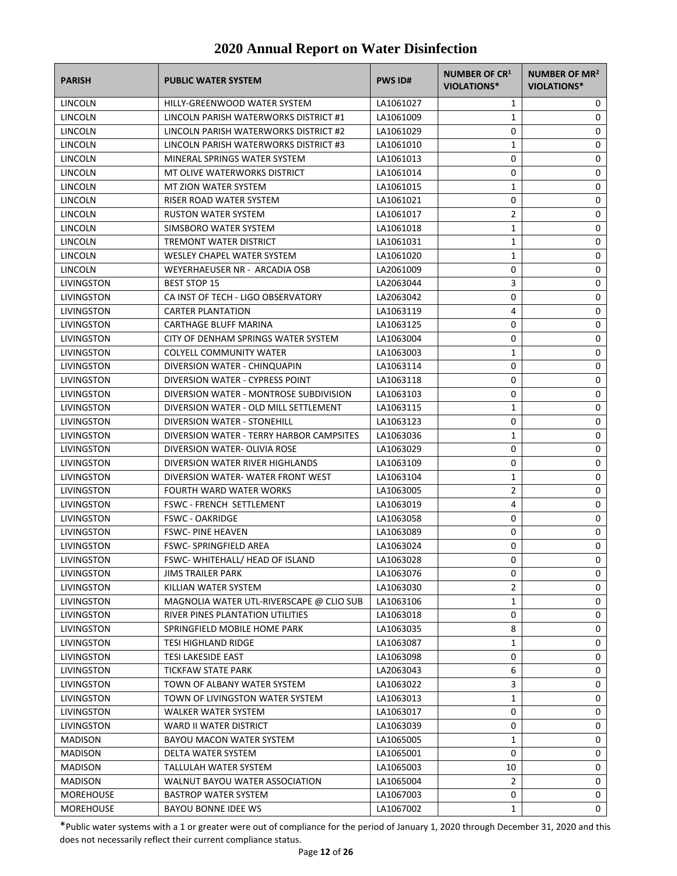| <b>PARISH</b>     | <b>PUBLIC WATER SYSTEM</b>                                                   | <b>PWS ID#</b> | NUMBER OF CR1<br>VIOLATIONS* | NUMBER OF MR <sup>2</sup><br><b>VIOLATIONS*</b> |
|-------------------|------------------------------------------------------------------------------|----------------|------------------------------|-------------------------------------------------|
| LINCOLN           | HILLY-GREENWOOD WATER SYSTEM                                                 | LA1061027      | 1                            | 0                                               |
| LINCOLN           | LINCOLN PARISH WATERWORKS DISTRICT #1                                        | LA1061009      | 1                            | 0                                               |
| LINCOLN           | LINCOLN PARISH WATERWORKS DISTRICT #2                                        | LA1061029      | 0                            | 0                                               |
| <b>LINCOLN</b>    | LINCOLN PARISH WATERWORKS DISTRICT #3                                        | LA1061010      | $\mathbf{1}$                 | 0                                               |
| LINCOLN           | MINERAL SPRINGS WATER SYSTEM                                                 | LA1061013      | 0                            | 0                                               |
| LINCOLN           | MT OLIVE WATERWORKS DISTRICT                                                 | LA1061014      | 0                            | 0                                               |
| <b>LINCOLN</b>    | MT ZION WATER SYSTEM                                                         | LA1061015      | 1                            | 0                                               |
| LINCOLN           | RISER ROAD WATER SYSTEM                                                      | LA1061021      | 0                            | 0                                               |
| LINCOLN           | <b>RUSTON WATER SYSTEM</b>                                                   | LA1061017      | 2                            | 0                                               |
| LINCOLN           | SIMSBORO WATER SYSTEM                                                        | LA1061018      | $\mathbf{1}$                 | 0                                               |
| LINCOLN           | TREMONT WATER DISTRICT                                                       | LA1061031      | 1                            | 0                                               |
| LINCOLN           | <b>WESLEY CHAPEL WATER SYSTEM</b>                                            | LA1061020      | 1                            | 0                                               |
| LINCOLN           | WEYERHAEUSER NR - ARCADIA OSB                                                | LA2061009      | 0                            | 0                                               |
| LIVINGSTON        | <b>BEST STOP 15</b>                                                          | LA2063044      | 3                            | 0                                               |
| LIVINGSTON        | CA INST OF TECH - LIGO OBSERVATORY                                           | LA2063042      | 0                            | 0                                               |
| LIVINGSTON        | <b>CARTER PLANTATION</b>                                                     | LA1063119      | 4                            | 0                                               |
| LIVINGSTON        | <b>CARTHAGE BLUFF MARINA</b>                                                 | LA1063125      | 0                            | 0                                               |
| LIVINGSTON        | CITY OF DENHAM SPRINGS WATER SYSTEM                                          | LA1063004      | 0                            | 0                                               |
| LIVINGSTON        | <b>COLYELL COMMUNITY WATER</b>                                               | LA1063003      | 1                            | 0                                               |
| LIVINGSTON        | DIVERSION WATER - CHINQUAPIN                                                 | LA1063114      | 0                            | 0                                               |
| LIVINGSTON        | DIVERSION WATER - CYPRESS POINT                                              | LA1063118      | 0                            | 0                                               |
| LIVINGSTON        | DIVERSION WATER - MONTROSE SUBDIVISION                                       | LA1063103      | 0                            | 0                                               |
| <b>LIVINGSTON</b> | DIVERSION WATER - OLD MILL SETTLEMENT                                        | LA1063115      | 1                            | 0                                               |
| LIVINGSTON        | DIVERSION WATER - STONEHILL                                                  | LA1063123      | 0                            | 0                                               |
| LIVINGSTON        | DIVERSION WATER - TERRY HARBOR CAMPSITES                                     | LA1063036      | 1                            | 0                                               |
| LIVINGSTON        | DIVERSION WATER- OLIVIA ROSE                                                 | LA1063029      | 0                            | 0                                               |
| LIVINGSTON        | DIVERSION WATER RIVER HIGHLANDS                                              | LA1063109      | 0                            | 0                                               |
| LIVINGSTON        | DIVERSION WATER-WATER FRONT WEST                                             | LA1063104      | $\mathbf{1}$                 | 0                                               |
| LIVINGSTON        | <b>FOURTH WARD WATER WORKS</b>                                               | LA1063005      | 2                            | 0                                               |
| LIVINGSTON        | FSWC - FRENCH SETTLEMENT                                                     | LA1063019      | 4                            | 0                                               |
| LIVINGSTON        | <b>FSWC - OAKRIDGE</b>                                                       | LA1063058      | 0                            | 0                                               |
| LIVINGSTON        | <b>FSWC-PINE HEAVEN</b>                                                      | LA1063089      | 0                            | 0                                               |
| LIVINGSTON        | <b>FSWC-SPRINGFIELD AREA</b>                                                 | LA1063024      | 0                            | 0                                               |
|                   |                                                                              | LA1063028      | $\Omega$                     | 0                                               |
| LIVINGSTON        | FSWC-WHITEHALL/ HEAD OF ISLAND                                               | LA1063076      | 0                            | 0                                               |
| LIVINGSTON        | JIMS TRAILER PARK                                                            |                |                              | 0                                               |
| LIVINGSTON        | KILLIAN WATER SYSTEM                                                         | LA1063030      | 2                            |                                                 |
| <b>LIVINGSTON</b> | MAGNOLIA WATER UTL-RIVERSCAPE @ CLIO SUB<br>RIVER PINES PLANTATION UTILITIES | LA1063106      | 1<br>0                       | 0                                               |
| LIVINGSTON        |                                                                              | LA1063018      |                              | 0                                               |
| LIVINGSTON        | SPRINGFIELD MOBILE HOME PARK                                                 | LA1063035      | 8                            | 0                                               |
| LIVINGSTON        | <b>TESI HIGHLAND RIDGE</b><br><b>TESI LAKESIDE EAST</b>                      | LA1063087      | $\mathbf{1}$                 | 0                                               |
| LIVINGSTON        |                                                                              | LA1063098      | 0                            | 0                                               |
| LIVINGSTON        | TICKFAW STATE PARK                                                           | LA2063043      | 6                            | 0                                               |
| LIVINGSTON        | TOWN OF ALBANY WATER SYSTEM                                                  | LA1063022      | 3                            | 0                                               |
| LIVINGSTON        | TOWN OF LIVINGSTON WATER SYSTEM                                              | LA1063013      | $\mathbf{1}$                 | 0                                               |
| LIVINGSTON        | WALKER WATER SYSTEM                                                          | LA1063017      | 0                            | 0                                               |
| LIVINGSTON        | WARD II WATER DISTRICT                                                       | LA1063039      | 0                            | 0                                               |
| <b>MADISON</b>    | BAYOU MACON WATER SYSTEM                                                     | LA1065005      | 1                            | 0                                               |
| <b>MADISON</b>    | DELTA WATER SYSTEM                                                           | LA1065001      | 0                            | 0                                               |
| <b>MADISON</b>    | TALLULAH WATER SYSTEM                                                        | LA1065003      | 10                           | 0                                               |
| <b>MADISON</b>    | WALNUT BAYOU WATER ASSOCIATION                                               | LA1065004      | $\overline{2}$               | 0                                               |
| <b>MOREHOUSE</b>  | <b>BASTROP WATER SYSTEM</b>                                                  | LA1067003      | 0                            | 0                                               |
| <b>MOREHOUSE</b>  | BAYOU BONNE IDEE WS                                                          | LA1067002      | 1                            | 0                                               |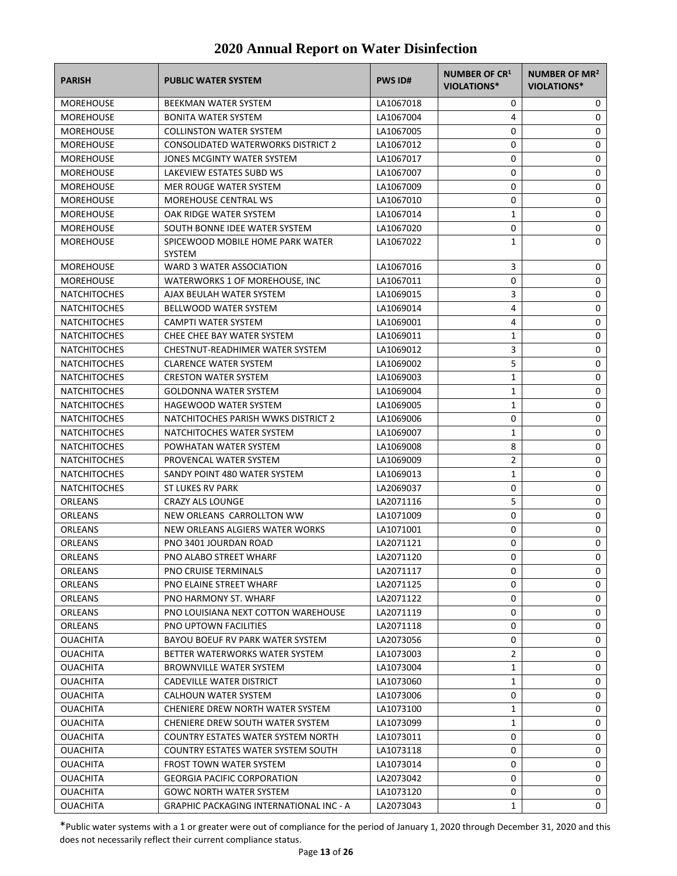| <b>PARISH</b>                      | <b>PUBLIC WATER SYSTEM</b>                                         | <b>PWS ID#</b>         | <b>NUMBER OF CR1</b><br>VIOLATIONS* | NUMBER OF MR <sup>2</sup><br>VIOLATIONS* |
|------------------------------------|--------------------------------------------------------------------|------------------------|-------------------------------------|------------------------------------------|
| <b>MOREHOUSE</b>                   | BEEKMAN WATER SYSTEM                                               | LA1067018              | 0                                   | 0                                        |
| <b>MOREHOUSE</b>                   | BONITA WATER SYSTEM                                                | LA1067004              | 4                                   | 0                                        |
| <b>MOREHOUSE</b>                   | <b>COLLINSTON WATER SYSTEM</b>                                     | LA1067005              | 0                                   | 0                                        |
| <b>MOREHOUSE</b>                   | <b>CONSOLIDATED WATERWORKS DISTRICT 2</b>                          | LA1067012              | 0                                   | 0                                        |
| <b>MOREHOUSE</b>                   | JONES MCGINTY WATER SYSTEM                                         | LA1067017              | 0                                   | 0                                        |
| <b>MOREHOUSE</b>                   | LAKEVIEW ESTATES SUBD WS                                           | LA1067007              | 0                                   | 0                                        |
| <b>MOREHOUSE</b>                   | MER ROUGE WATER SYSTEM                                             | LA1067009              | 0                                   | 0                                        |
| <b>MOREHOUSE</b>                   | MOREHOUSE CENTRAL WS                                               | LA1067010              | 0                                   | 0                                        |
| <b>MOREHOUSE</b>                   | OAK RIDGE WATER SYSTEM                                             | LA1067014              | 1                                   | 0                                        |
| <b>MOREHOUSE</b>                   | SOUTH BONNE IDEE WATER SYSTEM                                      | LA1067020              | 0                                   | 0                                        |
| <b>MOREHOUSE</b>                   | SPICEWOOD MOBILE HOME PARK WATER<br><b>SYSTEM</b>                  | LA1067022              | 1                                   | 0                                        |
| <b>MOREHOUSE</b>                   | WARD 3 WATER ASSOCIATION                                           | LA1067016              | 3                                   | 0                                        |
| <b>MOREHOUSE</b>                   | WATERWORKS 1 OF MOREHOUSE, INC                                     | LA1067011              | 0                                   | 0                                        |
| <b>NATCHITOCHES</b>                | AJAX BEULAH WATER SYSTEM                                           | LA1069015              | 3                                   | 0                                        |
| <b>NATCHITOCHES</b>                | BELLWOOD WATER SYSTEM                                              | LA1069014              | 4                                   | 0                                        |
| <b>NATCHITOCHES</b>                | CAMPTI WATER SYSTEM                                                | LA1069001              | 4                                   | 0                                        |
| <b>NATCHITOCHES</b>                | CHEE CHEE BAY WATER SYSTEM                                         | LA1069011              | $\mathbf{1}$                        | 0                                        |
| <b>NATCHITOCHES</b>                | CHESTNUT-READHIMER WATER SYSTEM                                    | LA1069012              | 3                                   | 0                                        |
| <b>NATCHITOCHES</b>                | <b>CLARENCE WATER SYSTEM</b>                                       | LA1069002              | 5                                   | 0                                        |
| <b>NATCHITOCHES</b>                | <b>CRESTON WATER SYSTEM</b>                                        | LA1069003              | 1                                   | 0                                        |
| <b>NATCHITOCHES</b>                | <b>GOLDONNA WATER SYSTEM</b>                                       | LA1069004              | 1                                   | 0                                        |
| <b>NATCHITOCHES</b>                | HAGEWOOD WATER SYSTEM                                              | LA1069005              | 1                                   | 0                                        |
| <b>NATCHITOCHES</b>                | NATCHITOCHES PARISH WWKS DISTRICT 2                                | LA1069006              | 0                                   | 0                                        |
| <b>NATCHITOCHES</b>                | NATCHITOCHES WATER SYSTEM                                          | LA1069007              | 1                                   | 0                                        |
| <b>NATCHITOCHES</b>                | POWHATAN WATER SYSTEM                                              | LA1069008              | 8                                   | 0                                        |
| <b>NATCHITOCHES</b>                | PROVENCAL WATER SYSTEM                                             | LA1069009              | $\overline{2}$                      | 0                                        |
| <b>NATCHITOCHES</b>                | SANDY POINT 480 WATER SYSTEM                                       | LA1069013              | 1                                   | 0                                        |
| <b>NATCHITOCHES</b>                | ST LUKES RV PARK                                                   | LA2069037              | 0                                   | 0                                        |
| ORLEANS                            | <b>CRAZY ALS LOUNGE</b>                                            | LA2071116              | 5                                   | 0                                        |
| ORLEANS                            | NEW ORLEANS CARROLLTON WW                                          | LA1071009              | 0                                   | 0                                        |
| ORLEANS                            | NEW ORLEANS ALGIERS WATER WORKS                                    | LA1071001              | 0                                   | 0                                        |
| <b>ORLEANS</b>                     | PNO 3401 JOURDAN ROAD                                              | LA2071121              | 0                                   | 0                                        |
| ORLEANS                            | PNO ALABO STREET WHARF                                             | LA2071120              | $\Omega$                            | $\Omega$                                 |
| ORLEANS                            | <b>PNO CRUISE TERMINALS</b>                                        | LA2071117              | 0                                   | 0                                        |
| ORLEANS                            | PNO ELAINE STREET WHARF                                            | LA2071125              | 0                                   | 0                                        |
| ORLEANS                            | PNO HARMONY ST. WHARF                                              | LA2071122              | 0                                   | 0                                        |
| ORLEANS                            | PNO LOUISIANA NEXT COTTON WAREHOUSE                                | LA2071119              | 0                                   | 0                                        |
| ORLEANS                            | PNO UPTOWN FACILITIES                                              | LA2071118              | 0                                   | 0                                        |
| <b>OUACHITA</b><br><b>OUACHITA</b> | BAYOU BOEUF RV PARK WATER SYSTEM<br>BETTER WATERWORKS WATER SYSTEM | LA2073056<br>LA1073003 | 0<br>2                              | 0<br>0                                   |
| <b>OUACHITA</b>                    | <b>BROWNVILLE WATER SYSTEM</b>                                     | LA1073004              | 1                                   | 0                                        |
| <b>OUACHITA</b>                    | CADEVILLE WATER DISTRICT                                           | LA1073060              | 1                                   | 0                                        |
| <b>OUACHITA</b>                    | CALHOUN WATER SYSTEM                                               | LA1073006              | 0                                   | 0                                        |
| <b>OUACHITA</b>                    | CHENIERE DREW NORTH WATER SYSTEM                                   | LA1073100              | 1                                   | 0                                        |
| <b>OUACHITA</b>                    | CHENIERE DREW SOUTH WATER SYSTEM                                   | LA1073099              | 1                                   | 0                                        |
| <b>OUACHITA</b>                    | COUNTRY ESTATES WATER SYSTEM NORTH                                 | LA1073011              | 0                                   | 0                                        |
| <b>OUACHITA</b>                    | COUNTRY ESTATES WATER SYSTEM SOUTH                                 | LA1073118              | 0                                   | 0                                        |
| <b>OUACHITA</b>                    | <b>FROST TOWN WATER SYSTEM</b>                                     | LA1073014              | 0                                   | 0                                        |
| <b>OUACHITA</b>                    | <b>GEORGIA PACIFIC CORPORATION</b>                                 | LA2073042              | 0                                   | 0                                        |
| <b>OUACHITA</b>                    | <b>GOWC NORTH WATER SYSTEM</b>                                     | LA1073120              | 0                                   | 0                                        |
| <b>OUACHITA</b>                    | <b>GRAPHIC PACKAGING INTERNATIONAL INC - A</b>                     | LA2073043              | 1                                   | 0                                        |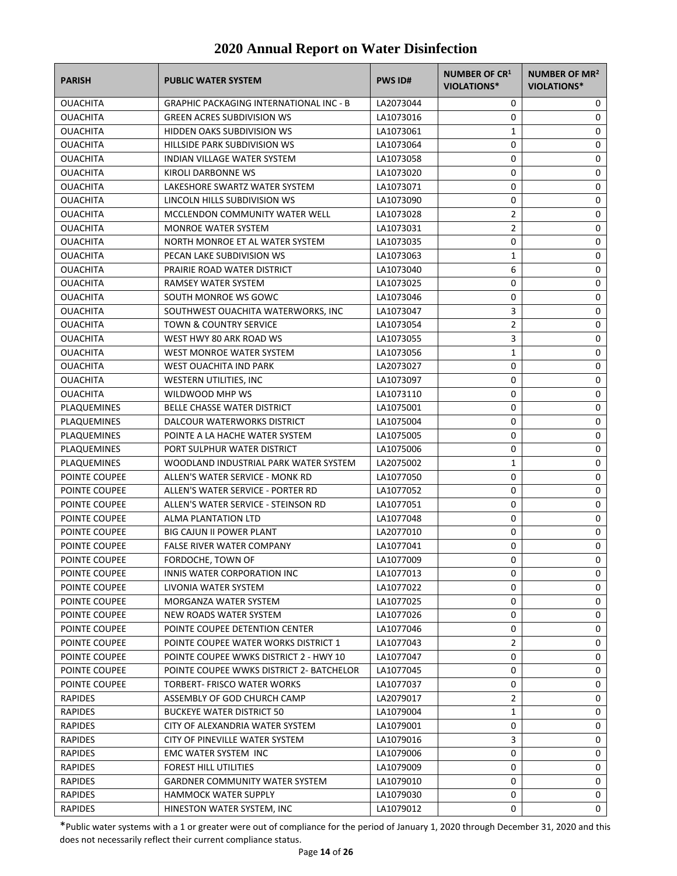| <b>PARISH</b>   | <b>PUBLIC WATER SYSTEM</b>                                          | <b>PWS ID#</b> | NUMBER OF CR <sup>1</sup><br><b>VIOLATIONS*</b> | <b>NUMBER OF MR<sup>2</sup></b><br>VIOLATIONS* |
|-----------------|---------------------------------------------------------------------|----------------|-------------------------------------------------|------------------------------------------------|
| <b>OUACHITA</b> | <b>GRAPHIC PACKAGING INTERNATIONAL INC - B</b>                      | LA2073044      | 0                                               | 0                                              |
| <b>OUACHITA</b> | <b>GREEN ACRES SUBDIVISION WS</b>                                   | LA1073016      | 0                                               | 0                                              |
| <b>OUACHITA</b> | <b>HIDDEN OAKS SUBDIVISION WS</b>                                   | LA1073061      | 1                                               | 0                                              |
| <b>OUACHITA</b> | <b>HILLSIDE PARK SUBDIVISION WS</b>                                 | LA1073064      | 0                                               | 0                                              |
| <b>OUACHITA</b> | INDIAN VILLAGE WATER SYSTEM                                         | LA1073058      | 0                                               | 0                                              |
| <b>OUACHITA</b> | KIROLI DARBONNE WS                                                  | LA1073020      | 0                                               | 0                                              |
| <b>OUACHITA</b> | LAKESHORE SWARTZ WATER SYSTEM                                       | LA1073071      | 0                                               | 0                                              |
| <b>OUACHITA</b> | LINCOLN HILLS SUBDIVISION WS                                        | LA1073090      | 0                                               | 0                                              |
| <b>OUACHITA</b> | MCCLENDON COMMUNITY WATER WELL                                      | LA1073028      | $\overline{2}$                                  | 0                                              |
| <b>OUACHITA</b> | <b>MONROE WATER SYSTEM</b>                                          | LA1073031      | $\overline{2}$                                  | 0                                              |
| <b>OUACHITA</b> | NORTH MONROE ET AL WATER SYSTEM                                     | LA1073035      | 0                                               | 0                                              |
| <b>OUACHITA</b> | PECAN LAKE SUBDIVISION WS                                           | LA1073063      | 1                                               | 0                                              |
| <b>OUACHITA</b> | PRAIRIE ROAD WATER DISTRICT                                         | LA1073040      | 6                                               | 0                                              |
| <b>OUACHITA</b> | RAMSEY WATER SYSTEM                                                 | LA1073025      | 0                                               | 0                                              |
| <b>OUACHITA</b> | SOUTH MONROE WS GOWC                                                | LA1073046      | 0                                               | 0                                              |
| <b>OUACHITA</b> | SOUTHWEST OUACHITA WATERWORKS, INC                                  | LA1073047      | 3                                               | 0                                              |
| <b>OUACHITA</b> | <b>TOWN &amp; COUNTRY SERVICE</b>                                   | LA1073054      | $\overline{2}$                                  | 0                                              |
| <b>OUACHITA</b> | WEST HWY 80 ARK ROAD WS                                             | LA1073055      | 3                                               | 0                                              |
| <b>OUACHITA</b> | WEST MONROE WATER SYSTEM                                            | LA1073056      | 1                                               | 0                                              |
| <b>OUACHITA</b> | <b>WEST OUACHITA IND PARK</b>                                       | LA2073027      | 0                                               | 0                                              |
| <b>OUACHITA</b> | WESTERN UTILITIES, INC                                              | LA1073097      | 0                                               | 0                                              |
| <b>OUACHITA</b> | WILDWOOD MHP WS                                                     | LA1073110      | 0                                               | 0                                              |
| PLAQUEMINES     | <b>BELLE CHASSE WATER DISTRICT</b>                                  | LA1075001      | 0                                               | 0                                              |
| PLAQUEMINES     | DALCOUR WATERWORKS DISTRICT                                         | LA1075004      | 0                                               | 0                                              |
| PLAQUEMINES     | POINTE A LA HACHE WATER SYSTEM                                      | LA1075005      | 0                                               | 0                                              |
| PLAQUEMINES     | PORT SULPHUR WATER DISTRICT                                         | LA1075006      | 0                                               | 0                                              |
| PLAQUEMINES     | WOODLAND INDUSTRIAL PARK WATER SYSTEM                               | LA2075002      | 1                                               | 0                                              |
| POINTE COUPEE   | ALLEN'S WATER SERVICE - MONK RD                                     |                | 0                                               | 0                                              |
| POINTE COUPEE   | ALLEN'S WATER SERVICE - PORTER RD                                   | LA1077050      | 0                                               | 0                                              |
| POINTE COUPEE   |                                                                     | LA1077052      | 0                                               | 0                                              |
|                 | ALLEN'S WATER SERVICE - STEINSON RD                                 | LA1077051      |                                                 |                                                |
| POINTE COUPEE   | ALMA PLANTATION LTD                                                 | LA1077048      | 0                                               | 0                                              |
| POINTE COUPEE   | <b>BIG CAJUN II POWER PLANT</b><br><b>FALSE RIVER WATER COMPANY</b> | LA2077010      | 0<br>0                                          | 0                                              |
| POINTE COUPEE   |                                                                     | LA1077041      |                                                 | 0                                              |
| POINTE COUPEE   | FORDOCHE, TOWN OF                                                   | LA1077009      | 0                                               | 0                                              |
| POINTE COUPEE   | INNIS WATER CORPORATION INC                                         | LA1077013      | 0                                               | 0                                              |
| POINTE COUPEE   | LIVONIA WATER SYSTEM                                                | LA1077022      | 0                                               | 0                                              |
| POINTE COUPEE   | MORGANZA WATER SYSTEM                                               | LA1077025      | 0                                               | 0                                              |
| POINTE COUPEE   | NEW ROADS WATER SYSTEM                                              | LA1077026      | 0                                               | 0                                              |
| POINTE COUPEE   | POINTE COUPEE DETENTION CENTER                                      | LA1077046      | 0                                               | 0                                              |
| POINTE COUPEE   | POINTE COUPEE WATER WORKS DISTRICT 1                                | LA1077043      | 2                                               | 0                                              |
| POINTE COUPEE   | POINTE COUPEE WWKS DISTRICT 2 - HWY 10                              | LA1077047      | 0                                               | 0                                              |
| POINTE COUPEE   | POINTE COUPEE WWKS DISTRICT 2- BATCHELOR                            | LA1077045      | 0                                               | 0                                              |
| POINTE COUPEE   | TORBERT- FRISCO WATER WORKS                                         | LA1077037      | 0                                               | 0                                              |
| <b>RAPIDES</b>  | ASSEMBLY OF GOD CHURCH CAMP                                         | LA2079017      | 2                                               | 0                                              |
| <b>RAPIDES</b>  | <b>BUCKEYE WATER DISTRICT 50</b>                                    | LA1079004      | 1                                               | 0                                              |
| <b>RAPIDES</b>  | CITY OF ALEXANDRIA WATER SYSTEM                                     | LA1079001      | 0                                               | 0                                              |
| <b>RAPIDES</b>  | CITY OF PINEVILLE WATER SYSTEM                                      | LA1079016      | 3                                               | 0                                              |
| <b>RAPIDES</b>  | EMC WATER SYSTEM INC                                                | LA1079006      | 0                                               | 0                                              |
| <b>RAPIDES</b>  | FOREST HILL UTILITIES                                               | LA1079009      | 0                                               | 0                                              |
| <b>RAPIDES</b>  | <b>GARDNER COMMUNITY WATER SYSTEM</b>                               | LA1079010      | 0                                               | 0                                              |
| <b>RAPIDES</b>  | <b>HAMMOCK WATER SUPPLY</b>                                         | LA1079030      | 0                                               | 0                                              |
| <b>RAPIDES</b>  | HINESTON WATER SYSTEM, INC                                          | LA1079012      | 0                                               | 0                                              |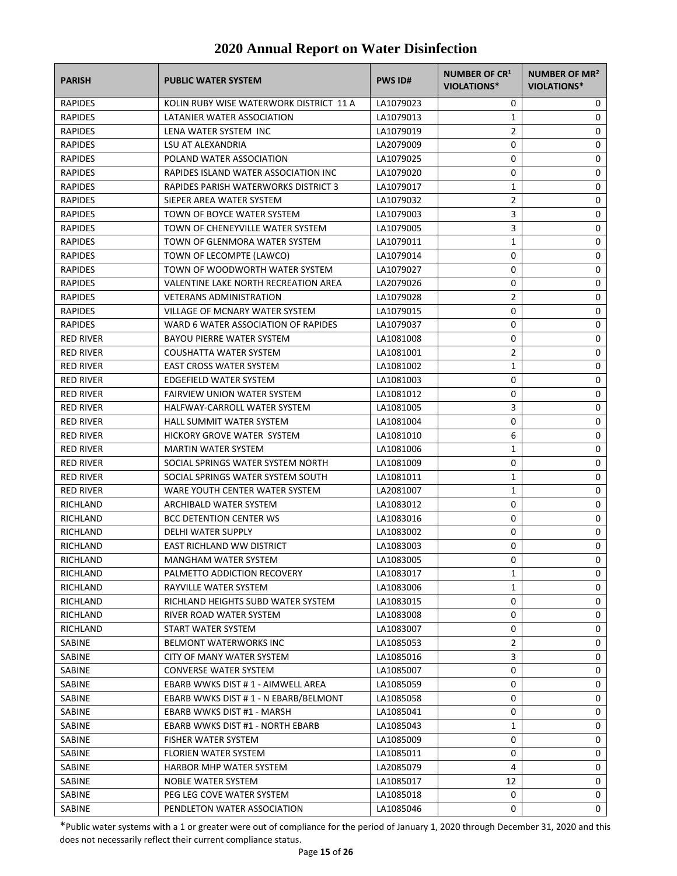| <b>PARISH</b>    | <b>PUBLIC WATER SYSTEM</b>              | <b>PWS ID#</b> | NUMBER OF CR <sup>1</sup><br>VIOLATIONS* | <b>NUMBER OF MR<sup>2</sup></b><br><b>VIOLATIONS*</b> |
|------------------|-----------------------------------------|----------------|------------------------------------------|-------------------------------------------------------|
| RAPIDES          | KOLIN RUBY WISE WATERWORK DISTRICT 11 A | LA1079023      | 0                                        | 0                                                     |
| RAPIDES          | LATANIER WATER ASSOCIATION              | LA1079013      | $\mathbf{1}$                             | 0                                                     |
| <b>RAPIDES</b>   | LENA WATER SYSTEM INC                   | LA1079019      | 2                                        | 0                                                     |
| <b>RAPIDES</b>   | LSU AT ALEXANDRIA                       | LA2079009      | 0                                        | 0                                                     |
| RAPIDES          | POLAND WATER ASSOCIATION                | LA1079025      | 0                                        | 0                                                     |
| <b>RAPIDES</b>   | RAPIDES ISLAND WATER ASSOCIATION INC    | LA1079020      | 0                                        | 0                                                     |
| <b>RAPIDES</b>   | RAPIDES PARISH WATERWORKS DISTRICT 3    | LA1079017      | 1                                        | 0                                                     |
| <b>RAPIDES</b>   | SIEPER AREA WATER SYSTEM                | LA1079032      | $\overline{2}$                           | 0                                                     |
| <b>RAPIDES</b>   | TOWN OF BOYCE WATER SYSTEM              | LA1079003      | 3                                        | 0                                                     |
| <b>RAPIDES</b>   | TOWN OF CHENEYVILLE WATER SYSTEM        | LA1079005      | 3                                        | 0                                                     |
| RAPIDES          | TOWN OF GLENMORA WATER SYSTEM           | LA1079011      | 1                                        | 0                                                     |
| <b>RAPIDES</b>   | TOWN OF LECOMPTE (LAWCO)                | LA1079014      | 0                                        | 0                                                     |
| RAPIDES          | TOWN OF WOODWORTH WATER SYSTEM          | LA1079027      | 0                                        | 0                                                     |
| RAPIDES          | VALENTINE LAKE NORTH RECREATION AREA    | LA2079026      | 0                                        | 0                                                     |
| <b>RAPIDES</b>   | <b>VETERANS ADMINISTRATION</b>          | LA1079028      | 2                                        | 0                                                     |
| RAPIDES          | VILLAGE OF MCNARY WATER SYSTEM          | LA1079015      | 0                                        | 0                                                     |
| RAPIDES          | WARD 6 WATER ASSOCIATION OF RAPIDES     | LA1079037      | 0                                        | 0                                                     |
| <b>RED RIVER</b> | <b>BAYOU PIERRE WATER SYSTEM</b>        | LA1081008      | 0                                        | 0                                                     |
| <b>RED RIVER</b> | COUSHATTA WATER SYSTEM                  | LA1081001      | 2                                        | 0                                                     |
| <b>RED RIVER</b> | <b>EAST CROSS WATER SYSTEM</b>          | LA1081002      | 1                                        | 0                                                     |
| <b>RED RIVER</b> | EDGEFIELD WATER SYSTEM                  | LA1081003      | 0                                        | 0                                                     |
| <b>RED RIVER</b> | <b>FAIRVIEW UNION WATER SYSTEM</b>      | LA1081012      | 0                                        | 0                                                     |
| <b>RED RIVER</b> | HALFWAY-CARROLL WATER SYSTEM            | LA1081005      | 3                                        | 0                                                     |
| <b>RED RIVER</b> | HALL SUMMIT WATER SYSTEM                | LA1081004      | 0                                        | 0                                                     |
| <b>RED RIVER</b> | HICKORY GROVE WATER SYSTEM              | LA1081010      | 6                                        | 0                                                     |
| <b>RED RIVER</b> | <b>MARTIN WATER SYSTEM</b>              | LA1081006      | 1                                        | 0                                                     |
| <b>RED RIVER</b> | SOCIAL SPRINGS WATER SYSTEM NORTH       | LA1081009      | 0                                        | 0                                                     |
| <b>RED RIVER</b> | SOCIAL SPRINGS WATER SYSTEM SOUTH       | LA1081011      | 1                                        | 0                                                     |
| <b>RED RIVER</b> | WARE YOUTH CENTER WATER SYSTEM          | LA2081007      | 1                                        | 0                                                     |
| RICHLAND         | ARCHIBALD WATER SYSTEM                  | LA1083012      | 0                                        | 0                                                     |
| RICHLAND         | <b>BCC DETENTION CENTER WS</b>          | LA1083016      | 0                                        | 0                                                     |
| RICHLAND         | DELHI WATER SUPPLY                      | LA1083002      | 0                                        | 0                                                     |
| RICHLAND         | EAST RICHLAND WW DISTRICT               | LA1083003      | 0                                        | 0                                                     |
| RICHLAND         | MANGHAM WATER SYSTEM                    | LA1083005      | 0                                        | 0                                                     |
| RICHLAND         | PALMETTO ADDICTION RECOVERY             | LA1083017      | 1                                        | 0                                                     |
| RICHLAND         | RAYVILLE WATER SYSTEM                   | LA1083006      | 1                                        | 0                                                     |
| RICHLAND         | RICHLAND HEIGHTS SUBD WATER SYSTEM      | LA1083015      | 0                                        | 0                                                     |
| RICHLAND         | RIVER ROAD WATER SYSTEM                 | LA1083008      | 0                                        | 0                                                     |
| RICHLAND         | START WATER SYSTEM                      | LA1083007      | 0                                        | 0                                                     |
| SABINE           | <b>BELMONT WATERWORKS INC</b>           | LA1085053      | 2                                        | 0                                                     |
| <b>SABINE</b>    | CITY OF MANY WATER SYSTEM               | LA1085016      | 3                                        | 0                                                     |
| SABINE           | <b>CONVERSE WATER SYSTEM</b>            | LA1085007      | 0                                        | 0                                                     |
| SABINE           | EBARB WWKS DIST # 1 - AIMWELL AREA      | LA1085059      | 0                                        | 0                                                     |
| SABINE           | EBARB WWKS DIST #1 - N EBARB/BELMONT    | LA1085058      | 0                                        | 0                                                     |
| SABINE           | EBARB WWKS DIST #1 - MARSH              | LA1085041      | 0                                        | 0                                                     |
| SABINE           | EBARB WWKS DIST #1 - NORTH EBARB        | LA1085043      | 1                                        | 0                                                     |
| SABINE           | FISHER WATER SYSTEM                     | LA1085009      | 0                                        | 0                                                     |
| SABINE           | FLORIEN WATER SYSTEM                    | LA1085011      | 0                                        | 0                                                     |
| SABINE           | HARBOR MHP WATER SYSTEM                 | LA2085079      | 4                                        | 0                                                     |
| SABINE           | NOBLE WATER SYSTEM                      | LA1085017      | 12                                       | 0                                                     |
| SABINE           | PEG LEG COVE WATER SYSTEM               | LA1085018      | 0                                        | 0                                                     |
| SABINE           | PENDLETON WATER ASSOCIATION             | LA1085046      | 0                                        | 0                                                     |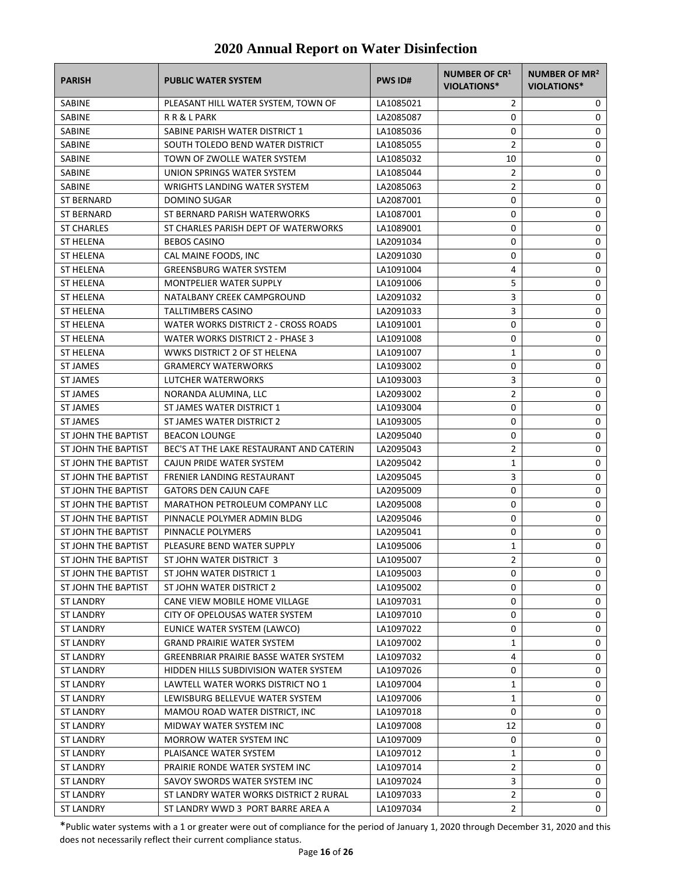| <b>PARISH</b>                 | <b>PUBLIC WATER SYSTEM</b>                        | <b>PWS ID#</b> | <b>NUMBER OF CR1</b><br>VIOLATIONS* | NUMBER OF MR <sup>2</sup><br><b>VIOLATIONS*</b> |
|-------------------------------|---------------------------------------------------|----------------|-------------------------------------|-------------------------------------------------|
| SABINE                        | PLEASANT HILL WATER SYSTEM, TOWN OF               | LA1085021      | 2                                   | 0                                               |
| SABINE                        | R R & L PARK                                      | LA2085087      | 0                                   | 0                                               |
| SABINE                        | SABINE PARISH WATER DISTRICT 1                    | LA1085036      | 0                                   | 0                                               |
| SABINE                        | SOUTH TOLEDO BEND WATER DISTRICT                  | LA1085055      | $\overline{2}$                      | 0                                               |
| SABINE                        | TOWN OF ZWOLLE WATER SYSTEM                       | LA1085032      | 10                                  | 0                                               |
| SABINE                        | UNION SPRINGS WATER SYSTEM                        | LA1085044      | $\overline{2}$                      | 0                                               |
| SABINE                        | <b>WRIGHTS LANDING WATER SYSTEM</b>               | LA2085063      | $\overline{2}$                      | 0                                               |
| <b>ST BERNARD</b>             | <b>DOMINO SUGAR</b>                               | LA2087001      | 0                                   | 0                                               |
| <b>ST BERNARD</b>             | ST BERNARD PARISH WATERWORKS                      | LA1087001      | 0                                   | 0                                               |
| <b>ST CHARLES</b>             | ST CHARLES PARISH DEPT OF WATERWORKS              | LA1089001      | 0                                   | 0                                               |
| <b>ST HELENA</b>              | <b>BEBOS CASINO</b>                               | LA2091034      | 0                                   | 0                                               |
| <b>ST HELENA</b>              | CAL MAINE FOODS, INC                              | LA2091030      | 0                                   | 0                                               |
| ST HELENA                     | <b>GREENSBURG WATER SYSTEM</b>                    | LA1091004      | 4                                   | 0                                               |
| ST HELENA                     | <b>MONTPELIER WATER SUPPLY</b>                    | LA1091006      | 5                                   | 0                                               |
| ST HELENA                     | NATALBANY CREEK CAMPGROUND                        | LA2091032      | 3                                   | 0                                               |
| <b>ST HELENA</b>              | TALLTIMBERS CASINO                                | LA2091033      | 3                                   | 0                                               |
| ST HELENA                     | WATER WORKS DISTRICT 2 - CROSS ROADS              | LA1091001      | 0                                   | 0                                               |
| ST HELENA                     | WATER WORKS DISTRICT 2 - PHASE 3                  | LA1091008      | 0                                   | 0                                               |
| <b>ST HELENA</b>              | WWKS DISTRICT 2 OF ST HELENA                      | LA1091007      | 1                                   | 0                                               |
| <b>ST JAMES</b>               | <b>GRAMERCY WATERWORKS</b>                        | LA1093002      | 0                                   | 0                                               |
| <b>ST JAMES</b>               | LUTCHER WATERWORKS                                | LA1093003      | 3                                   | 0                                               |
| <b>ST JAMES</b>               | NORANDA ALUMINA, LLC                              | LA2093002      | $\overline{2}$                      | 0                                               |
| <b>ST JAMES</b>               | ST JAMES WATER DISTRICT 1                         | LA1093004      | 0                                   | 0                                               |
| ST JAMES                      | ST JAMES WATER DISTRICT 2                         | LA1093005      | 0                                   | 0                                               |
| ST JOHN THE BAPTIST           | <b>BEACON LOUNGE</b>                              | LA2095040      | 0                                   | 0                                               |
| ST JOHN THE BAPTIST           | BEC'S AT THE LAKE RESTAURANT AND CATERIN          | LA2095043      | $\overline{2}$                      | 0                                               |
| ST JOHN THE BAPTIST           | CAJUN PRIDE WATER SYSTEM                          | LA2095042      | 1                                   | 0                                               |
| ST JOHN THE BAPTIST           | <b>FRENIER LANDING RESTAURANT</b>                 | LA2095045      | 3                                   | 0                                               |
| ST JOHN THE BAPTIST           | <b>GATORS DEN CAJUN CAFE</b>                      | LA2095009      | 0                                   | 0                                               |
| ST JOHN THE BAPTIST           | <b>MARATHON PETROLEUM COMPANY LLC</b>             | LA2095008      | 0                                   | 0                                               |
| ST JOHN THE BAPTIST           | PINNACLE POLYMER ADMIN BLDG                       | LA2095046      | 0                                   | 0                                               |
| ST JOHN THE BAPTIST           | PINNACLE POLYMERS                                 | LA2095041      | 0                                   | 0                                               |
| ST JOHN THE BAPTIST           | PLEASURE BEND WATER SUPPLY                        | LA1095006      | 1                                   | 0                                               |
| ST JOHN THE BAPTIST           | ST JOHN WATER DISTRICT 3                          | LA1095007      | $\mathfrak{p}$                      | $\Omega$                                        |
| ST JOHN THE BAPTIST           | ST JOHN WATER DISTRICT 1                          | LA1095003      | 0                                   | 0                                               |
| ST JOHN THE BAPTIST           | ST JOHN WATER DISTRICT 2                          | LA1095002      | 0                                   | 0                                               |
| ST LANDRY                     | CANE VIEW MOBILE HOME VILLAGE                     | LA1097031      | 0                                   | 0                                               |
| ST LANDRY                     | CITY OF OPELOUSAS WATER SYSTEM                    | LA1097010      | 0                                   | 0                                               |
| <b>ST LANDRY</b>              | EUNICE WATER SYSTEM (LAWCO)                       | LA1097022      | 0                                   | 0                                               |
| <b>ST LANDRY</b>              | <b>GRAND PRAIRIE WATER SYSTEM</b>                 | LA1097002      | 1                                   | 0                                               |
| <b>ST LANDRY</b>              | GREENBRIAR PRAIRIE BASSE WATER SYSTEM             | LA1097032      | 4                                   | 0                                               |
| ST LANDRY                     | HIDDEN HILLS SUBDIVISION WATER SYSTEM             | LA1097026      | 0                                   | 0                                               |
| <b>ST LANDRY</b>              | LAWTELL WATER WORKS DISTRICT NO 1                 | LA1097004      | 1                                   | 0                                               |
|                               | LEWISBURG BELLEVUE WATER SYSTEM                   | LA1097006      |                                     |                                                 |
| ST LANDRY<br><b>ST LANDRY</b> | MAMOU ROAD WATER DISTRICT, INC                    | LA1097018      | 1<br>0                              | 0<br>0                                          |
|                               |                                                   |                |                                     | 0                                               |
| <b>ST LANDRY</b>              | MIDWAY WATER SYSTEM INC                           | LA1097008      | 12<br>0                             |                                                 |
| <b>ST LANDRY</b>              | MORROW WATER SYSTEM INC<br>PLAISANCE WATER SYSTEM | LA1097009      | 1                                   | 0<br>0                                          |
| ST LANDRY                     |                                                   | LA1097012      |                                     |                                                 |
| <b>ST LANDRY</b>              | PRAIRIE RONDE WATER SYSTEM INC                    | LA1097014      | 2                                   | 0                                               |
| ST LANDRY                     | SAVOY SWORDS WATER SYSTEM INC                     | LA1097024      | 3                                   | 0                                               |
| <b>ST LANDRY</b>              | ST LANDRY WATER WORKS DISTRICT 2 RURAL            | LA1097033      | 2                                   | 0                                               |
| <b>ST LANDRY</b>              | ST LANDRY WWD 3 PORT BARRE AREA A                 | LA1097034      | $\overline{2}$                      | 0                                               |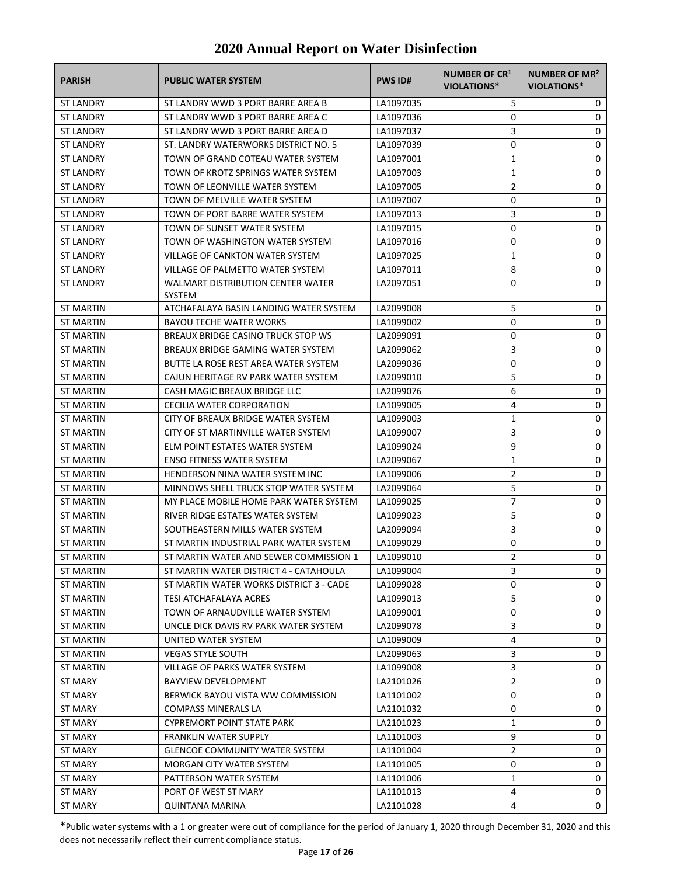| <b>PARISH</b>    | <b>PUBLIC WATER SYSTEM</b>                                | <b>PWS ID#</b> | <b>NUMBER OF CR1</b><br>VIOLATIONS* | NUMBER OF MR <sup>2</sup><br><b>VIOLATIONS*</b> |
|------------------|-----------------------------------------------------------|----------------|-------------------------------------|-------------------------------------------------|
| <b>ST LANDRY</b> | ST LANDRY WWD 3 PORT BARRE AREA B                         | LA1097035      | 5                                   | 0                                               |
| <b>ST LANDRY</b> | ST LANDRY WWD 3 PORT BARRE AREA C                         | LA1097036      | 0                                   | 0                                               |
| <b>ST LANDRY</b> | ST LANDRY WWD 3 PORT BARRE AREA D                         | LA1097037      | 3                                   | 0                                               |
| <b>ST LANDRY</b> | ST. LANDRY WATERWORKS DISTRICT NO. 5                      | LA1097039      | 0                                   | 0                                               |
| <b>ST LANDRY</b> | TOWN OF GRAND COTEAU WATER SYSTEM                         | LA1097001      | 1                                   | 0                                               |
| <b>ST LANDRY</b> | TOWN OF KROTZ SPRINGS WATER SYSTEM                        | LA1097003      | 1                                   | 0                                               |
| <b>ST LANDRY</b> | TOWN OF LEONVILLE WATER SYSTEM                            | LA1097005      | 2                                   | 0                                               |
| <b>ST LANDRY</b> | TOWN OF MELVILLE WATER SYSTEM                             | LA1097007      | 0                                   | 0                                               |
| <b>ST LANDRY</b> | TOWN OF PORT BARRE WATER SYSTEM                           | LA1097013      | 3                                   | 0                                               |
| <b>ST LANDRY</b> | TOWN OF SUNSET WATER SYSTEM                               | LA1097015      | 0                                   | 0                                               |
| <b>ST LANDRY</b> | TOWN OF WASHINGTON WATER SYSTEM                           | LA1097016      | 0                                   | 0                                               |
| <b>ST LANDRY</b> | VILLAGE OF CANKTON WATER SYSTEM                           | LA1097025      | 1                                   | 0                                               |
| <b>ST LANDRY</b> | VILLAGE OF PALMETTO WATER SYSTEM                          | LA1097011      | 8                                   | 0                                               |
| <b>ST LANDRY</b> | <b>WALMART DISTRIBUTION CENTER WATER</b><br><b>SYSTEM</b> | LA2097051      | 0                                   | 0                                               |
| <b>ST MARTIN</b> | ATCHAFALAYA BASIN LANDING WATER SYSTEM                    | LA2099008      | 5                                   | 0                                               |
| ST MARTIN        | <b>BAYOU TECHE WATER WORKS</b>                            | LA1099002      | 0                                   | 0                                               |
| <b>ST MARTIN</b> | BREAUX BRIDGE CASINO TRUCK STOP WS                        | LA2099091      | 0                                   | 0                                               |
| ST MARTIN        | BREAUX BRIDGE GAMING WATER SYSTEM                         | LA2099062      | 3                                   | 0                                               |
| ST MARTIN        | BUTTE LA ROSE REST AREA WATER SYSTEM                      | LA2099036      | 0                                   | 0                                               |
| <b>ST MARTIN</b> | CAJUN HERITAGE RV PARK WATER SYSTEM                       | LA2099010      | 5                                   | 0                                               |
| ST MARTIN        | CASH MAGIC BREAUX BRIDGE LLC                              | LA2099076      | 6                                   | 0                                               |
| ST MARTIN        | CECILIA WATER CORPORATION                                 | LA1099005      | 4                                   | 0                                               |
| ST MARTIN        | CITY OF BREAUX BRIDGE WATER SYSTEM                        | LA1099003      | 1                                   | 0                                               |
| ST MARTIN        | CITY OF ST MARTINVILLE WATER SYSTEM                       | LA1099007      | 3                                   | 0                                               |
| ST MARTIN        | ELM POINT ESTATES WATER SYSTEM                            | LA1099024      | 9                                   | 0                                               |
| ST MARTIN        | <b>ENSO FITNESS WATER SYSTEM</b>                          | LA2099067      | 1                                   | 0                                               |
| <b>ST MARTIN</b> | HENDERSON NINA WATER SYSTEM INC                           | LA1099006      | $\overline{2}$                      | 0                                               |
| ST MARTIN        | MINNOWS SHELL TRUCK STOP WATER SYSTEM                     | LA2099064      | 5                                   | 0                                               |
| ST MARTIN        | MY PLACE MOBILE HOME PARK WATER SYSTEM                    | LA1099025      | 7                                   | 0                                               |
| ST MARTIN        | RIVER RIDGE ESTATES WATER SYSTEM                          | LA1099023      | 5                                   | 0                                               |
| <b>ST MARTIN</b> | SOUTHEASTERN MILLS WATER SYSTEM                           | LA2099094      | 3                                   | 0                                               |
| ST MARTIN        | ST MARTIN INDUSTRIAL PARK WATER SYSTEM                    | LA1099029      | 0                                   | 0                                               |
| <b>ST MARTIN</b> | ST MARTIN WATER AND SEWER COMMISSION 1                    | LA1099010      | $\overline{2}$                      | 0                                               |
| ST MARTIN        | ST MARTIN WATER DISTRICT 4 - CATAHOULA                    | LA1099004      | 3                                   | 0                                               |
| ST MARTIN        | ST MARTIN WATER WORKS DISTRICT 3 - CADE                   | LA1099028      | 0                                   | 0                                               |
| <b>ST MARTIN</b> | <b>TESI ATCHAFALAYA ACRES</b>                             | LA1099013      | 5                                   | 0                                               |
| ST MARTIN        | TOWN OF ARNAUDVILLE WATER SYSTEM                          | LA1099001      | 0                                   | 0                                               |
| <b>ST MARTIN</b> | UNCLE DICK DAVIS RV PARK WATER SYSTEM                     | LA2099078      | 3                                   | 0                                               |
| <b>ST MARTIN</b> | UNITED WATER SYSTEM                                       | LA1099009      | 4                                   | 0                                               |
| <b>ST MARTIN</b> | <b>VEGAS STYLE SOUTH</b>                                  | LA2099063      | 3                                   | 0                                               |
| ST MARTIN        | VILLAGE OF PARKS WATER SYSTEM                             | LA1099008      | 3                                   | 0                                               |
| <b>ST MARY</b>   | BAYVIEW DEVELOPMENT                                       | LA2101026      | 2                                   | 0                                               |
| <b>ST MARY</b>   | BERWICK BAYOU VISTA WW COMMISSION                         | LA1101002      | 0                                   | 0                                               |
| <b>ST MARY</b>   | <b>COMPASS MINERALS LA</b>                                | LA2101032      | 0                                   | 0                                               |
| <b>ST MARY</b>   | <b>CYPREMORT POINT STATE PARK</b>                         | LA2101023      | 1                                   | 0                                               |
| ST MARY          | FRANKLIN WATER SUPPLY                                     | LA1101003      | 9                                   | 0                                               |
| ST MARY          | <b>GLENCOE COMMUNITY WATER SYSTEM</b>                     | LA1101004      | 2                                   | 0                                               |
| <b>ST MARY</b>   | MORGAN CITY WATER SYSTEM                                  | LA1101005      | 0                                   | 0                                               |
| <b>ST MARY</b>   | PATTERSON WATER SYSTEM                                    | LA1101006      | 1                                   | 0                                               |
| <b>ST MARY</b>   | PORT OF WEST ST MARY                                      | LA1101013      | 4                                   | 0                                               |
| <b>ST MARY</b>   | <b>QUINTANA MARINA</b>                                    | LA2101028      | 4                                   | 0                                               |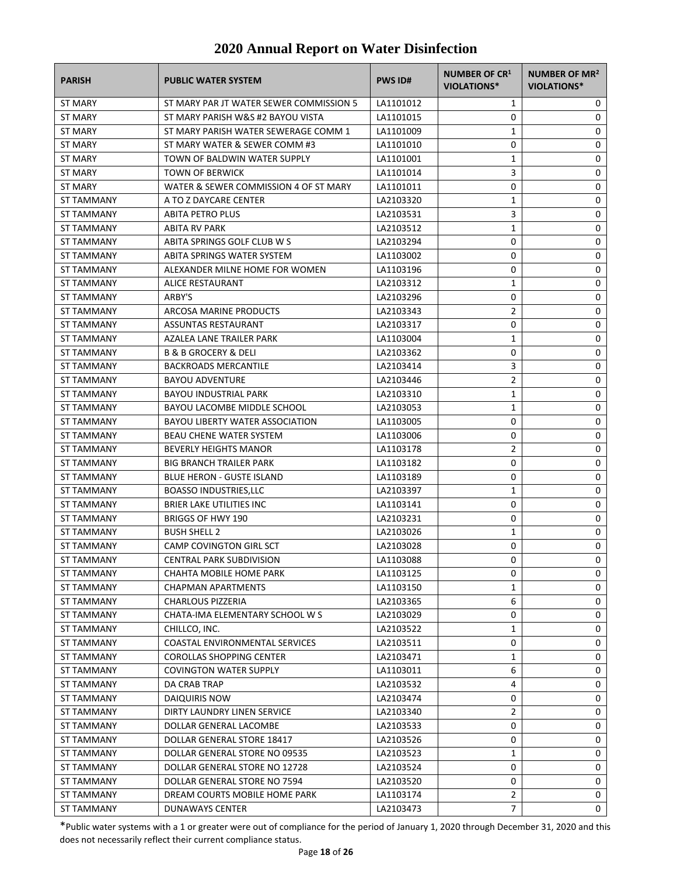| <b>PARISH</b>     | <b>PUBLIC WATER SYSTEM</b>              | <b>PWS ID#</b> | <b>NUMBER OF CR1</b><br><b>VIOLATIONS*</b> | NUMBER OF MR <sup>2</sup><br>VIOLATIONS* |
|-------------------|-----------------------------------------|----------------|--------------------------------------------|------------------------------------------|
| ST MARY           | ST MARY PAR JT WATER SEWER COMMISSION 5 | LA1101012      | 1                                          | 0                                        |
| ST MARY           | ST MARY PARISH W&S #2 BAYOU VISTA       | LA1101015      | 0                                          | 0                                        |
| ST MARY           | ST MARY PARISH WATER SEWERAGE COMM 1    | LA1101009      | 1                                          | 0                                        |
| <b>ST MARY</b>    | ST MARY WATER & SEWER COMM #3           | LA1101010      | 0                                          | 0                                        |
| ST MARY           | TOWN OF BALDWIN WATER SUPPLY            | LA1101001      | 1                                          | 0                                        |
| ST MARY           | <b>TOWN OF BERWICK</b>                  | LA1101014      | 3                                          | 0                                        |
| <b>ST MARY</b>    | WATER & SEWER COMMISSION 4 OF ST MARY   | LA1101011      | 0                                          | 0                                        |
| <b>ST TAMMANY</b> | A TO Z DAYCARE CENTER                   | LA2103320      | 1                                          | 0                                        |
| <b>ST TAMMANY</b> | <b>ABITA PETRO PLUS</b>                 | LA2103531      | 3                                          | 0                                        |
| <b>ST TAMMANY</b> | <b>ABITA RV PARK</b>                    | LA2103512      | 1                                          | 0                                        |
| ST TAMMANY        | ABITA SPRINGS GOLF CLUB W S             | LA2103294      | 0                                          | 0                                        |
| ST TAMMANY        | ABITA SPRINGS WATER SYSTEM              | LA1103002      | 0                                          | 0                                        |
| ST TAMMANY        | ALEXANDER MILNE HOME FOR WOMEN          | LA1103196      | 0                                          | 0                                        |
| <b>ST TAMMANY</b> | ALICE RESTAURANT                        | LA2103312      | 1                                          | 0                                        |
| ST TAMMANY        | ARBY'S                                  | LA2103296      | 0                                          | 0                                        |
| <b>ST TAMMANY</b> | ARCOSA MARINE PRODUCTS                  | LA2103343      | $\overline{2}$                             | 0                                        |
| <b>ST TAMMANY</b> | ASSUNTAS RESTAURANT                     | LA2103317      | 0                                          | 0                                        |
| ST TAMMANY        | AZALEA LANE TRAILER PARK                | LA1103004      | 1                                          | 0                                        |
| ST TAMMANY        | <b>B &amp; B GROCERY &amp; DELI</b>     | LA2103362      | 0                                          | 0                                        |
| <b>ST TAMMANY</b> | <b>BACKROADS MERCANTILE</b>             | LA2103414      | 3                                          | 0                                        |
| ST TAMMANY        | <b>BAYOU ADVENTURE</b>                  | LA2103446      | 2                                          | 0                                        |
| ST TAMMANY        | <b>BAYOU INDUSTRIAL PARK</b>            | LA2103310      | 1                                          | 0                                        |
| ST TAMMANY        | BAYOU LACOMBE MIDDLE SCHOOL             | LA2103053      | 1                                          | 0                                        |
| ST TAMMANY        | BAYOU LIBERTY WATER ASSOCIATION         | LA1103005      | 0                                          | 0                                        |
| ST TAMMANY        | <b>BEAU CHENE WATER SYSTEM</b>          | LA1103006      | 0                                          | 0                                        |
| ST TAMMANY        | <b>BEVERLY HEIGHTS MANOR</b>            | LA1103178      | $\overline{2}$                             | 0                                        |
| ST TAMMANY        | <b>BIG BRANCH TRAILER PARK</b>          | LA1103182      | 0                                          | 0                                        |
| ST TAMMANY        | <b>BLUE HERON - GUSTE ISLAND</b>        | LA1103189      | 0                                          | 0                                        |
| ST TAMMANY        | <b>BOASSO INDUSTRIES,LLC</b>            | LA2103397      | 1                                          | 0                                        |
| ST TAMMANY        | <b>BRIER LAKE UTILITIES INC</b>         | LA1103141      | 0                                          | 0                                        |
| ST TAMMANY        | <b>BRIGGS OF HWY 190</b>                | LA2103231      | 0                                          | 0                                        |
| <b>ST TAMMANY</b> | <b>BUSH SHELL 2</b>                     | LA2103026      | 1                                          | 0                                        |
| ST TAMMANY        | CAMP COVINGTON GIRL SCT                 | LA2103028      | 0                                          | 0                                        |
| <b>ST TAMMANY</b> | <b>CENTRAL PARK SUBDIVISION</b>         | LA1103088      | 0                                          | $\Omega$                                 |
| ST TAMMANY        | CHAHTA MOBILE HOME PARK                 | LA1103125      | 0                                          | 0                                        |
| ST TAMMANY        | <b>CHAPMAN APARTMENTS</b>               | LA1103150      | 1                                          | 0                                        |
| <b>ST TAMMANY</b> | <b>CHARLOUS PIZZERIA</b>                | LA2103365      | 6                                          | 0                                        |
| <b>ST TAMMANY</b> | CHATA-IMA ELEMENTARY SCHOOL W S         | LA2103029      | 0                                          | 0                                        |
| ST TAMMANY        | CHILLCO, INC.                           | LA2103522      | 1                                          | 0                                        |
| ST TAMMANY        | COASTAL ENVIRONMENTAL SERVICES          | LA2103511      | 0                                          | 0                                        |
| ST TAMMANY        | <b>COROLLAS SHOPPING CENTER</b>         | LA2103471      | 1                                          | 0                                        |
| ST TAMMANY        | <b>COVINGTON WATER SUPPLY</b>           | LA1103011      | 6                                          | 0                                        |
| ST TAMMANY        | DA CRAB TRAP                            | LA2103532      | 4                                          | 0                                        |
| ST TAMMANY        | DAIQUIRIS NOW                           | LA2103474      | 0                                          | 0                                        |
| ST TAMMANY        | DIRTY LAUNDRY LINEN SERVICE             | LA2103340      | 2                                          | 0                                        |
| ST TAMMANY        | DOLLAR GENERAL LACOMBE                  | LA2103533      | 0                                          | 0                                        |
| ST TAMMANY        | DOLLAR GENERAL STORE 18417              | LA2103526      | 0                                          | 0                                        |
| ST TAMMANY        | DOLLAR GENERAL STORE NO 09535           | LA2103523      | 1                                          | 0                                        |
| ST TAMMANY        | DOLLAR GENERAL STORE NO 12728           | LA2103524      | 0                                          | 0                                        |
| ST TAMMANY        | DOLLAR GENERAL STORE NO 7594            | LA2103520      | 0                                          | 0                                        |
| ST TAMMANY        | DREAM COURTS MOBILE HOME PARK           | LA1103174      | 2                                          | 0                                        |
| <b>ST TAMMANY</b> | DUNAWAYS CENTER                         | LA2103473      | 7                                          | 0                                        |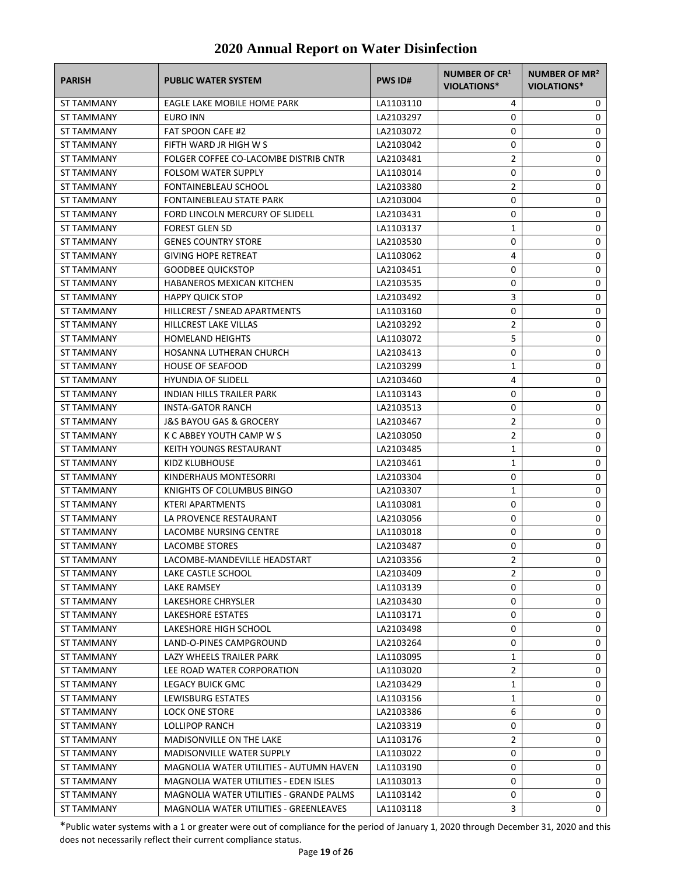| <b>PARISH</b>     | <b>PUBLIC WATER SYSTEM</b>              | <b>PWS ID#</b> | NUMBER OF CR1<br><b>VIOLATIONS*</b> | NUMBER OF MR <sup>2</sup><br><b>VIOLATIONS*</b> |
|-------------------|-----------------------------------------|----------------|-------------------------------------|-------------------------------------------------|
| ST TAMMANY        | EAGLE LAKE MOBILE HOME PARK             | LA1103110      | 4                                   | 0                                               |
| ST TAMMANY        | EURO INN                                | LA2103297      | 0                                   | 0                                               |
| ST TAMMANY        | <b>FAT SPOON CAFE #2</b>                | LA2103072      | 0                                   | 0                                               |
| ST TAMMANY        | FIFTH WARD JR HIGH W S                  | LA2103042      | 0                                   | 0                                               |
| ST TAMMANY        | FOLGER COFFEE CO-LACOMBE DISTRIB CNTR   | LA2103481      | $\overline{2}$                      | 0                                               |
| ST TAMMANY        | <b>FOLSOM WATER SUPPLY</b>              | LA1103014      | 0                                   | 0                                               |
| ST TAMMANY        | <b>FONTAINEBLEAU SCHOOL</b>             | LA2103380      | $\overline{2}$                      | 0                                               |
| ST TAMMANY        | FONTAINEBLEAU STATE PARK                | LA2103004      | 0                                   | 0                                               |
| <b>ST TAMMANY</b> | FORD LINCOLN MERCURY OF SLIDELL         | LA2103431      | 0                                   | 0                                               |
| <b>ST TAMMANY</b> | <b>FOREST GLEN SD</b>                   | LA1103137      | $\mathbf{1}$                        | 0                                               |
| ST TAMMANY        | <b>GENES COUNTRY STORE</b>              | LA2103530      | 0                                   | 0                                               |
| ST TAMMANY        | <b>GIVING HOPE RETREAT</b>              | LA1103062      | 4                                   | 0                                               |
| ST TAMMANY        | <b>GOODBEE QUICKSTOP</b>                | LA2103451      | 0                                   | 0                                               |
| ST TAMMANY        | HABANEROS MEXICAN KITCHEN               | LA2103535      | 0                                   | 0                                               |
| ST TAMMANY        | <b>HAPPY QUICK STOP</b>                 | LA2103492      | 3                                   | 0                                               |
| ST TAMMANY        | HILLCREST / SNEAD APARTMENTS            | LA1103160      | 0                                   | 0                                               |
| <b>ST TAMMANY</b> | HILLCREST LAKE VILLAS                   | LA2103292      | $\overline{2}$                      | 0                                               |
| ST TAMMANY        | <b>HOMELAND HEIGHTS</b>                 | LA1103072      | 5                                   | 0                                               |
| <b>ST TAMMANY</b> | HOSANNA LUTHERAN CHURCH                 | LA2103413      | 0                                   | 0                                               |
| ST TAMMANY        | <b>HOUSE OF SEAFOOD</b>                 | LA2103299      | 1                                   | 0                                               |
| <b>ST TAMMANY</b> | <b>HYUNDIA OF SLIDELL</b>               | LA2103460      | 4                                   | 0                                               |
| <b>ST TAMMANY</b> | <b>INDIAN HILLS TRAILER PARK</b>        | LA1103143      | 0                                   | 0                                               |
| ST TAMMANY        | <b>INSTA-GATOR RANCH</b>                | LA2103513      | 0                                   | 0                                               |
| ST TAMMANY        | J&S BAYOU GAS & GROCERY                 | LA2103467      | 2                                   | 0                                               |
| ST TAMMANY        | K C ABBEY YOUTH CAMP W S                | LA2103050      | $\overline{2}$                      | 0                                               |
| ST TAMMANY        | KEITH YOUNGS RESTAURANT                 | LA2103485      | 1                                   | 0                                               |
| ST TAMMANY        | KIDZ KLUBHOUSE                          | LA2103461      | $\mathbf{1}$                        | 0                                               |
| ST TAMMANY        | KINDERHAUS MONTESORRI                   | LA2103304      | 0                                   | 0                                               |
| ST TAMMANY        | KNIGHTS OF COLUMBUS BINGO               | LA2103307      | $\mathbf{1}$                        | 0                                               |
| <b>ST TAMMANY</b> | <b>KTERI APARTMENTS</b>                 | LA1103081      | 0                                   | 0                                               |
| <b>ST TAMMANY</b> | LA PROVENCE RESTAURANT                  | LA2103056      | 0                                   | 0                                               |
| ST TAMMANY        | LACOMBE NURSING CENTRE                  | LA1103018      | 0                                   | 0                                               |
| <b>ST TAMMANY</b> | <b>LACOMBE STORES</b>                   | LA2103487      | 0                                   | 0                                               |
| <b>ST TAMMANY</b> | LACOMBE-MANDEVILLE HEADSTART            | LA2103356      | $\overline{2}$                      | 0                                               |
| <b>ST TAMMANY</b> | LAKE CASTLE SCHOOL                      | LA2103409      | $\overline{2}$                      | 0                                               |
| ST TAMMANY        | LAKE RAMSEY                             | LA1103139      | 0                                   | 0                                               |
| ST TAMMANY        | LAKESHORE CHRYSLER                      | LA2103430      | 0                                   | 0                                               |
| ST TAMMANY        | LAKESHORE ESTATES                       | LA1103171      | 0                                   | 0                                               |
| <b>ST TAMMANY</b> | LAKESHORE HIGH SCHOOL                   | LA2103498      | 0                                   | 0                                               |
| <b>ST TAMMANY</b> | LAND-O-PINES CAMPGROUND                 | LA2103264      | 0                                   | 0                                               |
| ST TAMMANY        | LAZY WHEELS TRAILER PARK                | LA1103095      | 1                                   | 0                                               |
| ST TAMMANY        | LEE ROAD WATER CORPORATION              | LA1103020      | $\overline{2}$                      | 0                                               |
| ST TAMMANY        | LEGACY BUICK GMC                        | LA2103429      | 1                                   | 0                                               |
| <b>ST TAMMANY</b> | LEWISBURG ESTATES                       | LA1103156      | 1                                   | 0                                               |
| ST TAMMANY        | <b>LOCK ONE STORE</b>                   | LA2103386      | 6                                   | 0                                               |
| ST TAMMANY        | <b>LOLLIPOP RANCH</b>                   | LA2103319      | 0                                   | 0                                               |
| ST TAMMANY        | MADISONVILLE ON THE LAKE                | LA1103176      | $\overline{2}$                      | 0                                               |
| ST TAMMANY        | MADISONVILLE WATER SUPPLY               | LA1103022      | 0                                   | 0                                               |
| ST TAMMANY        | MAGNOLIA WATER UTILITIES - AUTUMN HAVEN | LA1103190      | 0                                   | 0                                               |
| ST TAMMANY        | MAGNOLIA WATER UTILITIES - EDEN ISLES   | LA1103013      | 0                                   | 0                                               |
| ST TAMMANY        | MAGNOLIA WATER UTILITIES - GRANDE PALMS | LA1103142      | 0                                   | 0                                               |
| ST TAMMANY        | MAGNOLIA WATER UTILITIES - GREENLEAVES  | LA1103118      | 3                                   | 0                                               |
|                   |                                         |                |                                     |                                                 |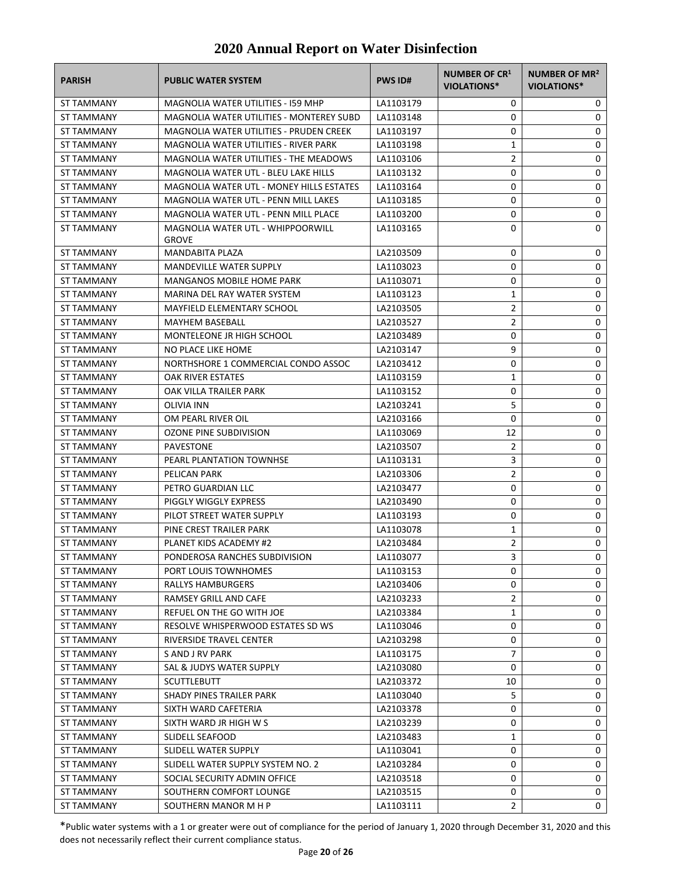| <b>PARISH</b>     | <b>PUBLIC WATER SYSTEM</b>                               | <b>PWS ID#</b> | NUMBER OF CR1<br><b>VIOLATIONS*</b> | NUMBER OF MR <sup>2</sup><br><b>VIOLATIONS*</b> |
|-------------------|----------------------------------------------------------|----------------|-------------------------------------|-------------------------------------------------|
| ST TAMMANY        | <b>MAGNOLIA WATER UTILITIES - I59 MHP</b>                | LA1103179      | 0                                   | 0                                               |
| ST TAMMANY        | MAGNOLIA WATER UTILITIES - MONTEREY SUBD                 | LA1103148      | 0                                   | 0                                               |
| ST TAMMANY        | <b>MAGNOLIA WATER UTILITIES - PRUDEN CREEK</b>           | LA1103197      | 0                                   | 0                                               |
| ST TAMMANY        | MAGNOLIA WATER UTILITIES - RIVER PARK                    | LA1103198      | 1                                   | 0                                               |
| ST TAMMANY        | MAGNOLIA WATER UTILITIES - THE MEADOWS                   | LA1103106      | $\overline{2}$                      | 0                                               |
| ST TAMMANY        | <b>MAGNOLIA WATER UTL - BLEU LAKE HILLS</b>              | LA1103132      | 0                                   | 0                                               |
| ST TAMMANY        | <b>MAGNOLIA WATER UTL - MONEY HILLS ESTATES</b>          | LA1103164      | 0                                   | 0                                               |
| ST TAMMANY        | MAGNOLIA WATER UTL - PENN MILL LAKES                     | LA1103185      | 0                                   | 0                                               |
| ST TAMMANY        | MAGNOLIA WATER UTL - PENN MILL PLACE                     | LA1103200      | 0                                   | 0                                               |
| ST TAMMANY        | <b>MAGNOLIA WATER UTL - WHIPPOORWILL</b><br><b>GROVE</b> | LA1103165      | 0                                   | 0                                               |
| <b>ST TAMMANY</b> | <b>MANDABITA PLAZA</b>                                   | LA2103509      | 0                                   | 0                                               |
| ST TAMMANY        | <b>MANDEVILLE WATER SUPPLY</b>                           | LA1103023      | 0                                   | 0                                               |
| ST TAMMANY        | <b>MANGANOS MOBILE HOME PARK</b>                         | LA1103071      | 0                                   | 0                                               |
| <b>ST TAMMANY</b> | MARINA DEL RAY WATER SYSTEM                              | LA1103123      | 1                                   | 0                                               |
| <b>ST TAMMANY</b> | <b>MAYFIELD ELEMENTARY SCHOOL</b>                        | LA2103505      | 2                                   | 0                                               |
| <b>ST TAMMANY</b> | <b>MAYHEM BASEBALL</b>                                   | LA2103527      | $\overline{2}$                      | 0                                               |
| ST TAMMANY        | MONTELEONE JR HIGH SCHOOL                                | LA2103489      | 0                                   | 0                                               |
| ST TAMMANY        | NO PLACE LIKE HOME                                       | LA2103147      | 9                                   | 0                                               |
| ST TAMMANY        | NORTHSHORE 1 COMMERCIAL CONDO ASSOC                      | LA2103412      | 0                                   | 0                                               |
| ST TAMMANY        | OAK RIVER ESTATES                                        | LA1103159      | 1                                   | 0                                               |
| ST TAMMANY        | OAK VILLA TRAILER PARK                                   | LA1103152      | 0                                   | 0                                               |
| ST TAMMANY        | OLIVIA INN                                               | LA2103241      | 5                                   | 0                                               |
| ST TAMMANY        | OM PEARL RIVER OIL                                       | LA2103166      | 0                                   | 0                                               |
| ST TAMMANY        | OZONE PINE SUBDIVISION                                   | LA1103069      | 12                                  | 0                                               |
| ST TAMMANY        | PAVESTONE                                                | LA2103507      | $\overline{2}$                      | 0                                               |
| ST TAMMANY        | PEARL PLANTATION TOWNHSE                                 | LA1103131      | 3                                   | 0                                               |
| ST TAMMANY        | PELICAN PARK                                             | LA2103306      | $\overline{2}$                      | 0                                               |
| <b>ST TAMMANY</b> | PETRO GUARDIAN LLC                                       | LA2103477      | 0                                   | 0                                               |
| ST TAMMANY        | PIGGLY WIGGLY EXPRESS                                    | LA2103490      | 0                                   | 0                                               |
| ST TAMMANY        | PILOT STREET WATER SUPPLY                                | LA1103193      | 0                                   | 0                                               |
| <b>ST TAMMANY</b> | PINE CREST TRAILER PARK                                  | LA1103078      | 1                                   | 0                                               |
| <b>ST TAMMANY</b> | <b>PLANET KIDS ACADEMY #2</b>                            | LA2103484      | 2                                   | 0                                               |
| ST TAMMANY        | PONDEROSA RANCHES SUBDIVISION                            | LA1103077      | 3                                   | 0                                               |
| <b>ST TAMMANY</b> | PORT LOUIS TOWNHOMES                                     | LA1103153      | 0                                   | 0                                               |
| ST TAMMANY        | RALLYS HAMBURGERS                                        | LA2103406      | 0                                   | 0                                               |
| ST TAMMANY        | RAMSEY GRILL AND CAFE                                    | LA2103233      | 2                                   | 0                                               |
| ST TAMMANY        | REFUEL ON THE GO WITH JOE                                | LA2103384      | 1                                   | 0                                               |
| ST TAMMANY        | RESOLVE WHISPERWOOD ESTATES SD WS                        | LA1103046      | 0                                   | 0                                               |
| <b>ST TAMMANY</b> | RIVERSIDE TRAVEL CENTER                                  | LA2103298      | 0                                   | 0                                               |
| ST TAMMANY        | S AND J RV PARK                                          | LA1103175      | 7                                   | 0                                               |
| ST TAMMANY        | SAL & JUDYS WATER SUPPLY                                 | LA2103080      | 0                                   | 0                                               |
| ST TAMMANY        | <b>SCUTTLEBUTT</b>                                       | LA2103372      | 10                                  | 0                                               |
| ST TAMMANY        | SHADY PINES TRAILER PARK                                 | LA1103040      | 5                                   | 0                                               |
| ST TAMMANY        | SIXTH WARD CAFETERIA                                     | LA2103378      | 0                                   | 0                                               |
| ST TAMMANY        | SIXTH WARD JR HIGH W S                                   | LA2103239      | 0                                   | 0                                               |
| ST TAMMANY        | SLIDELL SEAFOOD                                          | LA2103483      | 1                                   | 0                                               |
| ST TAMMANY        | SLIDELL WATER SUPPLY                                     | LA1103041      | 0                                   | 0                                               |
| ST TAMMANY        | SLIDELL WATER SUPPLY SYSTEM NO. 2                        | LA2103284      | 0                                   | 0                                               |
| ST TAMMANY        | SOCIAL SECURITY ADMIN OFFICE                             | LA2103518      | 0                                   | 0                                               |
| ST TAMMANY        | SOUTHERN COMFORT LOUNGE                                  | LA2103515      | 0                                   | 0                                               |
| ST TAMMANY        | SOUTHERN MANOR M H P                                     | LA1103111      | $\overline{2}$                      | 0                                               |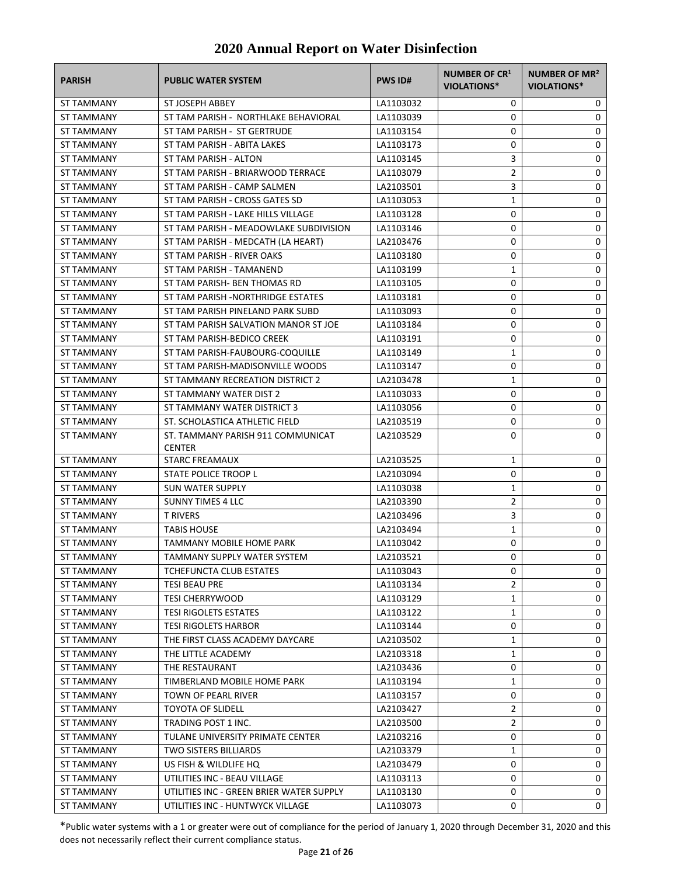| <b>PARISH</b>            | <b>PUBLIC WATER SYSTEM</b>                            | <b>PWS ID#</b>         | <b>NUMBER OF CR1</b><br>VIOLATIONS* | <b>NUMBER OF MR<sup>2</sup></b><br>VIOLATIONS* |
|--------------------------|-------------------------------------------------------|------------------------|-------------------------------------|------------------------------------------------|
| <b>ST TAMMANY</b>        | ST JOSEPH ABBEY                                       | LA1103032              | 0                                   | 0                                              |
| ST TAMMANY               | ST TAM PARISH - NORTHLAKE BEHAVIORAL                  | LA1103039              | 0                                   | 0                                              |
| ST TAMMANY               | ST TAM PARISH - ST GERTRUDE                           | LA1103154              | 0                                   | 0                                              |
| ST TAMMANY               | ST TAM PARISH - ABITA LAKES                           | LA1103173              | 0                                   | 0                                              |
| ST TAMMANY               | ST TAM PARISH - ALTON                                 | LA1103145              | 3                                   | 0                                              |
| ST TAMMANY               | ST TAM PARISH - BRIARWOOD TERRACE                     | LA1103079              | $\overline{2}$                      | 0                                              |
| ST TAMMANY               | ST TAM PARISH - CAMP SALMEN                           | LA2103501              | 3                                   | 0                                              |
| <b>ST TAMMANY</b>        | ST TAM PARISH - CROSS GATES SD                        | LA1103053              | $\mathbf{1}$                        | 0                                              |
| <b>ST TAMMANY</b>        | ST TAM PARISH - LAKE HILLS VILLAGE                    | LA1103128              | 0                                   | 0                                              |
| ST TAMMANY               | ST TAM PARISH - MEADOWLAKE SUBDIVISION                | LA1103146              | 0                                   | 0                                              |
| ST TAMMANY               | ST TAM PARISH - MEDCATH (LA HEART)                    | LA2103476              | 0                                   | 0                                              |
| ST TAMMANY               | ST TAM PARISH - RIVER OAKS                            | LA1103180              | 0                                   | 0                                              |
| ST TAMMANY               | ST TAM PARISH - TAMANEND                              | LA1103199              | 1                                   | 0                                              |
| ST TAMMANY               | ST TAM PARISH- BEN THOMAS RD                          | LA1103105              | 0                                   | 0                                              |
| <b>ST TAMMANY</b>        | ST TAM PARISH -NORTHRIDGE ESTATES                     | LA1103181              | 0                                   | 0                                              |
| ST TAMMANY               | ST TAM PARISH PINELAND PARK SUBD                      | LA1103093              | 0                                   | 0                                              |
| ST TAMMANY               | ST TAM PARISH SALVATION MANOR ST JOE                  | LA1103184              | 0                                   | 0                                              |
| ST TAMMANY               | ST TAM PARISH-BEDICO CREEK                            | LA1103191              | 0                                   | 0                                              |
| ST TAMMANY               | ST TAM PARISH-FAUBOURG-COQUILLE                       | LA1103149              | 1                                   | 0                                              |
| ST TAMMANY               | ST TAM PARISH-MADISONVILLE WOODS                      | LA1103147              | 0                                   | 0                                              |
| ST TAMMANY               | ST TAMMANY RECREATION DISTRICT 2                      | LA2103478              | 1                                   | 0                                              |
| ST TAMMANY               | ST TAMMANY WATER DIST 2                               | LA1103033              | 0                                   | 0                                              |
| ST TAMMANY               | ST TAMMANY WATER DISTRICT 3                           | LA1103056              | 0                                   | 0                                              |
| ST TAMMANY               | ST. SCHOLASTICA ATHLETIC FIELD                        | LA2103519              | 0                                   | 0                                              |
| ST TAMMANY               | ST. TAMMANY PARISH 911 COMMUNICAT<br><b>CENTER</b>    | LA2103529              | 0                                   | 0                                              |
| ST TAMMANY               | <b>STARC FREAMAUX</b>                                 | LA2103525              | 1                                   | 0                                              |
| ST TAMMANY               | STATE POLICE TROOP L                                  | LA2103094              | 0                                   | 0                                              |
| ST TAMMANY               | <b>SUN WATER SUPPLY</b>                               | LA1103038              | 1                                   | 0                                              |
| ST TAMMANY               | <b>SUNNY TIMES 4 LLC</b>                              | LA2103390              | $\overline{2}$                      | 0                                              |
| <b>ST TAMMANY</b>        | <b>T RIVERS</b>                                       | LA2103496              | 3                                   | 0                                              |
| ST TAMMANY               | TABIS HOUSE                                           | LA2103494              | $\mathbf{1}$                        | 0                                              |
| ST TAMMANY               | TAMMANY MOBILE HOME PARK                              | LA1103042              | 0                                   | 0                                              |
| ST TAMMANY               | TAMMANY SUPPLY WATER SYSTEM                           | LA2103521              | 0                                   | $\Omega$                                       |
| ST TAMMANY               | <b>TCHEFUNCTA CLUB ESTATES</b>                        | LA1103043              | 0                                   | 0                                              |
| ST TAMMANY               | TESI BEAU PRE                                         | LA1103134              | 2                                   | 0                                              |
| ST TAMMANY               | <b>TESI CHERRYWOOD</b>                                | LA1103129              | 1                                   | 0                                              |
| ST TAMMANY               | <b>TESI RIGOLETS ESTATES</b>                          | LA1103122              | 1                                   | 0                                              |
| ST TAMMANY               | <b>TESI RIGOLETS HARBOR</b>                           | LA1103144              | 0                                   | 0                                              |
| ST TAMMANY               | THE FIRST CLASS ACADEMY DAYCARE                       | LA2103502              | 1                                   | 0                                              |
| ST TAMMANY               | THE LITTLE ACADEMY                                    | LA2103318              | 1                                   | 0                                              |
| ST TAMMANY               | THE RESTAURANT                                        | LA2103436              | 0                                   | 0                                              |
| ST TAMMANY               | TIMBERLAND MOBILE HOME PARK                           | LA1103194              | 1                                   | 0                                              |
| ST TAMMANY               | TOWN OF PEARL RIVER                                   | LA1103157              | 0                                   | 0                                              |
| ST TAMMANY               | <b>TOYOTA OF SLIDELL</b>                              | LA2103427              | 2                                   | 0                                              |
| ST TAMMANY               | TRADING POST 1 INC.                                   | LA2103500              | 2                                   | 0                                              |
| ST TAMMANY               | TULANE UNIVERSITY PRIMATE CENTER                      | LA2103216              | 0                                   | 0                                              |
| ST TAMMANY<br>ST TAMMANY | <b>TWO SISTERS BILLIARDS</b><br>US FISH & WILDLIFE HQ | LA2103379<br>LA2103479 | 1<br>0                              | 0<br>0                                         |
| ST TAMMANY               | UTILITIES INC - BEAU VILLAGE                          | LA1103113              | 0                                   | 0                                              |
| ST TAMMANY               | UTILITIES INC - GREEN BRIER WATER SUPPLY              | LA1103130              | 0                                   | 0                                              |
| ST TAMMANY               | UTILITIES INC - HUNTWYCK VILLAGE                      | LA1103073              | 0                                   | 0                                              |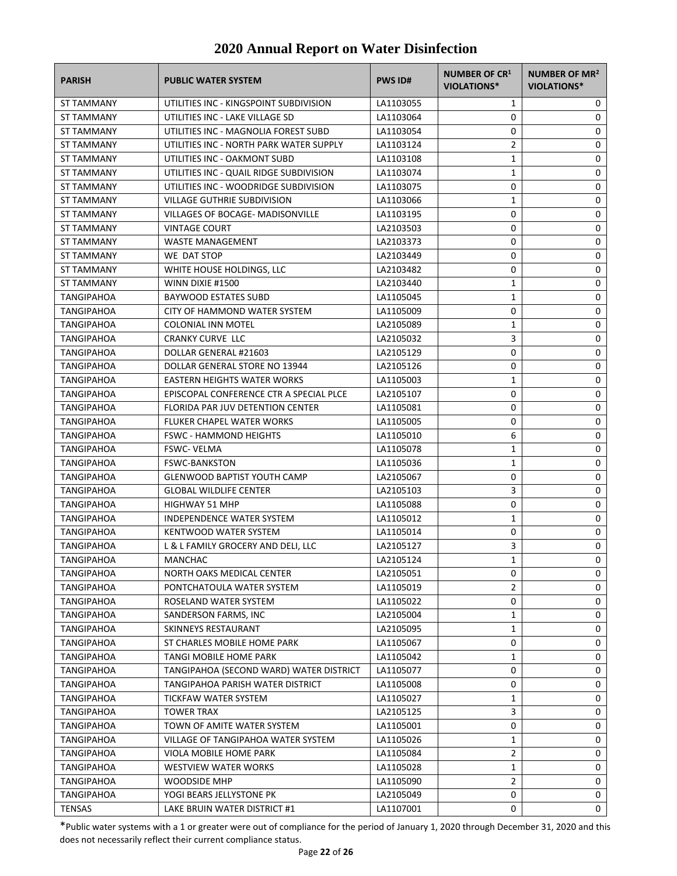| <b>PARISH</b>     | <b>PUBLIC WATER SYSTEM</b>                                   | <b>PWS ID#</b> | <b>NUMBER OF CR1</b><br>VIOLATIONS* | <b>NUMBER OF MR<sup>2</sup></b><br><b>VIOLATIONS*</b> |
|-------------------|--------------------------------------------------------------|----------------|-------------------------------------|-------------------------------------------------------|
| ST TAMMANY        | UTILITIES INC - KINGSPOINT SUBDIVISION                       | LA1103055      | 1                                   | 0                                                     |
| ST TAMMANY        | UTILITIES INC - LAKE VILLAGE SD                              | LA1103064      | 0                                   | 0                                                     |
| ST TAMMANY        | UTILITIES INC - MAGNOLIA FOREST SUBD                         | LA1103054      | 0                                   | 0                                                     |
| ST TAMMANY        | UTILITIES INC - NORTH PARK WATER SUPPLY                      | LA1103124      | $\overline{2}$                      | 0                                                     |
| ST TAMMANY        | UTILITIES INC - OAKMONT SUBD                                 | LA1103108      | 1                                   | 0                                                     |
| ST TAMMANY        | UTILITIES INC - QUAIL RIDGE SUBDIVISION                      | LA1103074      | 1                                   | 0                                                     |
| ST TAMMANY        | UTILITIES INC - WOODRIDGE SUBDIVISION                        | LA1103075      | 0                                   | 0                                                     |
| <b>ST TAMMANY</b> | <b>VILLAGE GUTHRIE SUBDIVISION</b>                           | LA1103066      | 1                                   | 0                                                     |
| <b>ST TAMMANY</b> | <b>VILLAGES OF BOCAGE- MADISONVILLE</b>                      | LA1103195      | 0                                   | 0                                                     |
| ST TAMMANY        | <b>VINTAGE COURT</b>                                         | LA2103503      | 0                                   | 0                                                     |
| ST TAMMANY        | <b>WASTE MANAGEMENT</b>                                      | LA2103373      | 0                                   | 0                                                     |
| ST TAMMANY        | WE DAT STOP                                                  | LA2103449      | 0                                   | 0                                                     |
| ST TAMMANY        | WHITE HOUSE HOLDINGS, LLC                                    | LA2103482      | 0                                   | 0                                                     |
| ST TAMMANY        | WINN DIXIE #1500                                             | LA2103440      | 1                                   | 0                                                     |
| TANGIPAHOA        | <b>BAYWOOD ESTATES SUBD</b>                                  | LA1105045      | $\mathbf{1}$                        | 0                                                     |
| TANGIPAHOA        | CITY OF HAMMOND WATER SYSTEM                                 | LA1105009      | 0                                   | 0                                                     |
| <b>TANGIPAHOA</b> | COLONIAL INN MOTEL                                           | LA2105089      | 1                                   | 0                                                     |
| TANGIPAHOA        | <b>CRANKY CURVE LLC</b>                                      | LA2105032      | 3                                   | 0                                                     |
| TANGIPAHOA        | DOLLAR GENERAL #21603                                        | LA2105129      | 0                                   | 0                                                     |
| TANGIPAHOA        | DOLLAR GENERAL STORE NO 13944                                | LA2105126      | 0                                   | 0                                                     |
| <b>TANGIPAHOA</b> | <b>EASTERN HEIGHTS WATER WORKS</b>                           | LA1105003      | 1                                   | 0                                                     |
| TANGIPAHOA        | EPISCOPAL CONFERENCE CTR A SPECIAL PLCE                      | LA2105107      | 0                                   | 0                                                     |
| TANGIPAHOA        | FLORIDA PAR JUV DETENTION CENTER                             | LA1105081      | 0                                   | 0                                                     |
| TANGIPAHOA        | <b>FLUKER CHAPEL WATER WORKS</b>                             | LA1105005      | 0                                   | 0                                                     |
| TANGIPAHOA        | <b>FSWC - HAMMOND HEIGHTS</b>                                | LA1105010      | 6                                   | 0                                                     |
| TANGIPAHOA        | <b>FSWC-VELMA</b>                                            | LA1105078      | $\mathbf{1}$                        | 0                                                     |
| TANGIPAHOA        | <b>FSWC-BANKSTON</b>                                         | LA1105036      | $\mathbf{1}$                        | 0                                                     |
| TANGIPAHOA        | <b>GLENWOOD BAPTIST YOUTH CAMP</b>                           | LA2105067      | 0                                   | 0                                                     |
| TANGIPAHOA        | <b>GLOBAL WILDLIFE CENTER</b>                                | LA2105103      | 3                                   | 0                                                     |
| TANGIPAHOA        | <b>HIGHWAY 51 MHP</b>                                        | LA1105088      | 0                                   | 0                                                     |
| TANGIPAHOA        | <b>INDEPENDENCE WATER SYSTEM</b>                             | LA1105012      | 1                                   | 0                                                     |
| <b>TANGIPAHOA</b> | KENTWOOD WATER SYSTEM                                        | LA1105014      | 0                                   | 0                                                     |
| <b>TANGIPAHOA</b> | L & L FAMILY GROCERY AND DELI, LLC                           | LA2105127      | 3                                   | 0                                                     |
| TANGIPAHOA        | MANCHAC                                                      | LA2105124      | $\mathbf{1}$                        | 0                                                     |
| TANGIPAHOA        | NORTH OAKS MEDICAL CENTER                                    | LA2105051      | 0                                   | 0                                                     |
| TANGIPAHOA        | PONTCHATOULA WATER SYSTEM                                    | LA1105019      | $\overline{2}$                      | 0                                                     |
| TANGIPAHOA        | ROSELAND WATER SYSTEM                                        | LA1105022      | 0                                   | 0                                                     |
| TANGIPAHOA        | SANDERSON FARMS, INC                                         | LA2105004      | 1                                   | 0                                                     |
| TANGIPAHOA        | SKINNEYS RESTAURANT                                          | LA2105095      | 1                                   | 0                                                     |
| TANGIPAHOA        | ST CHARLES MOBILE HOME PARK                                  | LA1105067      | 0                                   | 0                                                     |
| TANGIPAHOA        | TANGI MOBILE HOME PARK                                       | LA1105042      | 1                                   | 0                                                     |
| <b>TANGIPAHOA</b> | TANGIPAHOA (SECOND WARD) WATER DISTRICT                      | LA1105077      | 0                                   | 0                                                     |
| TANGIPAHOA        | TANGIPAHOA PARISH WATER DISTRICT                             | LA1105008      | 0                                   | 0                                                     |
| TANGIPAHOA        | <b>TICKFAW WATER SYSTEM</b>                                  | LA1105027      | 1                                   | 0                                                     |
| TANGIPAHOA        | <b>TOWER TRAX</b>                                            | LA2105125      | 3                                   | 0                                                     |
|                   |                                                              |                |                                     |                                                       |
| <b>TANGIPAHOA</b> | TOWN OF AMITE WATER SYSTEM                                   | LA1105001      | 0                                   | 0                                                     |
| TANGIPAHOA        | VILLAGE OF TANGIPAHOA WATER SYSTEM<br>VIOLA MOBILE HOME PARK | LA1105026      | 1<br>2                              | 0<br>0                                                |
| TANGIPAHOA        |                                                              | LA1105084      |                                     |                                                       |
| TANGIPAHOA        | <b>WESTVIEW WATER WORKS</b>                                  | LA1105028      | 1                                   | 0                                                     |
| TANGIPAHOA        | <b>WOODSIDE MHP</b>                                          | LA1105090      | $\overline{2}$<br>0                 | 0                                                     |
| TANGIPAHOA        | YOGI BEARS JELLYSTONE PK                                     | LA2105049      |                                     | 0                                                     |
| <b>TENSAS</b>     | LAKE BRUIN WATER DISTRICT #1                                 | LA1107001      | 0                                   | 0                                                     |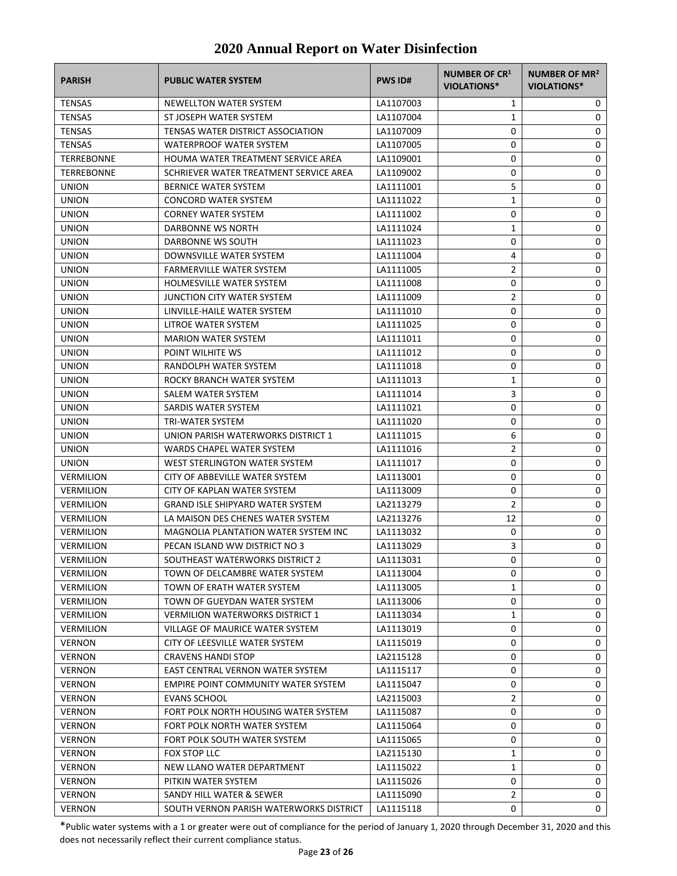| <b>PARISH</b>    | <b>PUBLIC WATER SYSTEM</b>              | <b>PWS ID#</b> | <b>NUMBER OF CR1</b><br>VIOLATIONS* | NUMBER OF MR <sup>2</sup><br><b>VIOLATIONS*</b> |
|------------------|-----------------------------------------|----------------|-------------------------------------|-------------------------------------------------|
| <b>TENSAS</b>    | NEWELLTON WATER SYSTEM                  | LA1107003      | 1                                   | 0                                               |
| <b>TENSAS</b>    | ST JOSEPH WATER SYSTEM                  | LA1107004      | 1                                   | 0                                               |
| <b>TENSAS</b>    | TENSAS WATER DISTRICT ASSOCIATION       | LA1107009      | 0                                   | 0                                               |
| <b>TENSAS</b>    | <b>WATERPROOF WATER SYSTEM</b>          | LA1107005      | 0                                   | 0                                               |
| TERREBONNE       | HOUMA WATER TREATMENT SERVICE AREA      | LA1109001      | 0                                   | 0                                               |
| TERREBONNE       | SCHRIEVER WATER TREATMENT SERVICE AREA  | LA1109002      | 0                                   | 0                                               |
| <b>UNION</b>     | <b>BERNICE WATER SYSTEM</b>             | LA1111001      | 5                                   | 0                                               |
| <b>UNION</b>     | <b>CONCORD WATER SYSTEM</b>             | LA1111022      | 1                                   | 0                                               |
| <b>UNION</b>     | <b>CORNEY WATER SYSTEM</b>              | LA1111002      | 0                                   | 0                                               |
| <b>UNION</b>     | DARBONNE WS NORTH                       | LA1111024      | 1                                   | 0                                               |
| <b>UNION</b>     | DARBONNE WS SOUTH                       | LA1111023      | 0                                   | 0                                               |
| <b>UNION</b>     | DOWNSVILLE WATER SYSTEM                 | LA1111004      | 4                                   | 0                                               |
| <b>UNION</b>     | <b>FARMERVILLE WATER SYSTEM</b>         | LA1111005      | $\overline{2}$                      | 0                                               |
| <b>UNION</b>     | <b>HOLMESVILLE WATER SYSTEM</b>         | LA1111008      | 0                                   | 0                                               |
| <b>UNION</b>     | JUNCTION CITY WATER SYSTEM              | LA1111009      | 2                                   | 0                                               |
| <b>UNION</b>     | LINVILLE-HAILE WATER SYSTEM             | LA1111010      | 0                                   | 0                                               |
| <b>UNION</b>     | LITROE WATER SYSTEM                     | LA1111025      | 0                                   | 0                                               |
| <b>UNION</b>     | <b>MARION WATER SYSTEM</b>              | LA1111011      | 0                                   | 0                                               |
| <b>UNION</b>     | POINT WILHITE WS                        | LA1111012      | 0                                   | 0                                               |
| <b>UNION</b>     | RANDOLPH WATER SYSTEM                   | LA1111018      | 0                                   | 0                                               |
| <b>UNION</b>     | ROCKY BRANCH WATER SYSTEM               | LA1111013      | 1                                   | 0                                               |
| <b>UNION</b>     | SALEM WATER SYSTEM                      | LA1111014      | 3                                   | 0                                               |
| <b>UNION</b>     | SARDIS WATER SYSTEM                     | LA1111021      | 0                                   | 0                                               |
| <b>UNION</b>     | TRI-WATER SYSTEM                        | LA1111020      | 0                                   | 0                                               |
| <b>UNION</b>     | UNION PARISH WATERWORKS DISTRICT 1      | LA1111015      | 6                                   | 0                                               |
| <b>UNION</b>     | WARDS CHAPEL WATER SYSTEM               | LA1111016      | 2                                   | 0                                               |
| <b>UNION</b>     | WEST STERLINGTON WATER SYSTEM           | LA1111017      | 0                                   | 0                                               |
| <b>VERMILION</b> | CITY OF ABBEVILLE WATER SYSTEM          | LA1113001      | 0                                   | 0                                               |
| <b>VERMILION</b> | CITY OF KAPLAN WATER SYSTEM             | LA1113009      | 0                                   | 0                                               |
| <b>VERMILION</b> | <b>GRAND ISLE SHIPYARD WATER SYSTEM</b> | LA2113279      | 2                                   | 0                                               |
| <b>VERMILION</b> | LA MAISON DES CHENES WATER SYSTEM       | LA2113276      | 12                                  | 0                                               |
| <b>VERMILION</b> | MAGNOLIA PLANTATION WATER SYSTEM INC    | LA1113032      | 0                                   | 0                                               |
| <b>VERMILION</b> | PECAN ISLAND WW DISTRICT NO 3           | LA1113029      | 3                                   | 0                                               |
| <b>VERMILION</b> | SOUTHEAST WATERWORKS DISTRICT 2         | LA1113031      | 0                                   | 0                                               |
| <b>VERMILION</b> | TOWN OF DELCAMBRE WATER SYSTEM          | LA1113004      | 0                                   | 0                                               |
| <b>VERMILION</b> | TOWN OF ERATH WATER SYSTEM              | LA1113005      | 1                                   | 0                                               |
| <b>VERMILION</b> | TOWN OF GUEYDAN WATER SYSTEM            | LA1113006      | 0                                   | 0                                               |
| <b>VERMILION</b> | <b>VERMILION WATERWORKS DISTRICT 1</b>  | LA1113034      | 1                                   | 0                                               |
| <b>VERMILION</b> | VILLAGE OF MAURICE WATER SYSTEM         | LA1113019      | 0                                   | 0                                               |
| <b>VERNON</b>    | CITY OF LEESVILLE WATER SYSTEM          | LA1115019      | 0                                   | 0                                               |
| <b>VERNON</b>    | <b>CRAVENS HANDI STOP</b>               | LA2115128      | 0                                   | 0                                               |
| <b>VERNON</b>    | EAST CENTRAL VERNON WATER SYSTEM        | LA1115117      | 0                                   | 0                                               |
| <b>VERNON</b>    | EMPIRE POINT COMMUNITY WATER SYSTEM     | LA1115047      | 0                                   | 0                                               |
| <b>VERNON</b>    | <b>EVANS SCHOOL</b>                     | LA2115003      | 2                                   | 0                                               |
| <b>VERNON</b>    | FORT POLK NORTH HOUSING WATER SYSTEM    | LA1115087      | 0                                   | 0                                               |
| <b>VERNON</b>    | FORT POLK NORTH WATER SYSTEM            | LA1115064      | 0                                   | 0                                               |
| <b>VERNON</b>    | FORT POLK SOUTH WATER SYSTEM            | LA1115065      | 0                                   | 0                                               |
| <b>VERNON</b>    | FOX STOP LLC                            | LA2115130      | 1                                   | 0                                               |
| <b>VERNON</b>    | NEW LLANO WATER DEPARTMENT              | LA1115022      | 1                                   | 0                                               |
| <b>VERNON</b>    | PITKIN WATER SYSTEM                     | LA1115026      | 0                                   | 0                                               |
| <b>VERNON</b>    | SANDY HILL WATER & SEWER                | LA1115090      | $\overline{2}$                      | 0                                               |
| <b>VERNON</b>    | SOUTH VERNON PARISH WATERWORKS DISTRICT | LA1115118      | 0                                   | 0                                               |
|                  |                                         |                |                                     |                                                 |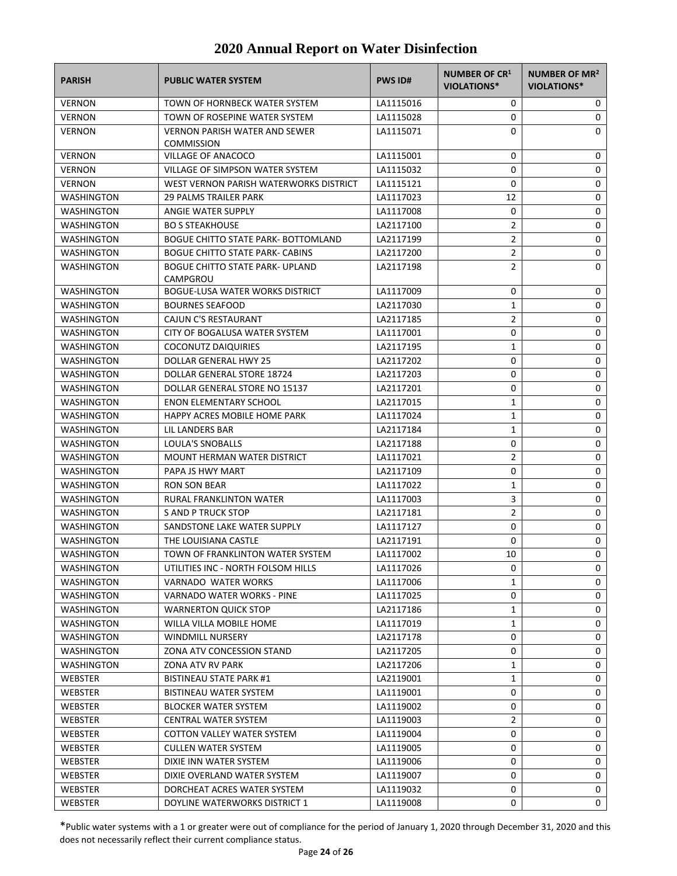| <b>PARISH</b>     | <b>PUBLIC WATER SYSTEM</b>                                | <b>PWS ID#</b> | NUMBER OF CR <sup>1</sup><br><b>VIOLATIONS*</b> | NUMBER OF MR <sup>2</sup><br><b>VIOLATIONS*</b> |
|-------------------|-----------------------------------------------------------|----------------|-------------------------------------------------|-------------------------------------------------|
| <b>VERNON</b>     | TOWN OF HORNBECK WATER SYSTEM                             | LA1115016      | 0                                               | 0                                               |
| <b>VERNON</b>     | TOWN OF ROSEPINE WATER SYSTEM                             | LA1115028      | 0                                               | 0                                               |
| <b>VERNON</b>     | <b>VERNON PARISH WATER AND SEWER</b><br><b>COMMISSION</b> | LA1115071      | 0                                               | 0                                               |
| <b>VERNON</b>     | <b>VILLAGE OF ANACOCO</b>                                 | LA1115001      | 0                                               | 0                                               |
| VERNON            | VILLAGE OF SIMPSON WATER SYSTEM                           | LA1115032      | 0                                               | 0                                               |
| <b>VERNON</b>     | WEST VERNON PARISH WATERWORKS DISTRICT                    | LA1115121      | 0                                               | 0                                               |
| <b>WASHINGTON</b> | <b>29 PALMS TRAILER PARK</b>                              | LA1117023      | 12                                              | 0                                               |
| WASHINGTON        | ANGIE WATER SUPPLY                                        | LA1117008      | 0                                               | 0                                               |
| WASHINGTON        | <b>BO S STEAKHOUSE</b>                                    | LA2117100      | 2                                               | 0                                               |
| WASHINGTON        | <b>BOGUE CHITTO STATE PARK- BOTTOMLAND</b>                | LA2117199      | $\overline{2}$                                  | 0                                               |
| WASHINGTON        | BOGUE CHITTO STATE PARK- CABINS                           | LA2117200      | $\overline{2}$                                  | 0                                               |
| WASHINGTON        | <b>BOGUE CHITTO STATE PARK- UPLAND</b><br>CAMPGROU        | LA2117198      | $\overline{2}$                                  | 0                                               |
| <b>WASHINGTON</b> | <b>BOGUE-LUSA WATER WORKS DISTRICT</b>                    | LA1117009      | 0                                               | 0                                               |
| WASHINGTON        | <b>BOURNES SEAFOOD</b>                                    | LA2117030      | 1                                               | 0                                               |
| WASHINGTON        | CAJUN C'S RESTAURANT                                      | LA2117185      | $\overline{2}$                                  | 0                                               |
| WASHINGTON        | CITY OF BOGALUSA WATER SYSTEM                             | LA1117001      | 0                                               | 0                                               |
| WASHINGTON        | <b>COCONUTZ DAIQUIRIES</b>                                | LA2117195      | 1                                               | 0                                               |
| <b>WASHINGTON</b> | DOLLAR GENERAL HWY 25                                     | LA2117202      | 0                                               | 0                                               |
| <b>WASHINGTON</b> | DOLLAR GENERAL STORE 18724                                | LA2117203      | 0                                               | 0                                               |
| <b>WASHINGTON</b> | DOLLAR GENERAL STORE NO 15137                             | LA2117201      | 0                                               | 0                                               |
| WASHINGTON        | <b>ENON ELEMENTARY SCHOOL</b>                             | LA2117015      | 1                                               | 0                                               |
| WASHINGTON        | HAPPY ACRES MOBILE HOME PARK                              | LA1117024      | 1                                               | 0                                               |
| WASHINGTON        | LIL LANDERS BAR                                           | LA2117184      | 1                                               | 0                                               |
| WASHINGTON        | <b>LOULA'S SNOBALLS</b>                                   | LA2117188      | 0                                               | 0                                               |
| WASHINGTON        | <b>MOUNT HERMAN WATER DISTRICT</b>                        | LA1117021      | 2                                               | 0                                               |
| WASHINGTON        | PAPA JS HWY MART                                          | LA2117109      | 0                                               | 0                                               |
| WASHINGTON        | <b>RON SON BEAR</b>                                       | LA1117022      | 1                                               | 0                                               |
| WASHINGTON        | RURAL FRANKLINTON WATER                                   | LA1117003      | 3                                               | 0                                               |
| WASHINGTON        | S AND P TRUCK STOP                                        | LA2117181      | 2                                               | 0                                               |
| <b>WASHINGTON</b> | SANDSTONE LAKE WATER SUPPLY                               | LA1117127      | 0                                               | 0                                               |
| <b>WASHINGTON</b> | THE LOUISIANA CASTLE                                      | LA2117191      | 0                                               | 0                                               |
| <b>WASHINGTON</b> | TOWN OF FRANKLINTON WATER SYSTEM                          | LA1117002      | 10                                              | 0                                               |
| WASHINGTON        | UTILITIES INC - NORTH FOLSOM HILLS                        | LA1117026      | 0                                               | 0                                               |
| WASHINGTON        | <b>VARNADO WATER WORKS</b>                                | LA1117006      | 1                                               | 0                                               |
| <b>WASHINGTON</b> | VARNADO WATER WORKS - PINE                                | LA1117025      | 0                                               | 0                                               |
| WASHINGTON        | <b>WARNERTON QUICK STOP</b>                               | LA2117186      | 1                                               | 0                                               |
| WASHINGTON        | WILLA VILLA MOBILE HOME                                   | LA1117019      | 1                                               | 0                                               |
| <b>WASHINGTON</b> | <b>WINDMILL NURSERY</b>                                   | LA2117178      | 0                                               | 0                                               |
| WASHINGTON        | ZONA ATV CONCESSION STAND                                 | LA2117205      | 0                                               | 0                                               |
| <b>WASHINGTON</b> | ZONA ATV RV PARK                                          | LA2117206      | 1                                               | 0                                               |
| <b>WEBSTER</b>    | BISTINEAU STATE PARK #1                                   | LA2119001      | 1                                               | 0                                               |
| WEBSTER           | <b>BISTINEAU WATER SYSTEM</b>                             | LA1119001      | 0                                               | 0                                               |
| WEBSTER           | <b>BLOCKER WATER SYSTEM</b>                               | LA1119002      | 0                                               | 0                                               |
| WEBSTER           | <b>CENTRAL WATER SYSTEM</b>                               | LA1119003      | 2                                               | 0                                               |
| WEBSTER           | COTTON VALLEY WATER SYSTEM                                | LA1119004      | 0                                               | 0                                               |
| WEBSTER           | <b>CULLEN WATER SYSTEM</b>                                | LA1119005      | 0                                               | 0                                               |
| WEBSTER           | DIXIE INN WATER SYSTEM                                    | LA1119006      | 0                                               | 0                                               |
| WEBSTER           | DIXIE OVERLAND WATER SYSTEM                               | LA1119007      | 0                                               | 0                                               |
| WEBSTER           | DORCHEAT ACRES WATER SYSTEM                               | LA1119032      | 0                                               | 0                                               |
| WEBSTER           | DOYLINE WATERWORKS DISTRICT 1                             | LA1119008      | 0                                               | 0                                               |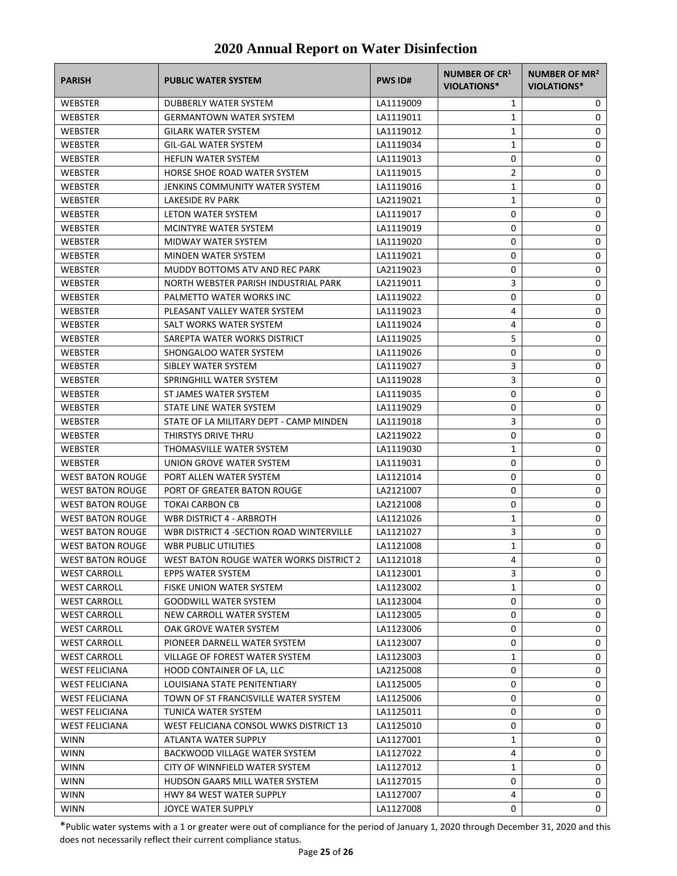| <b>PARISH</b>                                  | <b>PUBLIC WATER SYSTEM</b>               | <b>PWS ID#</b>         | NUMBER OF CR <sup>1</sup><br>VIOLATIONS* | NUMBER OF MR <sup>2</sup><br>VIOLATIONS* |
|------------------------------------------------|------------------------------------------|------------------------|------------------------------------------|------------------------------------------|
| <b>WEBSTER</b>                                 | DUBBERLY WATER SYSTEM                    | LA1119009              | $\mathbf{1}$                             | 0                                        |
| WEBSTER                                        | <b>GERMANTOWN WATER SYSTEM</b>           | LA1119011              | 1                                        | 0                                        |
| WEBSTER                                        | <b>GILARK WATER SYSTEM</b>               | LA1119012              | $\mathbf{1}$                             | 0                                        |
| WEBSTER                                        | <b>GIL-GAL WATER SYSTEM</b>              | LA1119034              | $\mathbf{1}$                             | 0                                        |
| WEBSTER                                        | <b>HEFLIN WATER SYSTEM</b>               | LA1119013              | 0                                        | 0                                        |
| WEBSTER                                        | HORSE SHOE ROAD WATER SYSTEM             | LA1119015              | $\overline{2}$                           | 0                                        |
| <b>WEBSTER</b>                                 | JENKINS COMMUNITY WATER SYSTEM           | LA1119016              | 1                                        | 0                                        |
| <b>WEBSTER</b>                                 | <b>LAKESIDE RV PARK</b>                  | LA2119021              | 1                                        | 0                                        |
| WEBSTER                                        | LETON WATER SYSTEM                       | LA1119017              | 0                                        | 0                                        |
| <b>WEBSTER</b>                                 | <b>MCINTYRE WATER SYSTEM</b>             | LA1119019              | 0                                        | 0                                        |
| WEBSTER                                        | MIDWAY WATER SYSTEM                      | LA1119020              | 0                                        | 0                                        |
| <b>WEBSTER</b>                                 | MINDEN WATER SYSTEM                      | LA1119021              | 0                                        | 0                                        |
| <b>WEBSTER</b>                                 | MUDDY BOTTOMS ATV AND REC PARK           | LA2119023              | 0                                        | 0                                        |
| <b>WEBSTER</b>                                 | NORTH WEBSTER PARISH INDUSTRIAL PARK     | LA2119011              | 3                                        | 0                                        |
| WEBSTER                                        | PALMETTO WATER WORKS INC                 | LA1119022              | 0                                        | 0                                        |
| WEBSTER                                        | PLEASANT VALLEY WATER SYSTEM             | LA1119023              | 4                                        | 0                                        |
| WEBSTER                                        | SALT WORKS WATER SYSTEM                  | LA1119024              | 4                                        | 0                                        |
| WEBSTER                                        | SAREPTA WATER WORKS DISTRICT             | LA1119025              | 5                                        | 0                                        |
| <b>WEBSTER</b>                                 | SHONGALOO WATER SYSTEM                   | LA1119026              | 0                                        | 0                                        |
| WEBSTER                                        | SIBLEY WATER SYSTEM                      | LA1119027              | 3                                        | 0                                        |
| <b>WEBSTER</b>                                 | SPRINGHILL WATER SYSTEM                  | LA1119028              | 3                                        | 0                                        |
| <b>WEBSTER</b>                                 | ST JAMES WATER SYSTEM                    | LA1119035              | 0                                        | 0                                        |
| WEBSTER                                        | STATE LINE WATER SYSTEM                  | LA1119029              | 0                                        | 0                                        |
| <b>WEBSTER</b>                                 | STATE OF LA MILITARY DEPT - CAMP MINDEN  | LA1119018              | 3                                        | 0                                        |
| WEBSTER                                        | THIRSTYS DRIVE THRU                      | LA2119022              | 0                                        | 0                                        |
| WEBSTER                                        | THOMASVILLE WATER SYSTEM                 | LA1119030              | 1                                        | 0                                        |
| WEBSTER                                        | UNION GROVE WATER SYSTEM                 | LA1119031              | 0                                        | 0                                        |
| <b>WEST BATON ROUGE</b>                        | PORT ALLEN WATER SYSTEM                  | LA1121014              | 0                                        | 0                                        |
| <b>WEST BATON ROUGE</b>                        | PORT OF GREATER BATON ROUGE              | LA2121007              | 0                                        | 0                                        |
| <b>WEST BATON ROUGE</b>                        | <b>TOKAI CARBON CB</b>                   | LA2121008              | 0                                        | 0                                        |
| <b>WEST BATON ROUGE</b>                        | <b>WBR DISTRICT 4 - ARBROTH</b>          | LA1121026              | $\mathbf{1}$                             | 0                                        |
| <b>WEST BATON ROUGE</b>                        | WBR DISTRICT 4 -SECTION ROAD WINTERVILLE | LA1121027              | 3                                        | 0                                        |
| <b>WEST BATON ROUGE</b>                        | <b>WBR PUBLIC UTILITIES</b>              | LA1121008              | 1                                        | 0                                        |
| <b>WEST BATON ROUGE</b>                        | WEST BATON ROUGE WATER WORKS DISTRICT 2  | LA1121018              | 4                                        | 0                                        |
| <b>WEST CARROLL</b>                            | EPPS WATER SYSTEM                        | LA1123001              | 3                                        | 0                                        |
| <b>WEST CARROLL</b>                            | FISKE UNION WATER SYSTEM                 | LA1123002              | 1                                        | 0                                        |
| <b>WEST CARROLL</b>                            | <b>GOODWILL WATER SYSTEM</b>             | LA1123004              | 0                                        | 0                                        |
| <b>WEST CARROLL</b>                            | NEW CARROLL WATER SYSTEM                 | LA1123005              | 0                                        | 0                                        |
| <b>WEST CARROLL</b>                            | OAK GROVE WATER SYSTEM                   | LA1123006              | 0                                        | 0                                        |
| <b>WEST CARROLL</b>                            | PIONEER DARNELL WATER SYSTEM             | LA1123007              | 0                                        | 0                                        |
| <b>WEST CARROLL</b>                            | VILLAGE OF FOREST WATER SYSTEM           | LA1123003              | 1                                        | 0                                        |
| <b>WEST FELICIANA</b>                          | HOOD CONTAINER OF LA, LLC                | LA2125008              | $\pmb{0}$                                | 0                                        |
| <b>WEST FELICIANA</b>                          | LOUISIANA STATE PENITENTIARY             | LA1125005              | 0                                        | 0                                        |
|                                                | TOWN OF ST FRANCISVILLE WATER SYSTEM     |                        | 0                                        | 0                                        |
| <b>WEST FELICIANA</b><br><b>WEST FELICIANA</b> | TUNICA WATER SYSTEM                      | LA1125006<br>LA1125011 | 0                                        | 0                                        |
| <b>WEST FELICIANA</b>                          | WEST FELICIANA CONSOL WWKS DISTRICT 13   | LA1125010              | 0                                        | 0                                        |
| <b>WINN</b>                                    | ATLANTA WATER SUPPLY                     |                        | 1                                        | 0                                        |
| <b>WINN</b>                                    | BACKWOOD VILLAGE WATER SYSTEM            | LA1127001<br>LA1127022 | 4                                        | 0                                        |
| <b>WINN</b>                                    | CITY OF WINNFIELD WATER SYSTEM           |                        | $\mathbf{1}$                             | 0                                        |
| <b>WINN</b>                                    | HUDSON GAARS MILL WATER SYSTEM           | LA1127012              | 0                                        | 0                                        |
| <b>WINN</b>                                    | HWY 84 WEST WATER SUPPLY                 | LA1127015<br>LA1127007 | 4                                        | 0                                        |
| <b>WINN</b>                                    | JOYCE WATER SUPPLY                       | LA1127008              | 0                                        | 0                                        |
|                                                |                                          |                        |                                          |                                          |